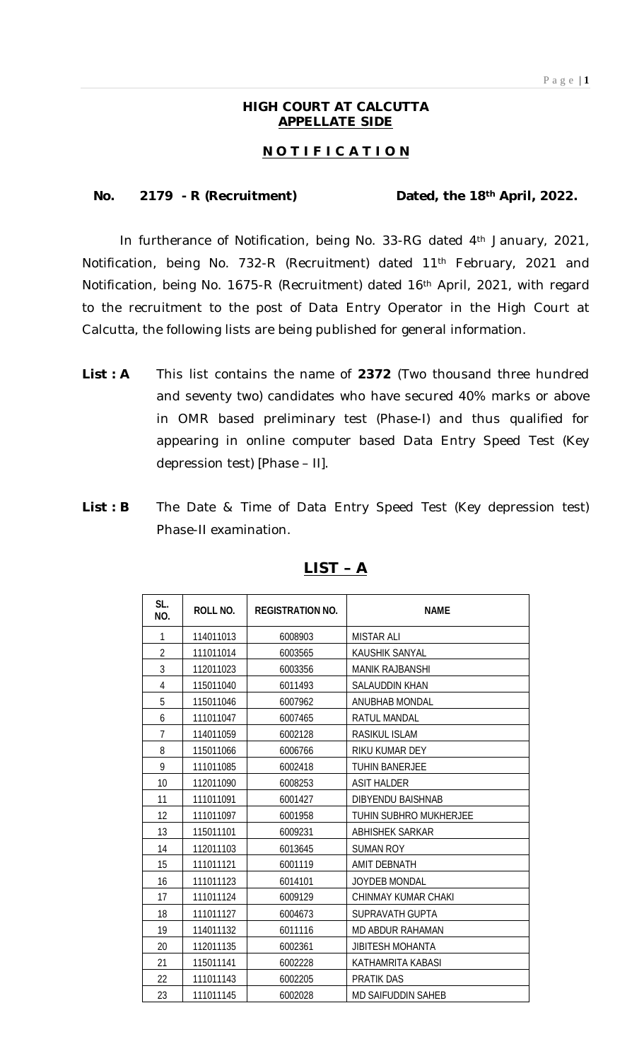### **HIGH COURT AT CALCUTTA APPELLATE SIDE**

### **N O T I F I C A T I O N**

#### **No. 2179 - R (Recruitment) Dated, the 18th April, 2022.**

In furtherance of Notification, being No. 33-RG dated 4th January, 2021, Notification, being No. 732-R (Recruitment) dated 11th February, 2021 and Notification, being No. 1675-R (Recruitment) dated 16th April, 2021, with regard to the recruitment to the post of Data Entry Operator in the High Court at Calcutta, the following lists are being published for general information.

- **List : A** This list contains the name of **2372** (Two thousand three hundred and seventy two) candidates who have secured 40% marks or above in OMR based preliminary test (Phase-I) and thus qualified for appearing in online computer based Data Entry Speed Test (Key depression test) [Phase – II].
- List : B The Date & Time of Data Entry Speed Test (Key depression test) Phase-II examination.

| SL.<br>NO.     | ROLL NO.  | <b>REGISTRATION NO.</b> | <b>NAME</b>               |
|----------------|-----------|-------------------------|---------------------------|
| 1              | 114011013 | 6008903                 | <b>MISTAR ALI</b>         |
| $\overline{2}$ | 111011014 | 6003565                 | KAUSHIK SANYAL            |
| 3              | 112011023 | 6003356                 | <b>MANIK RAJBANSHI</b>    |
| 4              | 115011040 | 6011493                 | <b>SALAUDDIN KHAN</b>     |
| 5              | 115011046 | 6007962                 | <b>ANUBHAB MONDAL</b>     |
| 6              | 111011047 | 6007465                 | <b>RATUL MANDAL</b>       |
| $\overline{7}$ | 114011059 | 6002128                 | <b>RASIKUL ISLAM</b>      |
| 8              | 115011066 | 6006766                 | RIKU KUMAR DEY            |
| 9              | 111011085 | 6002418                 | <b>TUHIN BANERJEE</b>     |
| 10             | 112011090 | 6008253                 | <b>ASIT HALDER</b>        |
| 11             | 111011091 | 6001427                 | <b>DIBYENDU BAISHNAB</b>  |
| 12             | 111011097 | 6001958                 | TUHIN SUBHRO MUKHERJEE    |
| 13             | 115011101 | 6009231                 | <b>ABHISHEK SARKAR</b>    |
| 14             | 112011103 | 6013645                 | <b>SUMAN ROY</b>          |
| 15             | 111011121 | 6001119                 | <b>AMIT DEBNATH</b>       |
| 16             | 111011123 | 6014101                 | <b>JOYDEB MONDAL</b>      |
| 17             | 111011124 | 6009129                 | CHINMAY KUMAR CHAKI       |
| 18             | 111011127 | 6004673                 | SUPRAVATH GUPTA           |
| 19             | 114011132 | 6011116                 | MD ABDUR RAHAMAN          |
| 20             | 112011135 | 6002361                 | <b>JIBITESH MOHANTA</b>   |
| 21             | 115011141 | 6002228                 | KATHAMRITA KABASI         |
| 22             | 111011143 | 6002205                 | <b>PRATIK DAS</b>         |
| 23             | 111011145 | 6002028                 | <b>MD SAIFUDDIN SAHEB</b> |

#### **LIST – A**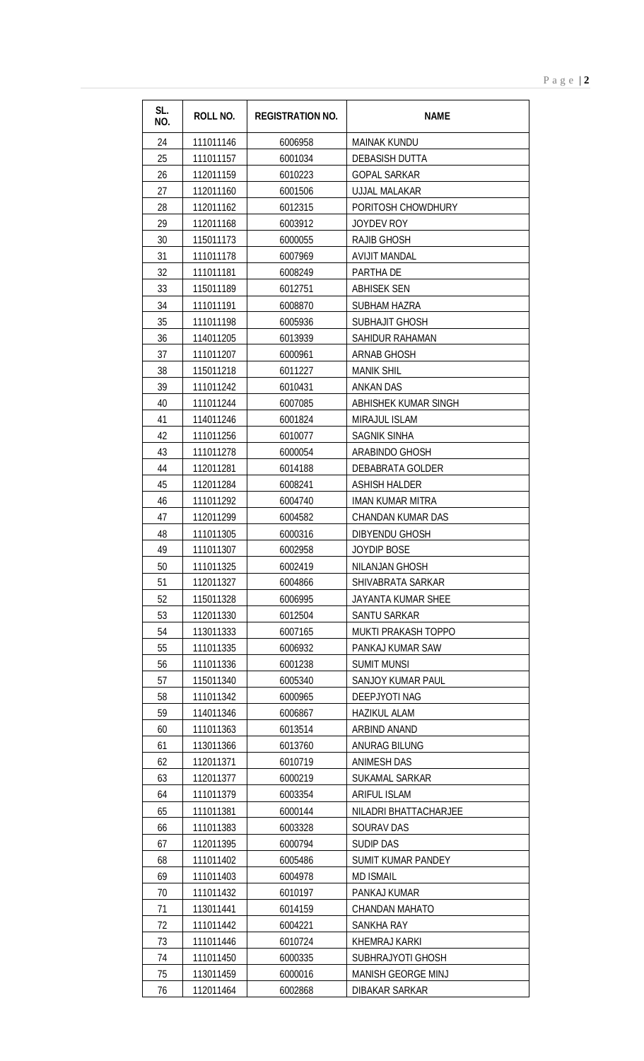| SL.<br>NO. | <b>ROLL NO.</b> | <b>REGISTRATION NO.</b> | <b>NAME</b>               |
|------------|-----------------|-------------------------|---------------------------|
| 24         | 111011146       | 6006958                 | <b>MAINAK KUNDU</b>       |
| 25         | 111011157       | 6001034                 | <b>DEBASISH DUTTA</b>     |
| 26         | 112011159       | 6010223                 | <b>GOPAL SARKAR</b>       |
| 27         | 112011160       | 6001506                 | <b>UJJAL MALAKAR</b>      |
| 28         | 112011162       | 6012315                 | PORITOSH CHOWDHURY        |
| 29         | 112011168       | 6003912                 | JOYDEV ROY                |
| 30         | 115011173       | 6000055                 | <b>RAJIB GHOSH</b>        |
| 31         | 111011178       | 6007969                 | <b>AVIJIT MANDAL</b>      |
| 32         | 111011181       | 6008249                 | PARTHA DE                 |
| 33         | 115011189       | 6012751                 | <b>ABHISEK SEN</b>        |
| 34         | 111011191       | 6008870                 | <b>SUBHAM HAZRA</b>       |
| 35         | 111011198       | 6005936                 | SUBHAJIT GHOSH            |
| 36         | 114011205       | 6013939                 | SAHIDUR RAHAMAN           |
| 37         | 111011207       | 6000961                 | <b>ARNAB GHOSH</b>        |
| 38         | 115011218       | 6011227                 | <b>MANIK SHIL</b>         |
| 39         | 111011242       | 6010431                 | <b>ANKAN DAS</b>          |
| 40         | 111011244       | 6007085                 | ABHISHEK KUMAR SINGH      |
| 41         | 114011246       | 6001824                 | <b>MIRAJUL ISLAM</b>      |
| 42         | 111011256       | 6010077                 | <b>SAGNIK SINHA</b>       |
| 43         | 111011278       | 6000054                 | ARABINDO GHOSH            |
| 44         | 112011281       | 6014188                 | DEBABRATA GOLDER          |
| 45         | 112011284       | 6008241                 | <b>ASHISH HALDER</b>      |
| 46         | 111011292       | 6004740                 | <b>IMAN KUMAR MITRA</b>   |
| 47         | 112011299       | 6004582                 | <b>CHANDAN KUMAR DAS</b>  |
| 48         | 111011305       | 6000316                 | <b>DIBYENDU GHOSH</b>     |
| 49         | 111011307       | 6002958                 | <b>JOYDIP BOSE</b>        |
| 50         | 111011325       | 6002419                 | NILANJAN GHOSH            |
| 51         | 112011327       | 6004866                 | SHIVABRATA SARKAR         |
| 52         | 115011328       | 6006995                 | <b>JAYANTA KUMAR SHEE</b> |
| 53         | 112011330       | 6012504                 | SANTU SARKAR              |
| 54         | 113011333       | 6007165                 | MUKTI PRAKASH TOPPO       |
| 55         | 111011335       | 6006932                 | PANKAJ KUMAR SAW          |
| 56         | 111011336       | 6001238                 | <b>SUMIT MUNSI</b>        |
| 57         | 115011340       | 6005340                 | <b>SANJOY KUMAR PAUL</b>  |
| 58         | 111011342       | 6000965                 | DEEPJYOTI NAG             |
| 59         | 114011346       | 6006867                 | <b>HAZIKUL ALAM</b>       |
| 60         | 111011363       | 6013514                 | ARBIND ANAND              |
| 61         | 113011366       | 6013760                 | ANURAG BILUNG             |
| 62         | 112011371       | 6010719                 | <b>ANIMESH DAS</b>        |
| 63         | 112011377       | 6000219                 | SUKAMAL SARKAR            |
| 64         | 111011379       | 6003354                 | <b>ARIFUL ISLAM</b>       |
| 65         | 111011381       | 6000144                 | NILADRI BHATTACHARJEE     |
| 66         | 111011383       | 6003328                 | <b>SOURAV DAS</b>         |
| 67         | 112011395       | 6000794                 | <b>SUDIP DAS</b>          |
| 68         | 111011402       | 6005486                 | <b>SUMIT KUMAR PANDEY</b> |
| 69         | 111011403       | 6004978                 | <b>MD ISMAIL</b>          |
| 70         | 111011432       | 6010197                 | PANKAJ KUMAR              |
| 71         | 113011441       | 6014159                 | <b>CHANDAN MAHATO</b>     |
| 72         | 111011442       | 6004221                 | <b>SANKHA RAY</b>         |
| 73         | 111011446       | 6010724                 | <b>KHEMRAJ KARKI</b>      |
| 74         | 111011450       | 6000335                 | SUBHRAJYOTI GHOSH         |
| 75         | 113011459       | 6000016                 | MANISH GEORGE MINJ        |
| 76         | 112011464       | 6002868                 | <b>DIBAKAR SARKAR</b>     |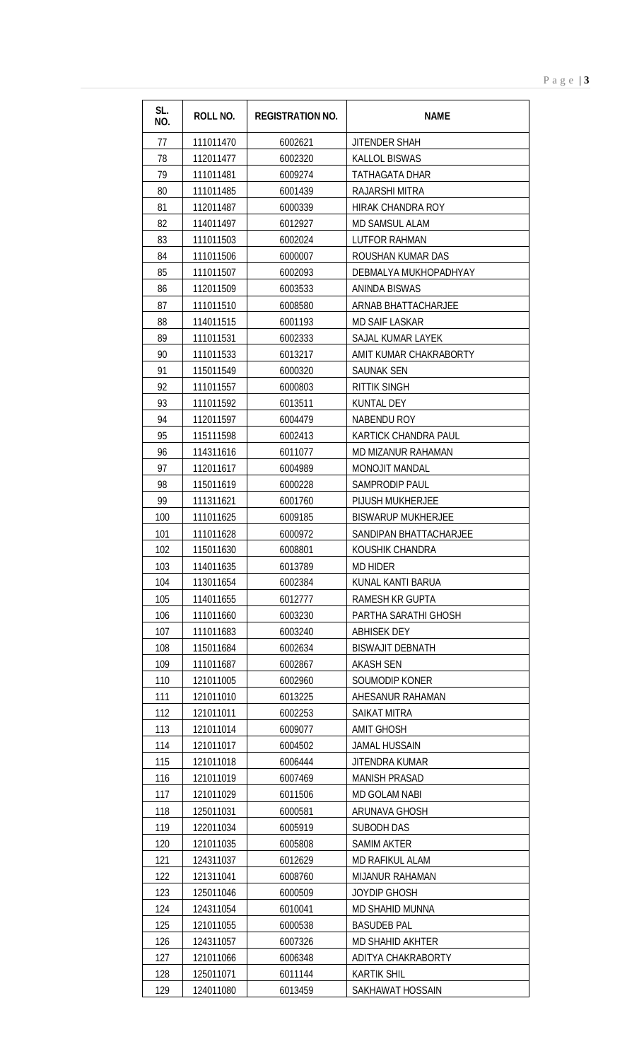| SL.<br>NO. | <b>ROLL NO.</b> | <b>REGISTRATION NO.</b> | <b>NAME</b>               |
|------------|-----------------|-------------------------|---------------------------|
| 77         | 111011470       | 6002621                 | <b>JITENDER SHAH</b>      |
| 78         | 112011477       | 6002320                 | <b>KALLOL BISWAS</b>      |
| 79         | 111011481       | 6009274                 | <b>TATHAGATA DHAR</b>     |
| 80         | 111011485       | 6001439                 | RAJARSHI MITRA            |
| 81         | 112011487       | 6000339                 | HIRAK CHANDRA ROY         |
| 82         | 114011497       | 6012927                 | <b>MD SAMSUL ALAM</b>     |
| 83         | 111011503       | 6002024                 | <b>LUTFOR RAHMAN</b>      |
| 84         | 111011506       | 6000007                 | ROUSHAN KUMAR DAS         |
| 85         | 111011507       | 6002093                 | DEBMALYA MUKHOPADHYAY     |
| 86         | 112011509       | 6003533                 | ANINDA BISWAS             |
| 87         | 111011510       | 6008580                 | ARNAB BHATTACHARJEE       |
| 88         | 114011515       | 6001193                 | <b>MD SAIF LASKAR</b>     |
| 89         | 111011531       | 6002333                 | SAJAL KUMAR LAYEK         |
| 90         | 111011533       | 6013217                 | AMIT KUMAR CHAKRABORTY    |
| 91         | 115011549       | 6000320                 | SAUNAK SEN                |
| 92         | 111011557       | 6000803                 | <b>RITTIK SINGH</b>       |
| 93         | 111011592       | 6013511                 | KUNTAL DEY                |
| 94         | 112011597       | 6004479                 | <b>NABENDU ROY</b>        |
| 95         | 115111598       | 6002413                 | KARTICK CHANDRA PAUL      |
| 96         | 114311616       | 6011077                 | MD MIZANUR RAHAMAN        |
| 97         | 112011617       | 6004989                 | MONOJIT MANDAL            |
| 98         | 115011619       | 6000228                 | <b>SAMPRODIP PAUL</b>     |
| 99         | 111311621       | 6001760                 | <b>PIJUSH MUKHERJEE</b>   |
| 100        | 111011625       | 6009185                 | <b>BISWARUP MUKHERJEE</b> |
| 101        | 111011628       | 6000972                 | SANDIPAN BHATTACHARJEE    |
| 102        | 115011630       | 6008801                 | KOUSHIK CHANDRA           |
| 103        | 114011635       | 6013789                 | <b>MD HIDER</b>           |
| 104        | 113011654       | 6002384                 | KUNAL KANTI BARUA         |
| 105        | 114011655       | 6012777                 | <b>RAMESH KR GUPTA</b>    |
| 106        | 111011660       | 6003230                 | PARTHA SARATHI GHOSH      |
| 107        | 111011683       | 6003240                 | <b>ABHISEK DEY</b>        |
| 108        | 115011684       | 6002634                 | <b>BISWAJIT DEBNATH</b>   |
| 109        | 111011687       | 6002867                 | <b>AKASH SEN</b>          |
| 110        | 121011005       | 6002960                 | SOUMODIP KONER            |
| 111        | 121011010       | 6013225                 | AHESANUR RAHAMAN          |
| 112        | 121011011       | 6002253                 | <b>SAIKAT MITRA</b>       |
| 113        | 121011014       | 6009077                 | <b>AMIT GHOSH</b>         |
| 114        | 121011017       | 6004502                 | <b>JAMAL HUSSAIN</b>      |
| 115        | 121011018       | 6006444                 | JITENDRA KUMAR            |
| 116        | 121011019       | 6007469                 | <b>MANISH PRASAD</b>      |
| 117        | 121011029       | 6011506                 | <b>MD GOLAM NABI</b>      |
| 118        | 125011031       | 6000581                 | <b>ARUNAVA GHOSH</b>      |
| 119        | 122011034       | 6005919                 | <b>SUBODH DAS</b>         |
| 120        | 121011035       | 6005808                 | SAMIM AKTER               |
| 121        | 124311037       | 6012629                 | <b>MD RAFIKUL ALAM</b>    |
| 122        | 121311041       | 6008760                 | <b>MIJANUR RAHAMAN</b>    |
| 123        | 125011046       | 6000509                 | JOYDIP GHOSH              |
| 124        | 124311054       | 6010041                 | <b>MD SHAHID MUNNA</b>    |
| 125        | 121011055       | 6000538                 | <b>BASUDEB PAL</b>        |
| 126        | 124311057       | 6007326                 | <b>MD SHAHID AKHTER</b>   |
| 127        | 121011066       | 6006348                 | ADITYA CHAKRABORTY        |
| 128        | 125011071       | 6011144                 | <b>KARTIK SHIL</b>        |
| 129        | 124011080       | 6013459                 | SAKHAWAT HOSSAIN          |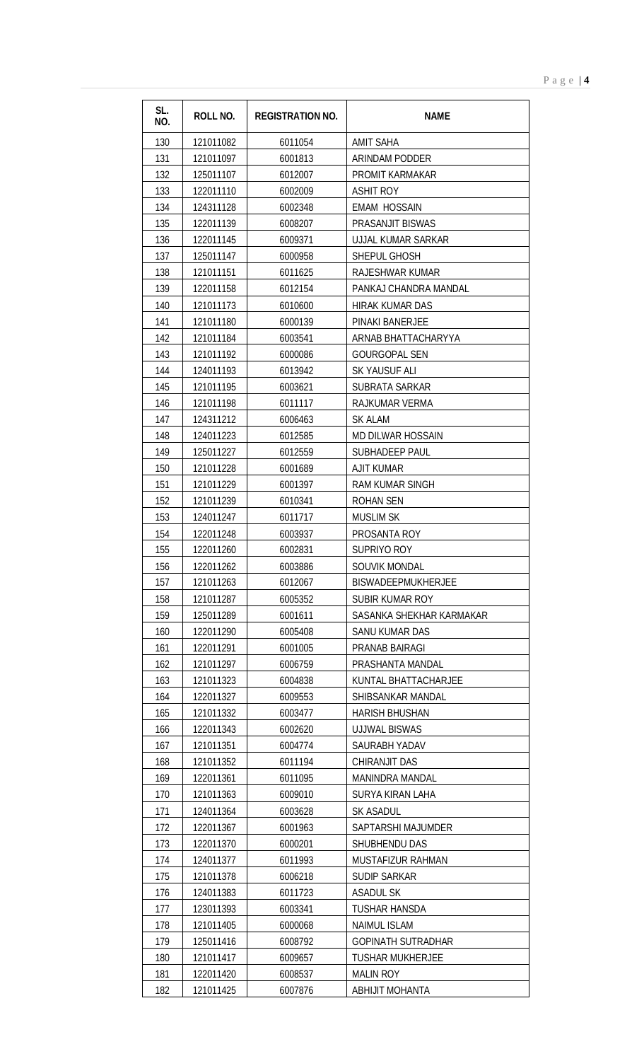| SL.<br>NO. | <b>ROLL NO.</b> | <b>REGISTRATION NO.</b> | <b>NAME</b>               |
|------------|-----------------|-------------------------|---------------------------|
| 130        | 121011082       | 6011054                 | <b>AMIT SAHA</b>          |
| 131        | 121011097       | 6001813                 | ARINDAM PODDER            |
| 132        | 125011107       | 6012007                 | <b>PROMIT KARMAKAR</b>    |
| 133        | 122011110       | 6002009                 | <b>ASHIT ROY</b>          |
| 134        | 124311128       | 6002348                 | <b>EMAM HOSSAIN</b>       |
| 135        | 122011139       | 6008207                 | <b>PRASANJIT BISWAS</b>   |
| 136        | 122011145       | 6009371                 | <b>UJJAL KUMAR SARKAR</b> |
| 137        | 125011147       | 6000958                 | SHEPUL GHOSH              |
| 138        | 121011151       | 6011625                 | RAJESHWAR KUMAR           |
| 139        | 122011158       | 6012154                 | PANKAJ CHANDRA MANDAL     |
| 140        | 121011173       | 6010600                 | <b>HIRAK KUMAR DAS</b>    |
| 141        | 121011180       | 6000139                 | PINAKI BANERJEE           |
| 142        | 121011184       | 6003541                 | ARNAB BHATTACHARYYA       |
| 143        | 121011192       | 6000086                 | <b>GOURGOPAL SEN</b>      |
| 144        | 124011193       | 6013942                 | SK YAUSUF ALI             |
| 145        | 121011195       | 6003621                 | SUBRATA SARKAR            |
| 146        | 121011198       | 6011117                 | RAJKUMAR VERMA            |
| 147        | 124311212       | 6006463                 | <b>SK ALAM</b>            |
| 148        | 124011223       | 6012585                 | MD DILWAR HOSSAIN         |
| 149        | 125011227       | 6012559                 | <b>SUBHADEEP PAUL</b>     |
| 150        | 121011228       | 6001689                 | <b>AJIT KUMAR</b>         |
| 151        | 121011229       | 6001397                 | <b>RAM KUMAR SINGH</b>    |
| 152        | 121011239       | 6010341                 | ROHAN SEN                 |
| 153        | 124011247       | 6011717                 | <b>MUSLIM SK</b>          |
| 154        | 122011248       | 6003937                 | PROSANTA ROY              |
| 155        | 122011260       | 6002831                 | SUPRIYO ROY               |
| 156        | 122011262       | 6003886                 | SOUVIK MONDAL             |
| 157        | 121011263       | 6012067                 | <b>BISWADEEPMUKHERJEE</b> |
| 158        | 121011287       | 6005352                 | SUBIR KUMAR ROY           |
| 159        | 125011289       | 6001611                 | SASANKA SHEKHAR KARMAKAR  |
| 160        | 122011290       | 6005408                 | SANU KUMAR DAS            |
| 161        | 122011291       | 6001005                 | PRANAB BAIRAGI            |
| 162        | 121011297       | 6006759                 | PRASHANTA MANDAL          |
| 163        | 121011323       | 6004838                 | KUNTAL BHATTACHARJEE      |
| 164        | 122011327       | 6009553                 | SHIBSANKAR MANDAL         |
| 165        | 121011332       | 6003477                 | <b>HARISH BHUSHAN</b>     |
| 166        | 122011343       | 6002620                 | <b>UJJWAL BISWAS</b>      |
| 167        | 121011351       | 6004774                 | SAURABH YADAV             |
| 168        | 121011352       | 6011194                 | CHIRANJIT DAS             |
| 169        | 122011361       | 6011095                 | <b>MANINDRA MANDAL</b>    |
| 170        | 121011363       | 6009010                 | SURYA KIRAN LAHA          |
| 171        | 124011364       | 6003628                 | SK ASADUL                 |
| 172        | 122011367       | 6001963                 | SAPTARSHI MAJUMDER        |
| 173        | 122011370       | 6000201                 | SHUBHENDU DAS             |
| 174        | 124011377       | 6011993                 | MUSTAFIZUR RAHMAN         |
| 175        | 121011378       | 6006218                 | <b>SUDIP SARKAR</b>       |
| 176        | 124011383       | 6011723                 | <b>ASADUL SK</b>          |
| 177        | 123011393       | 6003341                 | TUSHAR HANSDA             |
| 178        | 121011405       | 6000068                 | <b>NAIMUL ISLAM</b>       |
| 179        | 125011416       | 6008792                 | <b>GOPINATH SUTRADHAR</b> |
| 180        | 121011417       | 6009657                 | <b>TUSHAR MUKHERJEE</b>   |
| 181        | 122011420       | 6008537                 | <b>MALIN ROY</b>          |
| 182        | 121011425       | 6007876                 | <b>ABHIJIT MOHANTA</b>    |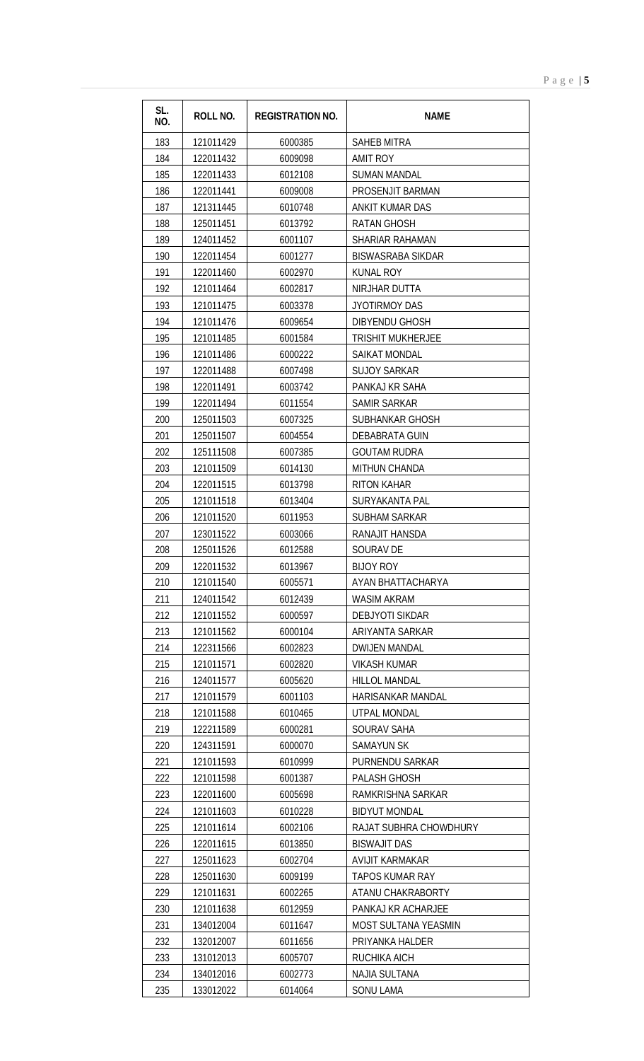| SL.<br>NO. | <b>ROLL NO.</b> | <b>REGISTRATION NO.</b> | <b>NAME</b>              |  |
|------------|-----------------|-------------------------|--------------------------|--|
| 183        | 121011429       | 6000385                 | SAHEB MITRA              |  |
| 184        | 122011432       | 6009098                 | AMIT ROY                 |  |
| 185        | 122011433       | 6012108                 | SUMAN MANDAL             |  |
| 186        | 122011441       | 6009008                 | PROSENJIT BARMAN         |  |
| 187        | 121311445       | 6010748                 | <b>ANKIT KUMAR DAS</b>   |  |
| 188        | 125011451       | 6013792                 | RATAN GHOSH              |  |
| 189        | 124011452       | 6001107                 | SHARIAR RAHAMAN          |  |
| 190        | 122011454       | 6001277                 | BISWASRABA SIKDAR        |  |
| 191        | 122011460       | 6002970                 | <b>KUNAL ROY</b>         |  |
| 192        | 121011464       | 6002817                 | NIRJHAR DUTTA            |  |
| 193        | 121011475       | 6003378                 | JYOTIRMOY DAS            |  |
| 194        | 121011476       | 6009654                 | DIBYENDU GHOSH           |  |
| 195        | 121011485       | 6001584                 | <b>TRISHIT MUKHERJEE</b> |  |
| 196        | 121011486       | 6000222                 | SAIKAT MONDAL            |  |
| 197        | 122011488       | 6007498                 | SUJOY SARKAR             |  |
| 198        | 122011491       | 6003742                 | PANKAJ KR SAHA           |  |
| 199        | 122011494       | 6011554                 | SAMIR SARKAR             |  |
| 200        | 125011503       | 6007325                 | SUBHANKAR GHOSH          |  |
| 201        | 125011507       | 6004554                 | DEBABRATA GUIN           |  |
| 202        | 125111508       | 6007385                 | <b>GOUTAM RUDRA</b>      |  |
| 203        | 121011509       | 6014130                 | MITHUN CHANDA            |  |
| 204        | 122011515       | 6013798                 | RITON KAHAR              |  |
| 205        | 121011518       | 6013404                 | SURYAKANTA PAL           |  |
| 206        | 121011520       | 6011953                 | <b>SUBHAM SARKAR</b>     |  |
| 207        | 123011522       | 6003066                 | RANAJIT HANSDA           |  |
| 208        | 125011526       | 6012588                 | SOURAV DE                |  |
| 209        | 122011532       | 6013967                 | <b>BIJOY ROY</b>         |  |
| 210        | 121011540       | 6005571                 | AYAN BHATTACHARYA        |  |
| 211        | 124011542       | 6012439                 | WASIM AKRAM              |  |
| 212        | 121011552       | <b>6000507</b>          | DER IVOTI SIKDAR         |  |

| 184 | 122011432 | 6009098 | <b>AMIT ROY</b>          |
|-----|-----------|---------|--------------------------|
| 185 | 122011433 | 6012108 | <b>SUMAN MANDAL</b>      |
| 186 | 122011441 | 6009008 | PROSENJIT BARMAN         |
| 187 | 121311445 | 6010748 | ANKIT KUMAR DAS          |
| 188 | 125011451 | 6013792 | <b>RATAN GHOSH</b>       |
| 189 | 124011452 | 6001107 | SHARIAR RAHAMAN          |
| 190 | 122011454 | 6001277 | <b>BISWASRABA SIKDAR</b> |
| 191 | 122011460 | 6002970 | KUNAL ROY                |
| 192 | 121011464 | 6002817 | NIRJHAR DUTTA            |
| 193 | 121011475 | 6003378 | JYOTIRMOY DAS            |
| 194 | 121011476 | 6009654 | DIBYENDU GHOSH           |
| 195 | 121011485 | 6001584 | <b>TRISHIT MUKHERJEE</b> |
| 196 | 121011486 | 6000222 | SAIKAT MONDAL            |
| 197 | 122011488 | 6007498 | <b>SUJOY SARKAR</b>      |
| 198 | 122011491 | 6003742 | PANKAJ KR SAHA           |
| 199 | 122011494 | 6011554 | SAMIR SARKAR             |
| 200 | 125011503 | 6007325 | SUBHANKAR GHOSH          |
| 201 | 125011507 | 6004554 | DEBABRATA GUIN           |
| 202 | 125111508 | 6007385 | <b>GOUTAM RUDRA</b>      |
| 203 | 121011509 | 6014130 | <b>MITHUN CHANDA</b>     |
| 204 | 122011515 | 6013798 | RITON KAHAR              |
| 205 | 121011518 | 6013404 | SURYAKANTA PAL           |
| 206 | 121011520 | 6011953 | <b>SUBHAM SARKAR</b>     |
| 207 | 123011522 | 6003066 | RANAJIT HANSDA           |
| 208 | 125011526 | 6012588 | SOURAV DE                |
| 209 | 122011532 | 6013967 | <b>BIJOY ROY</b>         |
| 210 | 121011540 | 6005571 | AYAN BHATTACHARYA        |
| 211 | 124011542 | 6012439 | WASIM AKRAM              |
| 212 | 121011552 | 6000597 | <b>DEBJYOTI SIKDAR</b>   |
| 213 | 121011562 | 6000104 | ARIYANTA SARKAR          |
| 214 | 122311566 | 6002823 | <b>DWIJEN MANDAL</b>     |
| 215 | 121011571 | 6002820 | <b>VIKASH KUMAR</b>      |
| 216 | 124011577 | 6005620 | <b>HILLOL MANDAL</b>     |
| 217 | 121011579 | 6001103 | HARISANKAR MANDAL        |
| 218 | 121011588 | 6010465 | UTPAL MONDAL             |
| 219 | 122211589 | 6000281 | SOURAV SAHA              |
| 220 | 124311591 | 6000070 | SAMAYUN SK               |
| 221 | 121011593 | 6010999 | PURNENDU SARKAR          |
| 222 | 121011598 | 6001387 | PALASH GHOSH             |
| 223 | 122011600 | 6005698 | RAMKRISHNA SARKAR        |
| 224 | 121011603 | 6010228 | <b>BIDYUT MONDAL</b>     |
| 225 | 121011614 | 6002106 | RAJAT SUBHRA CHOWDHURY   |
| 226 | 122011615 | 6013850 | BISWAJIT DAS             |
| 227 | 125011623 | 6002704 | AVIJIT KARMAKAR          |
| 228 | 125011630 | 6009199 | <b>TAPOS KUMAR RAY</b>   |
| 229 | 121011631 | 6002265 | ATANU CHAKRABORTY        |
| 230 | 121011638 | 6012959 | PANKAJ KR ACHARJEE       |
| 231 | 134012004 | 6011647 | MOST SULTANA YEASMIN     |
| 232 | 132012007 | 6011656 | PRIYANKA HALDER          |
| 233 | 131012013 | 6005707 | RUCHIKA AICH             |
| 234 | 134012016 | 6002773 | <b>NAJIA SULTANA</b>     |
| 235 | 133012022 | 6014064 | <b>SONU LAMA</b>         |

**SL.**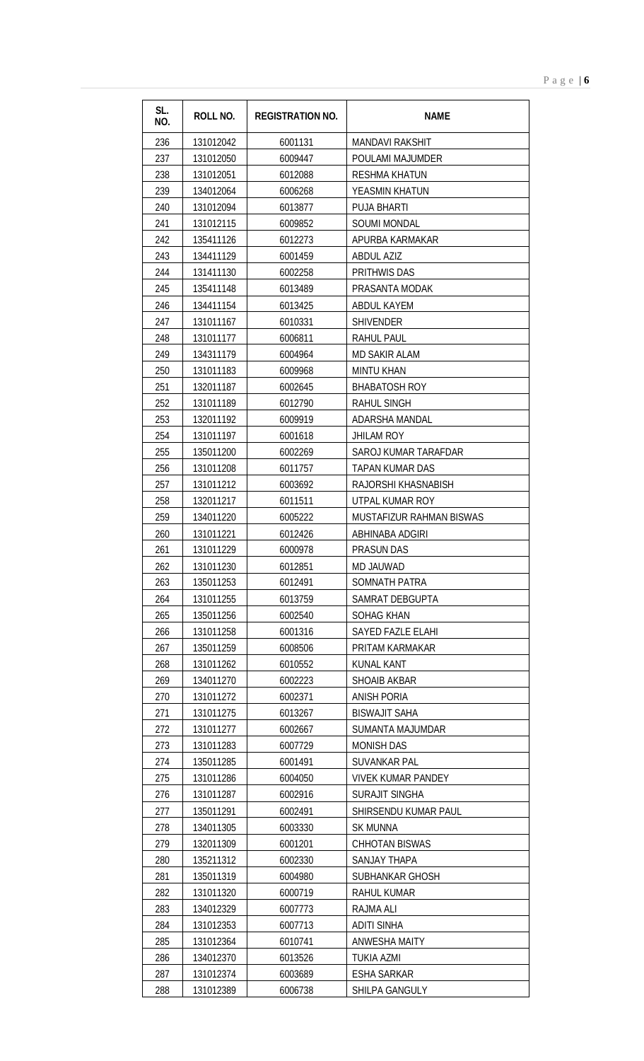| SL.<br>NO. | <b>ROLL NO.</b> | <b>REGISTRATION NO.</b> | <b>NAME</b>               |
|------------|-----------------|-------------------------|---------------------------|
| 236        | 131012042       | 6001131                 | <b>MANDAVI RAKSHIT</b>    |
| 237        | 131012050       | 6009447                 | POULAMI MAJUMDER          |
| 238        | 131012051       | 6012088                 | <b>RESHMA KHATUN</b>      |
| 239        | 134012064       | 6006268                 | YEASMIN KHATUN            |
| 240        | 131012094       | 6013877                 | <b>PUJA BHARTI</b>        |
| 241        | 131012115       | 6009852                 | <b>SOUMI MONDAL</b>       |
| 242        | 135411126       | 6012273                 | APURBA KARMAKAR           |
| 243        | 134411129       | 6001459                 | <b>ABDUL AZIZ</b>         |
| 244        | 131411130       | 6002258                 | PRITHWIS DAS              |
| 245        | 135411148       | 6013489                 | PRASANTA MODAK            |
| 246        | 134411154       | 6013425                 | <b>ABDUL KAYEM</b>        |
| 247        | 131011167       | 6010331                 | <b>SHIVENDER</b>          |
| 248        | 131011177       | 6006811                 | <b>RAHUL PAUL</b>         |
| 249        | 134311179       | 6004964                 | MD SAKIR ALAM             |
| 250        | 131011183       | 6009968                 | <b>MINTU KHAN</b>         |
| 251        | 132011187       | 6002645                 | <b>BHABATOSH ROY</b>      |
| 252        | 131011189       | 6012790                 | <b>RAHUL SINGH</b>        |
| 253        | 132011192       | 6009919                 | ADARSHA MANDAL            |
| 254        | 131011197       | 6001618                 | <b>JHILAM ROY</b>         |
| 255        | 135011200       | 6002269                 | SAROJ KUMAR TARAFDAR      |
| 256        | 131011208       | 6011757                 | TAPAN KUMAR DAS           |
| 257        | 131011212       | 6003692                 | RAJORSHI KHASNABISH       |
| 258        | 132011217       | 6011511                 | UTPAL KUMAR ROY           |
| 259        | 134011220       | 6005222                 | MUSTAFIZUR RAHMAN BISWAS  |
| 260        | 131011221       | 6012426                 | ABHINABA ADGIRI           |
| 261        | 131011229       | 6000978                 | <b>PRASUN DAS</b>         |
| 262        | 131011230       | 6012851                 | MD JAUWAD                 |
| 263        | 135011253       | 6012491                 | SOMNATH PATRA             |
| 264        | 131011255       | 6013759                 | SAMRAT DEBGUPTA           |
| 265        | 135011256       | 6002540                 | SOHAG KHAN                |
| 266        | 131011258       | 6001316                 | <b>SAYED FAZLE ELAHI</b>  |
| 267        | 135011259       | 6008506                 | PRITAM KARMAKAR           |
| 268        | 131011262       | 6010552                 | KUNAL KANT                |
| 269        | 134011270       | 6002223                 | SHOAIB AKBAR              |
| 270        | 131011272       | 6002371                 | <b>ANISH PORIA</b>        |
| 271        | 131011275       | 6013267                 | <b>BISWAJIT SAHA</b>      |
| 272        | 131011277       | 6002667                 | SUMANTA MAJUMDAR          |
| 273        | 131011283       | 6007729                 | <b>MONISH DAS</b>         |
| 274        | 135011285       | 6001491                 | <b>SUVANKAR PAL</b>       |
| 275        | 131011286       | 6004050                 | <b>VIVEK KUMAR PANDEY</b> |
| 276        | 131011287       | 6002916                 | <b>SURAJIT SINGHA</b>     |
| 277        | 135011291       | 6002491                 | SHIRSENDU KUMAR PAUL      |
| 278        | 134011305       | 6003330                 | <b>SK MUNNA</b>           |
| 279        | 132011309       | 6001201                 | <b>CHHOTAN BISWAS</b>     |
| 280        | 135211312       | 6002330                 | SANJAY THAPA              |
| 281        | 135011319       | 6004980                 | SUBHANKAR GHOSH           |
| 282        | 131011320       | 6000719                 | <b>RAHUL KUMAR</b>        |
| 283        | 134012329       | 6007773                 | RAJMA ALI                 |
| 284        | 131012353       | 6007713                 | <b>ADITI SINHA</b>        |
| 285        | 131012364       | 6010741                 | ANWESHA MAITY             |
| 286        | 134012370       | 6013526                 | TUKIA AZMI                |
| 287        | 131012374       | 6003689                 | <b>ESHA SARKAR</b>        |

131012389 6006738 SHILPA GANGULY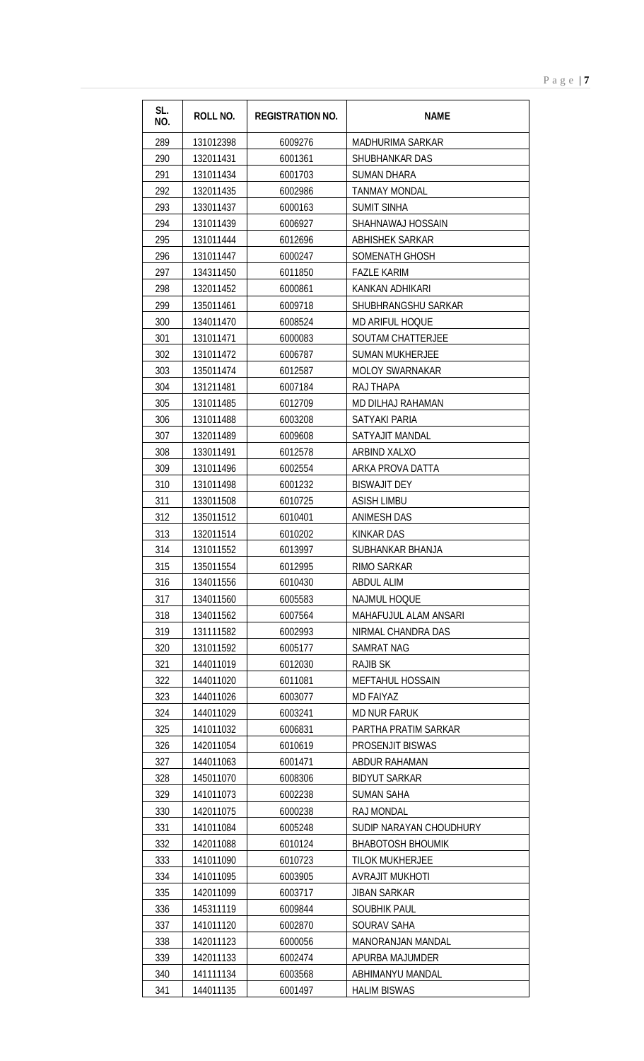| $P$ a g e $ 7$ |
|----------------|
|                |
|                |
|                |
|                |

| SL.<br>NO. | ROLL NO.               | <b>REGISTRATION NO.</b> | <b>NAME</b>                                 |
|------------|------------------------|-------------------------|---------------------------------------------|
| 289        | 131012398              | 6009276                 | <b>MADHURIMA SARKAR</b>                     |
| 290        | 132011431              | 6001361                 | SHUBHANKAR DAS                              |
| 291        | 131011434              | 6001703                 | <b>SUMAN DHARA</b>                          |
| 292        | 132011435              | 6002986                 | <b>TANMAY MONDAL</b>                        |
| 293        | 133011437              | 6000163                 | <b>SUMIT SINHA</b>                          |
| 294        | 131011439              | 6006927                 | SHAHNAWAJ HOSSAIN                           |
| 295        | 131011444              | 6012696                 | <b>ABHISHEK SARKAR</b>                      |
| 296        | 131011447              | 6000247                 | <b>SOMENATH GHOSH</b>                       |
| 297        | 134311450              | 6011850                 | <b>FAZLE KARIM</b>                          |
| 298        | 132011452              | 6000861                 | KANKAN ADHIKARI                             |
| 299        | 135011461              | 6009718                 | SHUBHRANGSHU SARKAR                         |
| 300        | 134011470              | 6008524                 | <b>MD ARIFUL HOQUE</b>                      |
| 301        | 131011471              | 6000083                 | <b>SOUTAM CHATTERJEE</b>                    |
| 302        | 131011472              | 6006787                 | <b>SUMAN MUKHERJEE</b>                      |
| 303        | 135011474              | 6012587                 | <b>MOLOY SWARNAKAR</b>                      |
| 304        | 131211481              | 6007184                 | RAJ THAPA                                   |
| 305        | 131011485              | 6012709                 | MD DILHAJ RAHAMAN                           |
| 306        | 131011488              | 6003208                 | <b>SATYAKI PARIA</b>                        |
| 307        | 132011489              | 6009608                 | SATYAJIT MANDAL                             |
| 308        | 133011491              | 6012578                 | ARBIND XALXO                                |
| 309        | 131011496              | 6002554                 | ARKA PROVA DATTA                            |
| 310        | 131011498              | 6001232                 | <b>BISWAJIT DEY</b>                         |
| 311        | 133011508              | 6010725                 | ASISH LIMBU                                 |
| 312        | 135011512              | 6010401                 | <b>ANIMESH DAS</b>                          |
| 313        | 132011514              | 6010202                 | <b>KINKAR DAS</b>                           |
| 314        | 131011552              | 6013997                 | SUBHANKAR BHANJA                            |
| 315        | 135011554              | 6012995                 | <b>RIMO SARKAR</b>                          |
| 316        | 134011556              | 6010430                 | ABDUL ALIM                                  |
| 317        | 134011560              | 6005583                 | <b>NAJMUL HOQUE</b>                         |
| 318        | 134011562              | 6007564                 | MAHAFUJUL ALAM ANSARI                       |
| 319        | 131111582              | 6002993                 | NIRMAL CHANDRA DAS                          |
| 320        | 131011592              | 6005177                 | <b>SAMRAT NAG</b>                           |
| 321        | 144011019              | 6012030                 | RAJIB SK                                    |
| 322        | 144011020              | 6011081                 | MEFTAHUL HOSSAIN                            |
| 323        | 144011026              | 6003077                 | <b>MD FAIYAZ</b>                            |
| 324<br>325 | 144011029<br>141011032 | 6003241<br>6006831      | <b>MD NUR FARUK</b><br>PARTHA PRATIM SARKAR |
| 326        | 142011054              | 6010619                 | <b>PROSENJIT BISWAS</b>                     |
| 327        | 144011063              | 6001471                 | ABDUR RAHAMAN                               |
| 328        | 145011070              | 6008306                 | <b>BIDYUT SARKAR</b>                        |
| 329        | 141011073              | 6002238                 | SUMAN SAHA                                  |
| 330        | 142011075              | 6000238                 | <b>RAJ MONDAL</b>                           |
| 331        | 141011084              | 6005248                 | SUDIP NARAYAN CHOUDHURY                     |
| 332        | 142011088              | 6010124                 | <b>BHABOTOSH BHOUMIK</b>                    |
| 333        | 141011090              | 6010723                 | <b>TILOK MUKHERJEE</b>                      |
| 334        | 141011095              | 6003905                 | <b>AVRAJIT MUKHOTI</b>                      |
| 335        | 142011099              | 6003717                 | <b>JIBAN SARKAR</b>                         |
| 336        | 145311119              | 6009844                 | SOUBHIK PAUL                                |
| 337        | 141011120              | 6002870                 | SOURAV SAHA                                 |
| 338        | 142011123              | 6000056                 | MANORANJAN MANDAL                           |
| 339        | 142011133              | 6002474                 | APURBA MAJUMDER                             |
| 340        | 141111134              | 6003568                 | ABHIMANYU MANDAL                            |
| 341        | 144011135              | 6001497                 | <b>HALIM BISWAS</b>                         |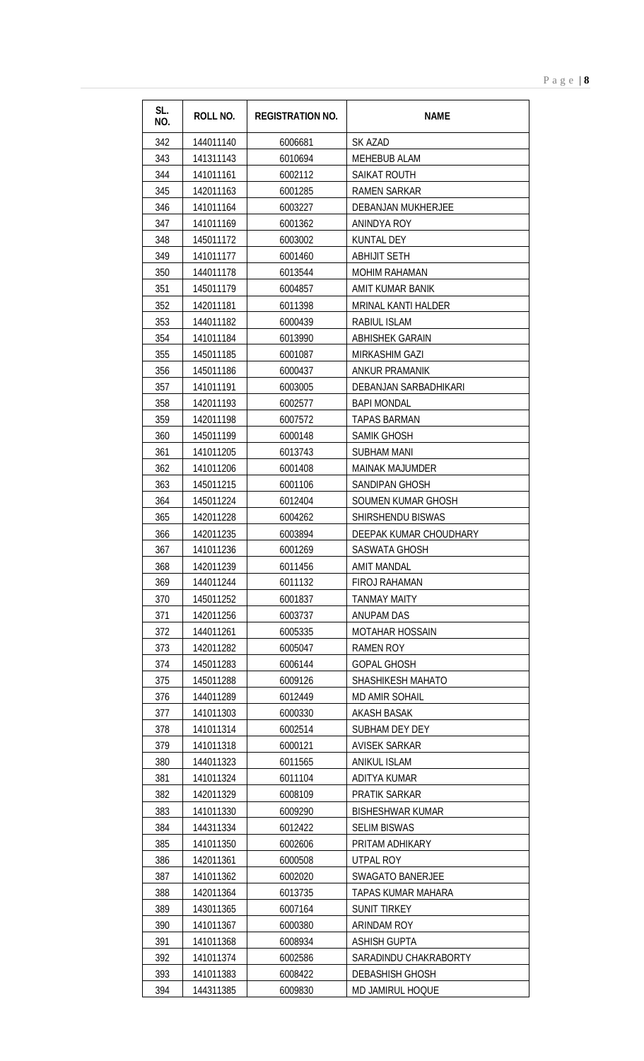| SL.<br>NO. | <b>ROLL NO.</b>        | <b>REGISTRATION NO.</b> | <b>NAME</b>                             |
|------------|------------------------|-------------------------|-----------------------------------------|
|            |                        |                         |                                         |
| 342        | 144011140              | 6006681                 | SK AZAD                                 |
| 343        | 141311143              | 6010694                 | <b>MEHEBUB ALAM</b>                     |
| 344        | 141011161              | 6002112                 | <b>SAIKAT ROUTH</b>                     |
| 345        | 142011163              | 6001285                 | <b>RAMEN SARKAR</b>                     |
| 346        | 141011164              | 6003227                 | DEBANJAN MUKHERJEE                      |
| 347        | 141011169              | 6001362                 | ANINDYA ROY                             |
| 348        | 145011172              | 6003002                 | <b>KUNTAL DEY</b>                       |
| 349        | 141011177              | 6001460                 | <b>ABHIJIT SETH</b>                     |
| 350        | 144011178              | 6013544                 | <b>MOHIM RAHAMAN</b>                    |
| 351        | 145011179              | 6004857                 | AMIT KUMAR BANIK                        |
| 352        | 142011181              | 6011398                 | <b>MRINAL KANTI HALDER</b>              |
| 353        | 144011182<br>141011184 | 6000439                 | <b>RABIUL ISLAM</b>                     |
| 354        |                        | 6013990                 | <b>ABHISHEK GARAIN</b>                  |
| 355        | 145011185              | 6001087                 | MIRKASHIM GAZI<br><b>ANKUR PRAMANIK</b> |
| 356        | 145011186              | 6000437                 | DEBANJAN SARBADHIKARI                   |
| 357        | 141011191              | 6003005                 |                                         |
| 358        | 142011193              | 6002577                 | <b>BAPI MONDAL</b>                      |
| 359        | 142011198              | 6007572                 | <b>TAPAS BARMAN</b>                     |
| 360        | 145011199              | 6000148                 | <b>SAMIK GHOSH</b>                      |
| 361        | 141011205              | 6013743                 | <b>SUBHAM MANI</b>                      |
| 362        | 141011206              | 6001408                 | <b>MAINAK MAJUMDER</b>                  |
| 363        | 145011215              | 6001106                 | SANDIPAN GHOSH                          |
| 364        | 145011224              | 6012404                 | SOUMEN KUMAR GHOSH                      |
| 365        | 142011228              | 6004262                 | SHIRSHENDU BISWAS                       |
| 366        | 142011235              | 6003894                 | DEEPAK KUMAR CHOUDHARY                  |
| 367        | 141011236              | 6001269                 | SASWATA GHOSH                           |
| 368        | 142011239              | 6011456                 | AMIT MANDAL                             |
| 369        | 144011244              | 6011132                 | FIROJ RAHAMAN                           |
| 370        | 145011252              | 6001837                 | TANMAY MAITY                            |
| 371        | 142011256              | 6003737                 | ANUPAM DAS                              |
| 372        | 144011261              | 6005335                 | <b>MOTAHAR HOSSAIN</b>                  |
| 373        | 142011282              | 6005047                 | <b>RAMEN ROY</b>                        |
| 374        | 145011283              | 6006144                 | GOPAL GHOSH                             |
| 375        | 145011288              | 6009126                 | SHASHIKESH MAHATO                       |
| 376        | 144011289              | 6012449                 | MD AMIR SOHAIL                          |
| 377        | 141011303              | 6000330                 | AKASH BASAK                             |
| 378        | 141011314              | 6002514                 | SUBHAM DEY DEY                          |
| 379<br>380 | 141011318<br>144011323 | 6000121<br>6011565      | AVISEK SARKAR<br><b>ANIKUL ISLAM</b>    |
| 381        |                        |                         |                                         |
|            | 141011324              | 6011104                 | ADITYA KUMAR<br>PRATIK SARKAR           |
| 382<br>383 | 142011329<br>141011330 | 6008109<br>6009290      | <b>BISHESHWAR KUMAR</b>                 |
|            |                        |                         | <b>SELIM BISWAS</b>                     |
| 384<br>385 | 144311334<br>141011350 | 6012422<br>6002606      | PRITAM ADHIKARY                         |
|            |                        |                         |                                         |
| 386<br>387 | 142011361<br>141011362 | 6000508<br>6002020      | UTPAL ROY<br>SWAGATO BANERJEE           |
| 388        | 142011364              | 6013735                 | TAPAS KUMAR MAHARA                      |
| 389        | 143011365              | 6007164                 | SUNIT TIRKEY                            |
| 390        | 141011367              | 6000380                 | ARINDAM ROY                             |
| 391        | 141011368              | 6008934                 | ASHISH GUPTA                            |
| 392        | 141011374              | 6002586                 | SARADINDU CHAKRABORTY                   |
| 393        | 141011383              | 6008422                 | <b>DEBASHISH GHOSH</b>                  |
| 394        | 144311385              | 6009830                 | MD JAMIRUL HOQUE                        |
|            |                        |                         |                                         |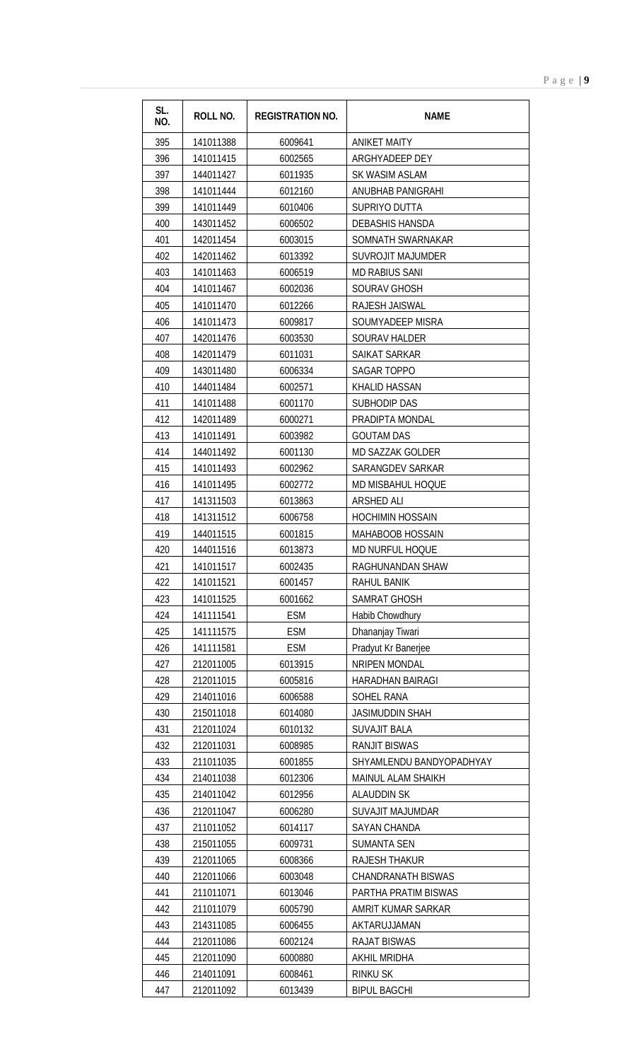| SL.<br>NO. | <b>ROLL NO.</b>        | <b>REGISTRATION NO.</b> | <b>NAME</b>                          |
|------------|------------------------|-------------------------|--------------------------------------|
| 395        | 141011388              | 6009641                 | <b>ANIKET MAITY</b>                  |
| 396        | 141011415              | 6002565                 | ARGHYADEEP DEY                       |
| 397        | 144011427              | 6011935                 | SK WASIM ASLAM                       |
| 398        | 141011444              | 6012160                 | ANUBHAB PANIGRAHI                    |
| 399        | 141011449              | 6010406                 | SUPRIYO DUTTA                        |
| 400        | 143011452              | 6006502                 | <b>DEBASHIS HANSDA</b>               |
| 401        | 142011454              | 6003015                 | SOMNATH SWARNAKAR                    |
| 402        | 142011462              | 6013392                 | <b>SUVROJIT MAJUMDER</b>             |
| 403        | 141011463              | 6006519                 | <b>MD RABIUS SANI</b>                |
| 404        | 141011467              | 6002036                 | <b>SOURAV GHOSH</b>                  |
| 405        | 141011470              | 6012266                 | RAJESH JAISWAL                       |
| 406        | 141011473              | 6009817                 | SOUMYADEEP MISRA                     |
| 407        | 142011476              | 6003530                 | <b>SOURAV HALDER</b>                 |
| 408        | 142011479              | 6011031                 | SAIKAT SARKAR                        |
| 409        | 143011480              | 6006334                 | <b>SAGAR TOPPO</b>                   |
| 410        | 144011484              | 6002571                 | KHALID HASSAN                        |
| 411        | 141011488              | 6001170                 | SUBHODIP DAS                         |
| 412        | 142011489              | 6000271                 | PRADIPTA MONDAL                      |
| 413        | 141011491              | 6003982                 | <b>GOUTAM DAS</b>                    |
| 414        | 144011492              | 6001130                 | <b>MD SAZZAK GOLDER</b>              |
| 415        | 141011493              | 6002962                 | SARANGDEV SARKAR                     |
| 416        | 141011495              | 6002772                 | MD MISBAHUL HOQUE                    |
| 417        | 141311503              | 6013863                 | ARSHED ALI                           |
| 418        | 141311512              | 6006758                 | <b>HOCHIMIN HOSSAIN</b>              |
| 419        | 144011515              | 6001815                 | MAHABOOB HOSSAIN                     |
| 420        | 144011516              | 6013873                 | MD NURFUL HOQUE                      |
| 421        | 141011517              | 6002435                 | RAGHUNANDAN SHAW                     |
| 422        | 141011521              | 6001457                 | RAHUL BANIK                          |
| 423        | 141011525              | 6001662                 | <b>SAMRAT GHOSH</b>                  |
| 424        | 141111541              | <b>ESM</b>              | Habib Chowdhury                      |
| 425        | 141111575              | <b>ESM</b>              | Dhananjay Tiwari                     |
| 426        | 141111581              | ESM                     | Pradyut Kr Banerjee                  |
| 427        | 212011005              | 6013915                 | NRIPEN MONDAL                        |
| 428        | 212011015              | 6005816                 | <b>HARADHAN BAIRAGI</b>              |
| 429        | 214011016<br>215011018 | 6006588                 | SOHEL RANA<br><b>JASIMUDDIN SHAH</b> |
| 430<br>431 | 212011024              | 6014080                 | <b>SUVAJIT BALA</b>                  |
| 432        | 212011031              | 6010132<br>6008985      | <b>RANJIT BISWAS</b>                 |
| 433        | 211011035              | 6001855                 | SHYAMLENDU BANDYOPADHYAY             |
| 434        | 214011038              | 6012306                 | <b>MAINUL ALAM SHAIKH</b>            |
| 435        | 214011042              | 6012956                 | <b>ALAUDDIN SK</b>                   |
| 436        | 212011047              | 6006280                 | <b>SUVAJIT MAJUMDAR</b>              |
| 437        | 211011052              | 6014117                 | <b>SAYAN CHANDA</b>                  |
| 438        | 215011055              | 6009731                 | SUMANTA SEN                          |
| 439        | 212011065              | 6008366                 | <b>RAJESH THAKUR</b>                 |
| 440        | 212011066              | 6003048                 | <b>CHANDRANATH BISWAS</b>            |
| 441        | 211011071              | 6013046                 | PARTHA PRATIM BISWAS                 |
| 442        | 211011079              | 6005790                 | AMRIT KUMAR SARKAR                   |
| 443        | 214311085              | 6006455                 | AKTARUJJAMAN                         |
| 444        | 212011086              | 6002124                 | <b>RAJAT BISWAS</b>                  |
| 445        | 212011090              | 6000880                 | <b>AKHIL MRIDHA</b>                  |
| 446        | 214011091              | 6008461                 | <b>RINKU SK</b>                      |
| 447        | 212011092              | 6013439                 | <b>BIPUL BAGCHI</b>                  |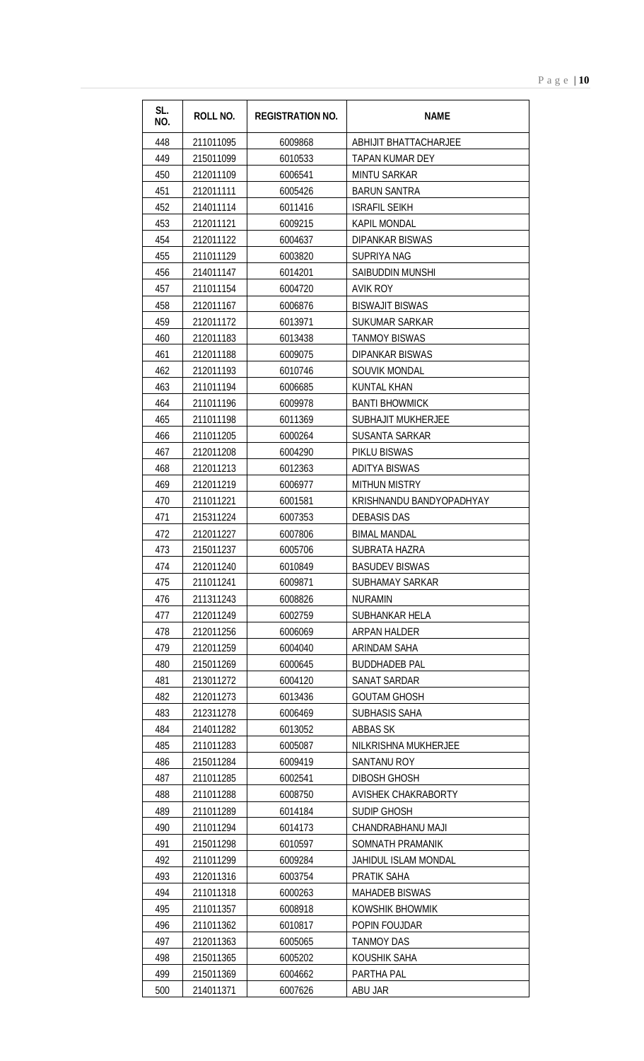| SL.<br>NO. | ROLL NO.  | <b>REGISTRATION NO.</b> | <b>NAME</b>                |
|------------|-----------|-------------------------|----------------------------|
| 448        | 211011095 | 6009868                 | ABHIJIT BHATTACHARJEE      |
| 449        | 215011099 | 6010533                 | <b>TAPAN KUMAR DEY</b>     |
| 450        | 212011109 | 6006541                 | <b>MINTU SARKAR</b>        |
| 451        | 212011111 | 6005426                 | <b>BARUN SANTRA</b>        |
| 452        | 214011114 | 6011416                 | <b>ISRAFIL SEIKH</b>       |
| 453        | 212011121 | 6009215                 | <b>KAPIL MONDAL</b>        |
| 454        | 212011122 | 6004637                 | <b>DIPANKAR BISWAS</b>     |
| 455        | 211011129 | 6003820                 | <b>SUPRIYA NAG</b>         |
| 456        | 214011147 | 6014201                 | SAIBUDDIN MUNSHI           |
| 457        | 211011154 | 6004720                 | <b>AVIK ROY</b>            |
| 458        | 212011167 | 6006876                 | <b>BISWAJIT BISWAS</b>     |
| 459        | 212011172 | 6013971                 | SUKUMAR SARKAR             |
| 460        | 212011183 | 6013438                 | <b>TANMOY BISWAS</b>       |
| 461        | 212011188 | 6009075                 | <b>DIPANKAR BISWAS</b>     |
| 462        | 212011193 | 6010746                 | <b>SOUVIK MONDAL</b>       |
| 463        | 211011194 | 6006685                 | <b>KUNTAL KHAN</b>         |
| 464        | 211011196 | 6009978                 | <b>BANTI BHOWMICK</b>      |
| 465        | 211011198 | 6011369                 | <b>SUBHAJIT MUKHERJEE</b>  |
| 466        | 211011205 | 6000264                 | <b>SUSANTA SARKAR</b>      |
| 467        | 212011208 | 6004290                 | PIKLU BISWAS               |
| 468        | 212011213 | 6012363                 | <b>ADITYA BISWAS</b>       |
| 469        | 212011219 | 6006977                 | <b>MITHUN MISTRY</b>       |
| 470        | 211011221 | 6001581                 | KRISHNANDU BANDYOPADHYAY   |
| 471        | 215311224 | 6007353                 | <b>DEBASIS DAS</b>         |
| 472        | 212011227 | 6007806                 | <b>BIMAL MANDAL</b>        |
| 473        | 215011237 | 6005706                 | SUBRATA HAZRA              |
| 474        | 212011240 | 6010849                 | <b>BASUDEV BISWAS</b>      |
| 475        | 211011241 | 6009871                 | SUBHAMAY SARKAR            |
| 476        | 211311243 | 6008826                 | <b>NURAMIN</b>             |
| 477        | 212011249 | 6002759                 | SUBHANKAR HELA             |
| 478        | 212011256 | 6006069                 | <b>ARPAN HALDER</b>        |
| 479        | 212011259 | 6004040                 | ARINDAM SAHA               |
| 480        | 215011269 | 6000645                 | <b>BUDDHADEB PAL</b>       |
| 481        | 213011272 | 6004120                 | <b>SANAT SARDAR</b>        |
| 482        | 212011273 | 6013436                 | <b>GOUTAM GHOSH</b>        |
| 483        | 212311278 | 6006469                 | SUBHASIS SAHA              |
| 484        | 214011282 | 6013052                 | <b>ABBAS SK</b>            |
| 485        | 211011283 | 6005087                 | NILKRISHNA MUKHERJEE       |
| 486        | 215011284 | 6009419                 | SANTANU ROY                |
| 487        | 211011285 | 6002541                 | <b>DIBOSH GHOSH</b>        |
| 488        | 211011288 | 6008750                 | <b>AVISHEK CHAKRABORTY</b> |
| 489        | 211011289 | 6014184                 | SUDIP GHOSH                |
| 490        | 211011294 | 6014173                 | CHANDRABHANU MAJI          |
| 491        | 215011298 | 6010597                 | SOMNATH PRAMANIK           |
| 492        | 211011299 | 6009284                 | JAHIDUL ISLAM MONDAL       |
| 493        | 212011316 | 6003754                 | PRATIK SAHA                |
| 494        | 211011318 | 6000263                 | <b>MAHADEB BISWAS</b>      |
| 495        | 211011357 | 6008918                 | KOWSHIK BHOWMIK            |
| 496        | 211011362 | 6010817                 | POPIN FOUJDAR              |
| 497        | 212011363 | 6005065                 | <b>TANMOY DAS</b>          |
| 498        | 215011365 | 6005202                 | KOUSHIK SAHA               |
| 499        | 215011369 | 6004662                 | PARTHA PAL                 |
| 500        | 214011371 | 6007626                 | ABU JAR                    |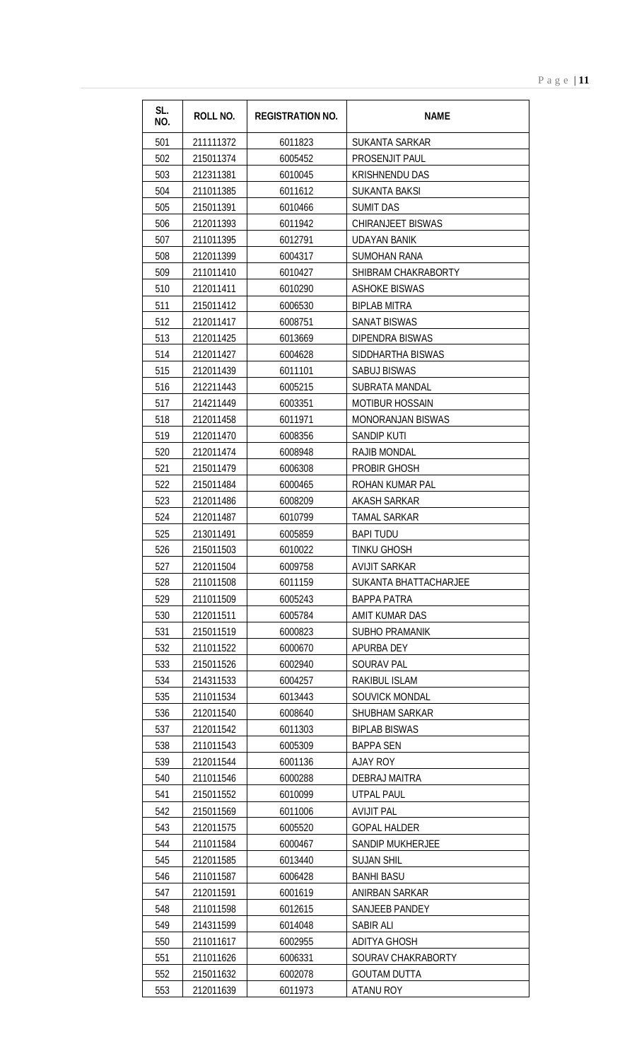| SL.<br>NO. | ROLL NO.  | <b>REGISTRATION NO.</b> | <b>NAME</b>              |
|------------|-----------|-------------------------|--------------------------|
| 501        | 211111372 | 6011823                 | SUKANTA SARKAR           |
| 502        | 215011374 | 6005452                 | PROSENJIT PAUL           |
| 503        | 212311381 | 6010045                 | <b>KRISHNENDU DAS</b>    |
| 504        | 211011385 | 6011612                 | <b>SUKANTA BAKSI</b>     |
| 505        | 215011391 | 6010466                 | <b>SUMIT DAS</b>         |
| 506        | 212011393 | 6011942                 | CHIRANJEET BISWAS        |
| 507        | 211011395 | 6012791                 | <b>UDAYAN BANIK</b>      |
| 508        | 212011399 | 6004317                 | <b>SUMOHAN RANA</b>      |
| 509        | 211011410 | 6010427                 | SHIBRAM CHAKRABORTY      |
| 510        | 212011411 | 6010290                 | <b>ASHOKE BISWAS</b>     |
| 511        | 215011412 | 6006530                 | <b>BIPLAB MITRA</b>      |
| 512        | 212011417 | 6008751                 | <b>SANAT BISWAS</b>      |
| 513        | 212011425 | 6013669                 | <b>DIPENDRA BISWAS</b>   |
| 514        | 212011427 | 6004628                 | SIDDHARTHA BISWAS        |
| 515        | 212011439 | 6011101                 | <b>SABUJ BISWAS</b>      |
| 516        | 212211443 | 6005215                 | <b>SUBRATA MANDAL</b>    |
| 517        | 214211449 | 6003351                 | <b>MOTIBUR HOSSAIN</b>   |
| 518        | 212011458 | 6011971                 | <b>MONORANJAN BISWAS</b> |
| 519        | 212011470 | 6008356                 | <b>SANDIP KUTI</b>       |
| 520        | 212011474 | 6008948                 | <b>RAJIB MONDAL</b>      |
| 521        | 215011479 | 6006308                 | PROBIR GHOSH             |
| 522        | 215011484 | 6000465                 | ROHAN KUMAR PAL          |
| 523        | 212011486 | 6008209                 | <b>AKASH SARKAR</b>      |
| 524        | 212011487 | 6010799                 | <b>TAMAL SARKAR</b>      |
| 525        | 213011491 | 6005859                 | <b>BAPI TUDU</b>         |
| 526        | 215011503 | 6010022                 | <b>TINKU GHOSH</b>       |
| 527        | 212011504 | 6009758                 | <b>AVIJIT SARKAR</b>     |
| 528        | 211011508 | 6011159                 | SUKANTA BHATTACHARJEE    |
| 529        | 211011509 | 6005243                 | <b>BAPPA PATRA</b>       |
| 530        | 212011511 | 6005784                 | AMIT KUMAR DAS           |
| 531        | 215011519 | 6000823                 | <b>SUBHO PRAMANIK</b>    |
| 532        | 211011522 | 6000670                 | APURBA DEY               |
| 533        | 215011526 | 6002940                 | <b>SOURAV PAL</b>        |
| 534        | 214311533 | 6004257                 | RAKIBUL ISLAM            |
| 535        | 211011534 | 6013443                 | SOUVICK MONDAL           |
| 536        | 212011540 | 6008640                 | SHUBHAM SARKAR           |
| 537        | 212011542 | 6011303                 | <b>BIPLAB BISWAS</b>     |
| 538        | 211011543 | 6005309                 | <b>BAPPA SEN</b>         |
| 539        | 212011544 | 6001136                 | <b>AJAY ROY</b>          |
| 540        | 211011546 | 6000288                 | <b>DEBRAJ MAITRA</b>     |
| 541        | 215011552 | 6010099                 | <b>UTPAL PAUL</b>        |
| 542        | 215011569 | 6011006                 | <b>AVIJIT PAL</b>        |
| 543        | 212011575 | 6005520                 | <b>GOPAL HALDER</b>      |
| 544        | 211011584 | 6000467                 | <b>SANDIP MUKHERJEE</b>  |
| 545        | 212011585 | 6013440                 | <b>SUJAN SHIL</b>        |
| 546        | 211011587 | 6006428                 | <b>BANHI BASU</b>        |
| 547        | 212011591 | 6001619                 | <b>ANIRBAN SARKAR</b>    |
| 548        | 211011598 | 6012615                 | SANJEEB PANDEY           |
| 549        | 214311599 | 6014048                 | SABIR ALI                |
| 550        | 211011617 | 6002955                 | <b>ADITYA GHOSH</b>      |
| 551        | 211011626 | 6006331                 | SOURAV CHAKRABORTY       |
| 552        | 215011632 | 6002078                 | <b>GOUTAM DUTTA</b>      |
| 553        | 212011639 | 6011973                 | <b>ATANU ROY</b>         |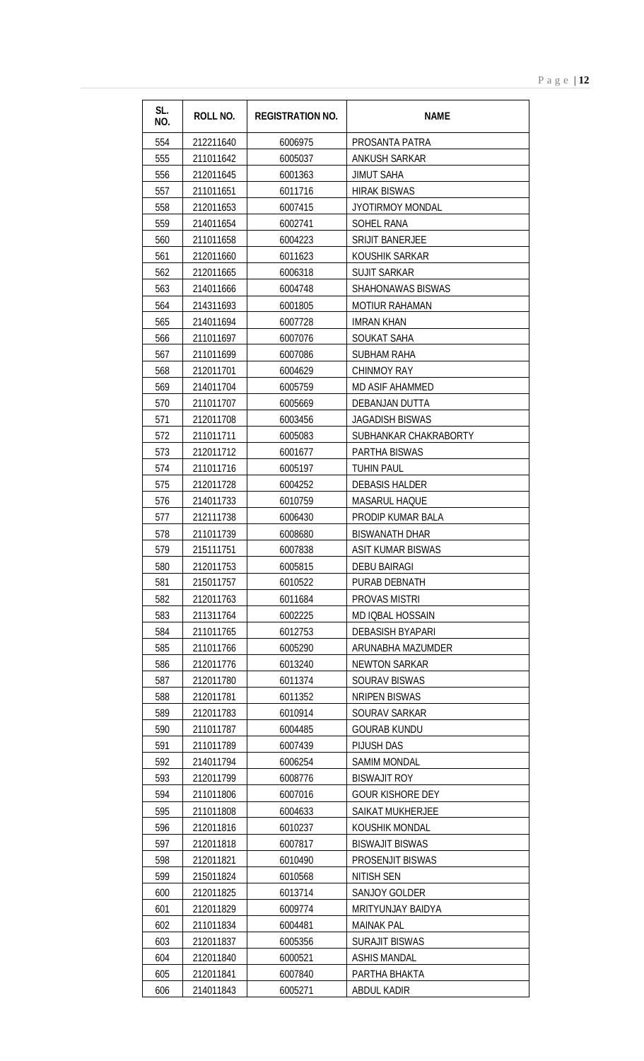| SL.<br>NO. | ROLL NO.  | <b>REGISTRATION NO.</b> | <b>NAME</b>                                  |
|------------|-----------|-------------------------|----------------------------------------------|
| 554        | 212211640 | 6006975                 | PROSANTA PATRA                               |
| 555        | 211011642 | 6005037                 | <b>ANKUSH SARKAR</b>                         |
| 556        | 212011645 | 6001363                 | <b>JIMUT SAHA</b>                            |
| 557        | 211011651 | 6011716                 | <b>HIRAK BISWAS</b>                          |
| 558        | 212011653 | 6007415                 | JYOTIRMOY MONDAL                             |
| 559        | 214011654 | 6002741                 | <b>SOHEL RANA</b>                            |
| 560        | 211011658 | 6004223                 | <b>SRIJIT BANERJEE</b>                       |
| 561        | 212011660 | 6011623                 | KOUSHIK SARKAR                               |
| 562        | 212011665 | 6006318                 | <b>SUJIT SARKAR</b>                          |
| 563        | 214011666 | 6004748                 | <b>SHAHONAWAS BISWAS</b>                     |
| 564        | 214311693 | 6001805                 | <b>MOTIUR RAHAMAN</b>                        |
| 565        | 214011694 | 6007728                 | <b>IMRAN KHAN</b>                            |
| 566        | 211011697 | 6007076                 | SOUKAT SAHA                                  |
| 567        | 211011699 | 6007086                 | <b>SUBHAM RAHA</b>                           |
| 568        | 212011701 | 6004629                 | <b>CHINMOY RAY</b>                           |
| 569        | 214011704 | 6005759                 | MD ASIF AHAMMED                              |
| 570        | 211011707 | 6005669                 | DEBANJAN DUTTA                               |
| 571        | 212011708 | 6003456                 | <b>JAGADISH BISWAS</b>                       |
| 572        | 211011711 | 6005083                 | SUBHANKAR CHAKRABORTY                        |
| 573        | 212011712 | 6001677                 | PARTHA BISWAS                                |
| 574        | 211011716 | 6005197                 | <b>TUHIN PAUL</b>                            |
| 575        | 212011728 | 6004252                 | <b>DEBASIS HALDER</b>                        |
| 576        | 214011733 | 6010759                 | <b>MASARUL HAQUE</b>                         |
| 577        | 212111738 | 6006430                 | PRODIP KUMAR BALA                            |
| 578        | 211011739 | 6008680                 | <b>BISWANATH DHAR</b>                        |
| 579        | 215111751 | 6007838                 | <b>ASIT KUMAR BISWAS</b>                     |
| 580        | 212011753 | 6005815                 | <b>DEBU BAIRAGI</b>                          |
| 581        | 215011757 | 6010522                 | PURAB DEBNATH                                |
| 582        | 212011763 | 6011684                 | PROVAS MISTRI                                |
| 583        | 211311764 | 6002225                 | MD IQBAL HOSSAIN                             |
| 584        | 211011765 | 6012753                 | <b>DEBASISH BYAPARI</b>                      |
| 585        | 211011766 | 6005290                 | ARUNABHA MAZUMDER                            |
| 586        | 212011776 | 6013240                 | <b>NEWTON SARKAR</b>                         |
| 587        | 212011780 | 6011374                 | <b>SOURAV BISWAS</b>                         |
| 588        | 212011781 | 6011352                 | <b>NRIPEN BISWAS</b>                         |
| 589        | 212011783 | 6010914                 | SOURAV SARKAR                                |
| 590        | 211011787 | 6004485                 | <b>GOURAB KUNDU</b>                          |
| 591        | 211011789 | 6007439                 | PIJUSH DAS                                   |
| 592        | 214011794 | 6006254                 | <b>SAMIM MONDAL</b>                          |
| 593        | 212011799 | 6008776                 | <b>BISWAJIT ROY</b>                          |
| 594        | 211011806 | 6007016                 | <b>GOUR KISHORE DEY</b>                      |
| 595        | 211011808 | 6004633                 | <b>SAIKAT MUKHERJEE</b>                      |
| 596        | 212011816 | 6010237                 | KOUSHIK MONDAL                               |
| 597        | 212011818 | 6007817                 | <b>BISWAJIT BISWAS</b>                       |
| 598        | 212011821 | 6010490                 | PROSENJIT BISWAS                             |
| 599        | 215011824 | 6010568                 | NITISH SEN                                   |
| 600        | 212011825 | 6013714                 | <b>SANJOY GOLDER</b>                         |
| 601        | 212011829 | 6009774                 | MRITYUNJAY BAIDYA                            |
| 602        | 211011834 | 6004481                 | <b>MAINAK PAL</b>                            |
| 603        | 212011837 | 6005356<br>6000521      | <b>SURAJIT BISWAS</b><br><b>ASHIS MANDAL</b> |
| 604        | 212011840 |                         |                                              |
| 605        | 212011841 | 6007840                 | PARTHA BHAKTA                                |
| 606        | 214011843 | 6005271                 | <b>ABDUL KADIR</b>                           |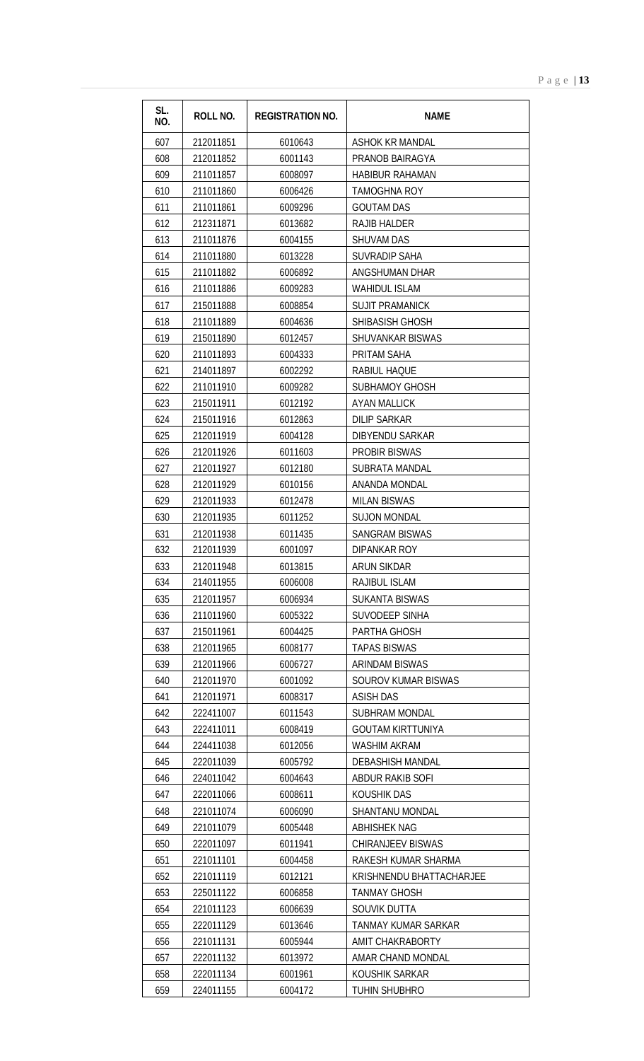| SL.<br>NO. | <b>ROLL NO.</b> | <b>REGISTRATION NO.</b> | <b>NAME</b>                |
|------------|-----------------|-------------------------|----------------------------|
| 607        | 212011851       | 6010643                 | ASHOK KR MANDAL            |
| 608        | 212011852       | 6001143                 | PRANOB BAIRAGYA            |
| 609        | 211011857       | 6008097                 | <b>HABIBUR RAHAMAN</b>     |
| 610        | 211011860       | 6006426                 | <b>TAMOGHNA ROY</b>        |
| 611        | 211011861       | 6009296                 | <b>GOUTAM DAS</b>          |
| 612        | 212311871       | 6013682                 | <b>RAJIB HALDER</b>        |
| 613        | 211011876       | 6004155                 | <b>SHUVAM DAS</b>          |
| 614        | 211011880       | 6013228                 | <b>SUVRADIP SAHA</b>       |
| 615        | 211011882       | 6006892                 | ANGSHUMAN DHAR             |
| 616        | 211011886       | 6009283                 | <b>WAHIDUL ISLAM</b>       |
| 617        | 215011888       | 6008854                 | <b>SUJIT PRAMANICK</b>     |
| 618        | 211011889       | 6004636                 | SHIBASISH GHOSH            |
| 619        | 215011890       | 6012457                 | <b>SHUVANKAR BISWAS</b>    |
| 620        | 211011893       | 6004333                 | PRITAM SAHA                |
| 621        | 214011897       | 6002292                 | RABIUL HAQUE               |
| 622        | 211011910       | 6009282                 | <b>SUBHAMOY GHOSH</b>      |
| 623        | 215011911       | 6012192                 | <b>AYAN MALLICK</b>        |
| 624        | 215011916       | 6012863                 | <b>DILIP SARKAR</b>        |
| 625        | 212011919       | 6004128                 | <b>DIBYENDU SARKAR</b>     |
| 626        | 212011926       | 6011603                 | <b>PROBIR BISWAS</b>       |
| 627        | 212011927       | 6012180                 | <b>SUBRATA MANDAL</b>      |
| 628        | 212011929       | 6010156                 | ANANDA MONDAL              |
| 629        | 212011933       | 6012478                 | <b>MILAN BISWAS</b>        |
| 630        | 212011935       | 6011252                 | <b>SUJON MONDAL</b>        |
| 631        | 212011938       | 6011435                 | <b>SANGRAM BISWAS</b>      |
| 632        | 212011939       | 6001097                 | <b>DIPANKAR ROY</b>        |
| 633        | 212011948       | 6013815                 | ARUN SIKDAR                |
| 634        | 214011955       | 6006008                 | <b>RAJIBUL ISLAM</b>       |
| 635        | 212011957       | 6006934                 | <b>SUKANTA BISWAS</b>      |
| 636        | 211011960       | 6005322                 | <b>SUVODEEP SINHA</b>      |
| 637        | 215011961       | 6004425                 | PARTHA GHOSH               |
| 638        | 212011965       | 6008177                 | <b>TAPAS BISWAS</b>        |
| 639        | 212011966       | 6006727                 | <b>ARINDAM BISWAS</b>      |
| 640        | 212011970       | 6001092                 | <b>SOUROV KUMAR BISWAS</b> |
| 641        | 212011971       | 6008317                 | <b>ASISH DAS</b>           |
| 642        | 222411007       | 6011543                 | SUBHRAM MONDAL             |
| 643        | 222411011       | 6008419                 | <b>GOUTAM KIRTTUNIYA</b>   |
| 644        | 224411038       | 6012056                 | <b>WASHIM AKRAM</b>        |
| 645        | 222011039       | 6005792                 | DEBASHISH MANDAL           |
| 646        | 224011042       | 6004643                 | ABDUR RAKIB SOFI           |
| 647        | 222011066       | 6008611                 | KOUSHIK DAS                |
| 648        | 221011074       | 6006090                 | <b>SHANTANU MONDAL</b>     |
| 649        | 221011079       | 6005448                 | <b>ABHISHEK NAG</b>        |
| 650        | 222011097       | 6011941                 | <b>CHIRANJEEV BISWAS</b>   |
| 651        | 221011101       | 6004458                 | RAKESH KUMAR SHARMA        |
| 652        | 221011119       | 6012121                 | KRISHNENDU BHATTACHARJEE   |
| 653        | 225011122       | 6006858                 | <b>TANMAY GHOSH</b>        |
| 654        | 221011123       | 6006639                 | SOUVIK DUTTA               |
| 655        | 222011129       | 6013646                 | TANMAY KUMAR SARKAR        |
| 656        | 221011131       | 6005944                 | AMIT CHAKRABORTY           |
| 657        | 222011132       | 6013972                 | AMAR CHAND MONDAL          |
| 658        | 222011134       | 6001961                 | KOUSHIK SARKAR             |
| 659        | 224011155       | 6004172                 | <b>TUHIN SHUBHRO</b>       |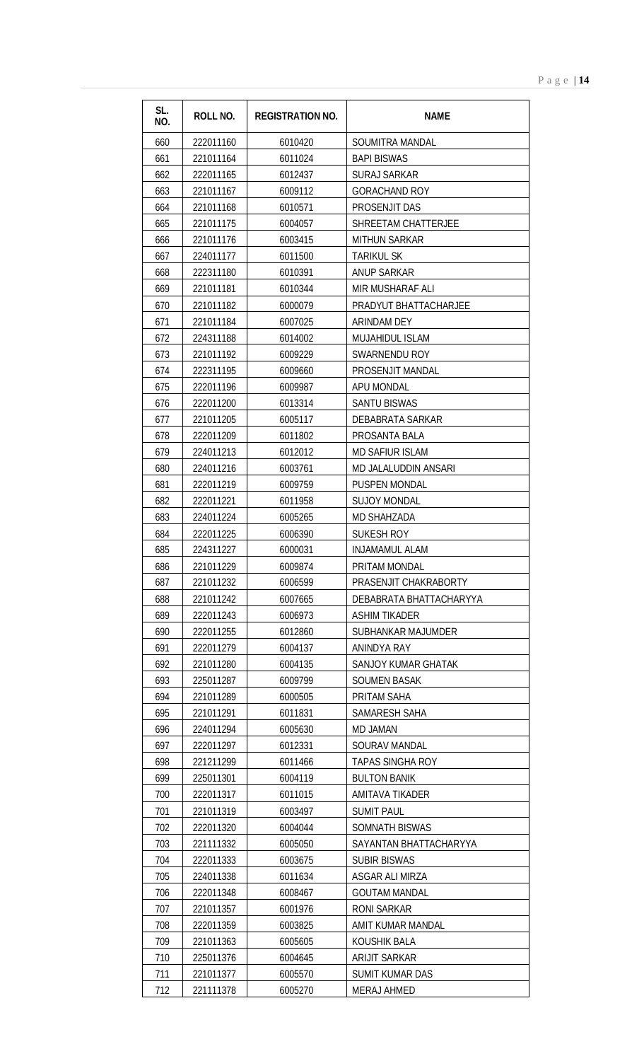| SL.<br>NO. | <b>ROLL NO.</b> | <b>REGISTRATION NO.</b> | <b>NAME</b>                 |
|------------|-----------------|-------------------------|-----------------------------|
| 660        | 222011160       | 6010420                 | SOUMITRA MANDAL             |
| 661        | 221011164       | 6011024                 | <b>BAPI BISWAS</b>          |
| 662        | 222011165       | 6012437                 | <b>SURAJ SARKAR</b>         |
| 663        | 221011167       | 6009112                 | <b>GORACHAND ROY</b>        |
| 664        | 221011168       | 6010571                 | <b>PROSENJIT DAS</b>        |
| 665        | 221011175       | 6004057                 | SHREETAM CHATTERJEE         |
| 666        | 221011176       | 6003415                 | <b>MITHUN SARKAR</b>        |
| 667        | 224011177       | 6011500                 | <b>TARIKUL SK</b>           |
| 668        | 222311180       | 6010391                 | <b>ANUP SARKAR</b>          |
| 669        | 221011181       | 6010344                 | MIR MUSHARAF ALI            |
| 670        | 221011182       | 6000079                 | PRADYUT BHATTACHARJEE       |
| 671        | 221011184       | 6007025                 | ARINDAM DEY                 |
| 672        | 224311188       | 6014002                 | MUJAHIDUL ISLAM             |
| 673        | 221011192       | 6009229                 | SWARNENDU ROY               |
| 674        | 222311195       | 6009660                 | PROSENJIT MANDAL            |
| 675        | 222011196       | 6009987                 | <b>APU MONDAL</b>           |
| 676        | 222011200       | 6013314                 | <b>SANTU BISWAS</b>         |
| 677        | 221011205       | 6005117                 | DEBABRATA SARKAR            |
| 678        | 222011209       | 6011802                 | PROSANTA BALA               |
| 679        | 224011213       | 6012012                 | <b>MD SAFIUR ISLAM</b>      |
| 680        | 224011216       | 6003761                 | <b>MD JALALUDDIN ANSARI</b> |
| 681        | 222011219       | 6009759                 | <b>PUSPEN MONDAL</b>        |
| 682        | 222011221       | 6011958                 | <b>SUJOY MONDAL</b>         |
| 683        | 224011224       | 6005265                 | MD SHAHZADA                 |
| 684        | 222011225       | 6006390                 | <b>SUKESH ROY</b>           |
| 685        | 224311227       | 6000031                 | <b>INJAMAMUL ALAM</b>       |
| 686        | 221011229       | 6009874                 | PRITAM MONDAL               |
| 687        | 221011232       | 6006599                 | PRASENJIT CHAKRABORTY       |
| 688        | 221011242       | 6007665                 | DEBABRATA BHATTACHARYYA     |
| 689        | 222011243       | 6006973                 | ASHIM TIKADER               |
| 690        | 222011255       | 6012860                 | <b>SUBHANKAR MAJUMDER</b>   |
| 691        | 222011279       | 6004137                 | ANINDYA RAY                 |
| 692        | 221011280       | 6004135                 | SANJOY KUMAR GHATAK         |
| 693        | 225011287       | 6009799                 | <b>SOUMEN BASAK</b>         |
| 694        | 221011289       | 6000505                 | PRITAM SAHA                 |
| 695        | 221011291       | 6011831                 | SAMARESH SAHA               |
| 696        | 224011294       | 6005630                 | MD JAMAN                    |
| 697        | 222011297       | 6012331                 | SOURAV MANDAL               |
| 698        | 221211299       | 6011466                 | <b>TAPAS SINGHA ROY</b>     |
| 699        | 225011301       | 6004119                 | <b>BULTON BANIK</b>         |
| 700        | 222011317       | 6011015                 | AMITAVA TIKADER             |
| 701        | 221011319       | 6003497                 | <b>SUMIT PAUL</b>           |
| 702        | 222011320       | 6004044                 | <b>SOMNATH BISWAS</b>       |
| 703        | 221111332       | 6005050                 | SAYANTAN BHATTACHARYYA      |
| 704        | 222011333       | 6003675                 | <b>SUBIR BISWAS</b>         |
| 705        | 224011338       | 6011634                 | ASGAR ALI MIRZA             |
| 706        | 222011348       | 6008467                 | <b>GOUTAM MANDAL</b>        |
| 707        | 221011357       | 6001976                 | RONI SARKAR                 |
| 708        | 222011359       | 6003825                 | AMIT KUMAR MANDAL           |
| 709        | 221011363       | 6005605                 | KOUSHIK BALA                |
| 710        | 225011376       | 6004645                 | <b>ARIJIT SARKAR</b>        |
| 711        | 221011377       | 6005570                 | <b>SUMIT KUMAR DAS</b>      |
| 712        | 221111378       | 6005270                 | <b>MERAJ AHMED</b>          |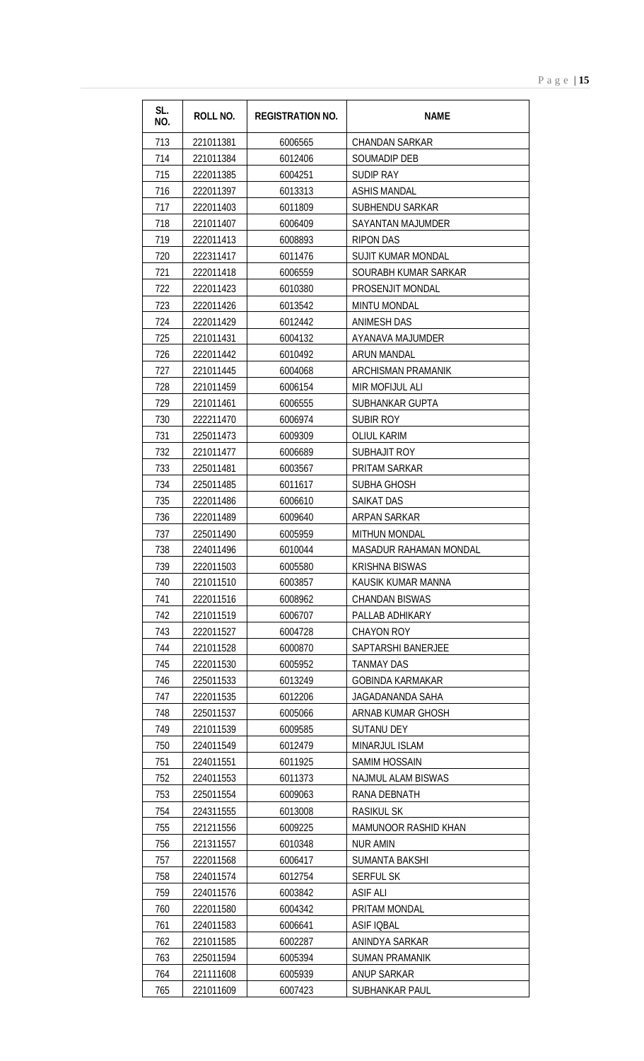| SL.<br>NO. | ROLL NO.  | <b>REGISTRATION NO.</b> | <b>NAME</b>                   |
|------------|-----------|-------------------------|-------------------------------|
| 713        | 221011381 | 6006565                 | <b>CHANDAN SARKAR</b>         |
| 714        | 221011384 | 6012406                 | <b>SOUMADIP DEB</b>           |
| 715        | 222011385 | 6004251                 | <b>SUDIP RAY</b>              |
| 716        | 222011397 | 6013313                 | <b>ASHIS MANDAL</b>           |
| 717        | 222011403 | 6011809                 | <b>SUBHENDU SARKAR</b>        |
| 718        | 221011407 | 6006409                 | <b>SAYANTAN MAJUMDER</b>      |
| 719        | 222011413 | 6008893                 | <b>RIPON DAS</b>              |
| 720        | 222311417 | 6011476                 | <b>SUJIT KUMAR MONDAL</b>     |
| 721        | 222011418 | 6006559                 | SOURABH KUMAR SARKAR          |
| 722        | 222011423 | 6010380                 | PROSENJIT MONDAL              |
| 723        | 222011426 | 6013542                 | <b>MINTU MONDAL</b>           |
| 724        | 222011429 | 6012442                 | <b>ANIMESH DAS</b>            |
| 725        | 221011431 | 6004132                 | AYANAVA MAJUMDER              |
| 726        | 222011442 | 6010492                 | <b>ARUN MANDAL</b>            |
| 727        | 221011445 | 6004068                 | <b>ARCHISMAN PRAMANIK</b>     |
| 728        | 221011459 | 6006154                 | MIR MOFIJUL ALI               |
| 729        | 221011461 | 6006555                 | SUBHANKAR GUPTA               |
| 730        | 222211470 | 6006974                 | <b>SUBIR ROY</b>              |
| 731        | 225011473 | 6009309                 | <b>OLIUL KARIM</b>            |
| 732        | 221011477 | 6006689                 | <b>SUBHAJIT ROY</b>           |
| 733        | 225011481 | 6003567                 | PRITAM SARKAR                 |
| 734        | 225011485 | 6011617                 | <b>SUBHA GHOSH</b>            |
| 735        | 222011486 | 6006610                 | <b>SAIKAT DAS</b>             |
| 736        | 222011489 | 6009640                 | ARPAN SARKAR                  |
| 737        | 225011490 | 6005959                 | <b>MITHUN MONDAL</b>          |
| 738        | 224011496 | 6010044                 | <b>MASADUR RAHAMAN MONDAL</b> |
| 739        | 222011503 | 6005580                 | <b>KRISHNA BISWAS</b>         |
| 740        | 221011510 | 6003857                 | KAUSIK KUMAR MANNA            |
| 741        | 222011516 | 6008962                 | <b>CHANDAN BISWAS</b>         |
| 742        | 221011519 | 6006707                 | PALLAB ADHIKARY               |
| 743        | 222011527 | 6004728                 | <b>CHAYON ROY</b>             |
| 744        | 221011528 | 6000870                 | SAPTARSHI BANERJEE            |
| 745        | 222011530 | 6005952                 | <b>TANMAY DAS</b>             |
| 746        | 225011533 | 6013249                 | <b>GOBINDA KARMAKAR</b>       |
| 747        | 222011535 | 6012206                 | JAGADANANDA SAHA              |
| 748        | 225011537 | 6005066                 | ARNAB KUMAR GHOSH             |
| 749        | 221011539 | 6009585                 | <b>SUTANU DEY</b>             |
| 750        | 224011549 | 6012479                 | MINARJUL ISLAM                |
| 751        | 224011551 | 6011925                 | <b>SAMIM HOSSAIN</b>          |
| 752        | 224011553 | 6011373                 | <b>NAJMUL ALAM BISWAS</b>     |
| 753        | 225011554 | 6009063                 | RANA DEBNATH                  |
| 754        | 224311555 | 6013008                 | RASIKUL SK                    |
| 755        | 221211556 | 6009225                 | MAMUNOOR RASHID KHAN          |
| 756        | 221311557 | 6010348                 | NUR AMIN                      |
| 757        | 222011568 | 6006417                 | SUMANTA BAKSHI                |
| 758        | 224011574 | 6012754                 | <b>SERFUL SK</b>              |
| 759        | 224011576 | 6003842                 | <b>ASIF ALI</b>               |
| 760        | 222011580 | 6004342                 | PRITAM MONDAL                 |
| 761        | 224011583 | 6006641                 | <b>ASIF IQBAL</b>             |
| 762        | 221011585 | 6002287                 | ANINDYA SARKAR                |
| 763        | 225011594 | 6005394                 | SUMAN PRAMANIK                |
| 764        | 221111608 | 6005939                 | <b>ANUP SARKAR</b>            |
| 765        | 221011609 | 6007423                 | SUBHANKAR PAUL                |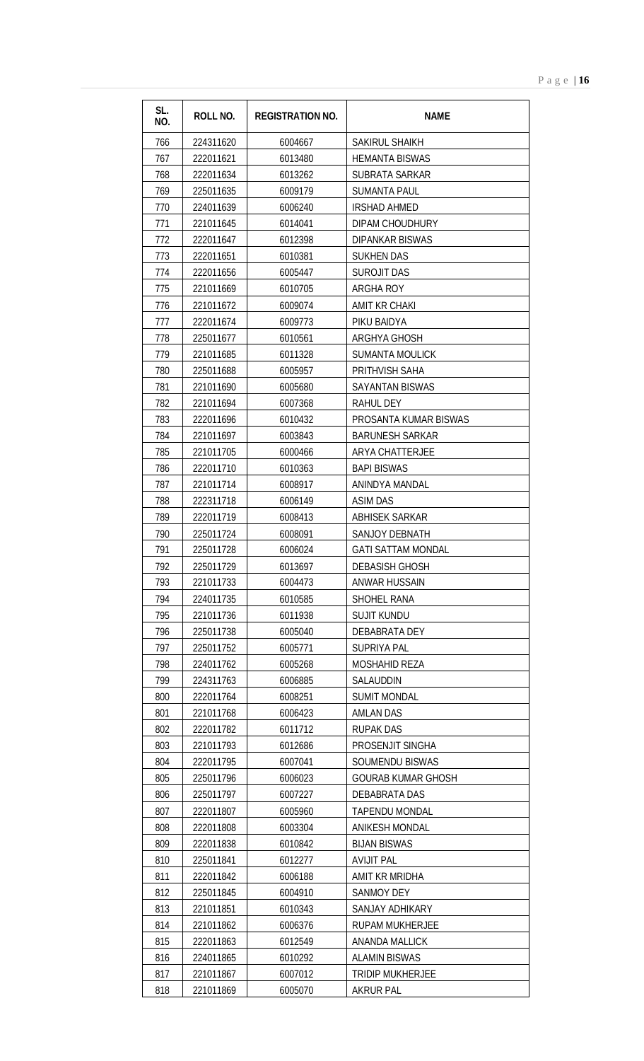| SL.<br>NO. | <b>ROLL NO.</b>        | <b>REGISTRATION NO.</b> | <b>NAME</b>                         |
|------------|------------------------|-------------------------|-------------------------------------|
| 766        | 224311620              | 6004667                 | SAKIRUL SHAIKH                      |
| 767        | 222011621              | 6013480                 | <b>HEMANTA BISWAS</b>               |
| 768        | 222011634              | 6013262                 | SUBRATA SARKAR                      |
| 769        | 225011635              | 6009179                 | <b>SUMANTA PAUL</b>                 |
| 770        | 224011639              | 6006240                 | <b>IRSHAD AHMED</b>                 |
| 771        | 221011645              | 6014041                 | DIPAM CHOUDHURY                     |
| 772        | 222011647              | 6012398                 | <b>DIPANKAR BISWAS</b>              |
| 773        | 222011651              | 6010381                 | <b>SUKHEN DAS</b>                   |
| 774        | 222011656              | 6005447                 | <b>SUROJIT DAS</b>                  |
| 775        | 221011669              | 6010705                 | <b>ARGHA ROY</b>                    |
| 776        | 221011672              | 6009074                 | AMIT KR CHAKI                       |
| 777        | 222011674              | 6009773                 | PIKU BAIDYA                         |
| 778        | 225011677              | 6010561                 | ARGHYA GHOSH                        |
| 779        | 221011685              | 6011328                 | <b>SUMANTA MOULICK</b>              |
| 780        | 225011688              | 6005957                 | PRITHVISH SAHA                      |
| 781        | 221011690              | 6005680                 | <b>SAYANTAN BISWAS</b>              |
| 782        | 221011694              | 6007368                 | <b>RAHUL DEY</b>                    |
| 783        | 222011696              | 6010432                 | PROSANTA KUMAR BISWAS               |
| 784        | 221011697              | 6003843                 | <b>BARUNESH SARKAR</b>              |
| 785        | 221011705              | 6000466                 | <b>ARYA CHATTERJEE</b>              |
| 786        | 222011710              | 6010363                 | <b>BAPI BISWAS</b>                  |
| 787        | 221011714              | 6008917                 | ANINDYA MANDAL                      |
| 788        | 222311718              | 6006149                 | <b>ASIM DAS</b>                     |
| 789        | 222011719              | 6008413                 | <b>ABHISEK SARKAR</b>               |
| 790        | 225011724              | 6008091                 | <b>SANJOY DEBNATH</b>               |
| 791        | 225011728              | 6006024                 | <b>GATI SATTAM MONDAL</b>           |
| 792        | 225011729              | 6013697                 | <b>DEBASISH GHOSH</b>               |
| 793        | 221011733              | 6004473                 | ANWAR HUSSAIN                       |
| 794        | 224011735              | 6010585                 | SHOHEL RANA                         |
| 795        | 221011736              | 6011938                 | <b>SUJIT KUNDU</b>                  |
| 796        | 225011738              | 6005040                 | <b>DEBABRATA DEY</b>                |
| 797        | 225011752              | 6005771                 | SUPRIYA PAL                         |
| 798        | 224011762              | 6005268                 | <b>MOSHAHID REZA</b>                |
| 799        | 224311763              | 6006885                 | SALAUDDIN                           |
| 800        | 222011764              | 6008251                 | <b>SUMIT MONDAL</b>                 |
| 801        | 221011768              | 6006423                 | <b>AMLAN DAS</b>                    |
| 802        | 222011782              | 6011712                 | <b>RUPAK DAS</b>                    |
| 803        | 221011793              | 6012686                 | PROSENJIT SINGHA                    |
| 804        | 222011795              | 6007041                 | <b>SOUMENDU BISWAS</b>              |
| 805        | 225011796              | 6006023                 | <b>GOURAB KUMAR GHOSH</b>           |
| 806        | 225011797              | 6007227                 | DEBABRATA DAS                       |
| 807        | 222011807              | 6005960                 | <b>TAPENDU MONDAL</b>               |
| 808        | 222011808              | 6003304                 | <b>ANIKESH MONDAL</b>               |
| 809        | 222011838              | 6010842                 | <b>BIJAN BISWAS</b>                 |
| 810<br>811 | 225011841<br>222011842 | 6012277<br>6006188      | <b>AVIJIT PAL</b><br>AMIT KR MRIDHA |
| 812        | 225011845              | 6004910                 | SANMOY DEY                          |
| 813        | 221011851              | 6010343                 | SANJAY ADHIKARY                     |
| 814        | 221011862              | 6006376                 | RUPAM MUKHERJEE                     |
| 815        | 222011863              | 6012549                 | <b>ANANDA MALLICK</b>               |
| 816        | 224011865              | 6010292                 | <b>ALAMIN BISWAS</b>                |
| 817        | 221011867              | 6007012                 | <b>TRIDIP MUKHERJEE</b>             |
| 818        | 221011869              | 6005070                 | <b>AKRUR PAL</b>                    |
|            |                        |                         |                                     |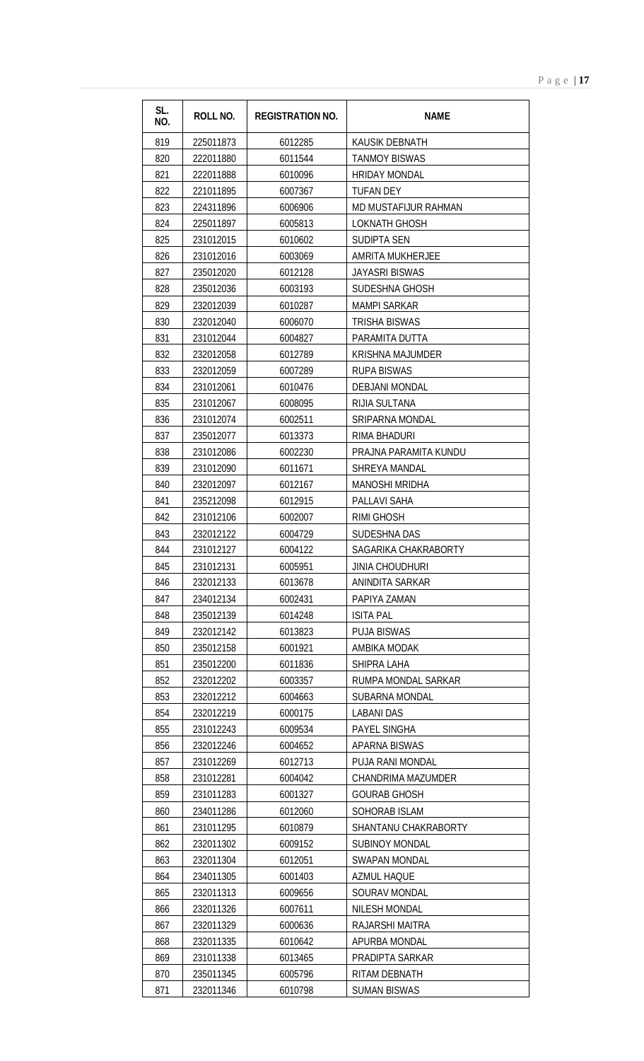| SL.<br>NO. | <b>ROLL NO.</b>        | <b>REGISTRATION NO.</b> | <b>NAME</b>                             |
|------------|------------------------|-------------------------|-----------------------------------------|
| 819        | 225011873              | 6012285                 | KAUSIK DEBNATH                          |
| 820        | 222011880              | 6011544                 | <b>TANMOY BISWAS</b>                    |
| 821        | 222011888              | 6010096                 | <b>HRIDAY MONDAL</b>                    |
| 822        | 221011895              | 6007367                 | TUFAN DEY                               |
| 823        | 224311896              | 6006906                 | MD MUSTAFIJUR RAHMAN                    |
| 824        | 225011897              | 6005813                 | <b>LOKNATH GHOSH</b>                    |
| 825        | 231012015              | 6010602                 | <b>SUDIPTA SEN</b>                      |
| 826        | 231012016              | 6003069                 | <b>AMRITA MUKHERJEE</b>                 |
| 827        | 235012020              | 6012128                 | <b>JAYASRI BISWAS</b>                   |
| 828        | 235012036              | 6003193                 | SUDESHNA GHOSH                          |
| 829        | 232012039              | 6010287                 | <b>MAMPI SARKAR</b>                     |
| 830        | 232012040              | 6006070                 | <b>TRISHA BISWAS</b>                    |
| 831        | 231012044              | 6004827                 | PARAMITA DUTTA                          |
| 832        | 232012058              | 6012789                 | <b>KRISHNA MAJUMDER</b>                 |
| 833        | 232012059              | 6007289                 | <b>RUPA BISWAS</b>                      |
| 834        | 231012061              | 6010476                 | DEBJANI MONDAL                          |
| 835        | 231012067              | 6008095                 | RIJIA SULTANA                           |
| 836        | 231012074              | 6002511                 | <b>SRIPARNA MONDAL</b>                  |
| 837        | 235012077              | 6013373                 | RIMA BHADURI                            |
| 838        | 231012086              | 6002230                 | PRAJNA PARAMITA KUNDU                   |
| 839        | 231012090              | 6011671                 | SHREYA MANDAL                           |
| 840        | 232012097              | 6012167                 | <b>MANOSHI MRIDHA</b>                   |
| 841        | 235212098              | 6012915                 | PALLAVI SAHA                            |
| 842        | 231012106              | 6002007                 | <b>RIMI GHOSH</b>                       |
| 843        | 232012122              | 6004729                 | <b>SUDESHNA DAS</b>                     |
| 844<br>845 | 231012127<br>231012131 | 6004122<br>6005951      | SAGARIKA CHAKRABORTY<br>JINIA CHOUDHURI |
| 846        | 232012133              | 6013678                 | ANINDITA SARKAR                         |
| 847        | 234012134              | 6002431                 | PAPIYA ZAMAN                            |
| 848        | 235012139              | 6014248                 | <b>ISITA PAL</b>                        |
| 849        | 232012142              | 6013823                 | <b>PUJA BISWAS</b>                      |
| 850        | 235012158              | 6001921                 | AMBIKA MODAK                            |
| 851        | 235012200              | 6011836                 | SHIPRA LAHA                             |
| 852        | 232012202              | 6003357                 | RUMPA MONDAL SARKAR                     |
| 853        | 232012212              | 6004663                 | SUBARNA MONDAL                          |
| 854        | 232012219              | 6000175                 | <b>LABANI DAS</b>                       |
| 855        | 231012243              | 6009534                 | PAYEL SINGHA                            |
| 856        | 232012246              | 6004652                 | <b>APARNA BISWAS</b>                    |
| 857        | 231012269              | 6012713                 | PUJA RANI MONDAL                        |
| 858        | 231012281              | 6004042                 | CHANDRIMA MAZUMDER                      |
| 859        | 231011283              | 6001327                 | <b>GOURAB GHOSH</b>                     |
| 860        | 234011286              | 6012060                 | SOHORAB ISLAM                           |
| 861        | 231011295              | 6010879                 | SHANTANU CHAKRABORTY                    |
| 862        | 232011302              | 6009152                 | <b>SUBINOY MONDAL</b>                   |
| 863        | 232011304              | 6012051                 | <b>SWAPAN MONDAL</b>                    |
| 864        | 234011305              | 6001403                 | <b>AZMUL HAQUE</b>                      |
| 865        | 232011313              | 6009656                 | SOURAV MONDAL                           |
| 866        | 232011326              | 6007611                 | NILESH MONDAL                           |
| 867<br>868 | 232011329<br>232011335 | 6000636<br>6010642      | RAJARSHI MAITRA<br>APURBA MONDAL        |
| 869        | 231011338              | 6013465                 | PRADIPTA SARKAR                         |
| 870        | 235011345              | 6005796                 | RITAM DEBNATH                           |
| 871        | 232011346              | 6010798                 | <b>SUMAN BISWAS</b>                     |
|            |                        |                         |                                         |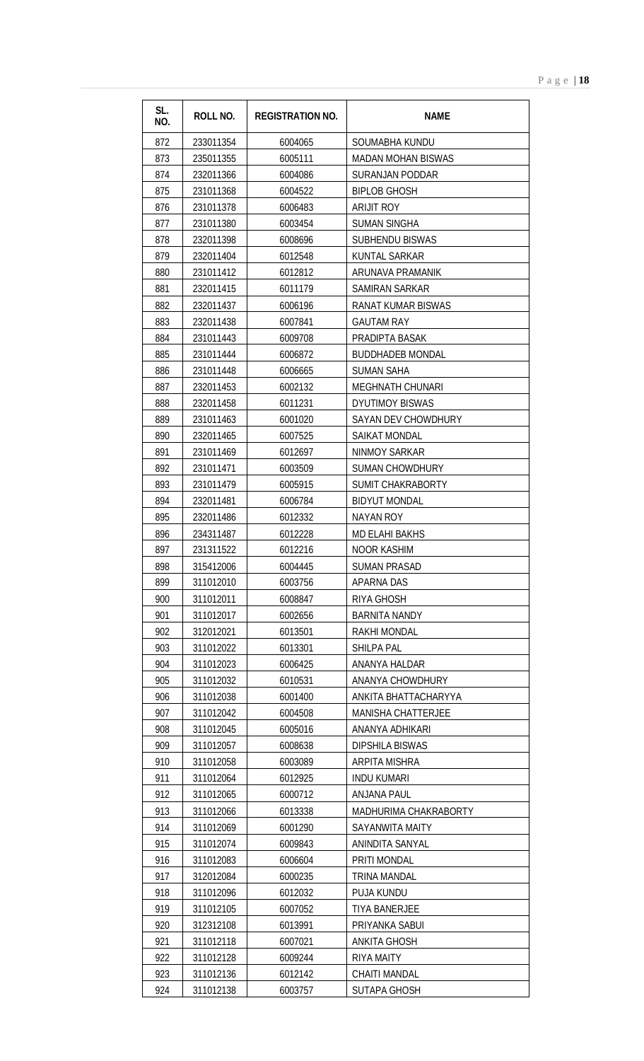| SL.<br>NO. | ROLL NO.               | <b>REGISTRATION NO.</b> | <b>NAME</b>                                       |
|------------|------------------------|-------------------------|---------------------------------------------------|
| 872        | 233011354              | 6004065                 | SOUMABHA KUNDU                                    |
| 873        | 235011355              | 6005111                 | <b>MADAN MOHAN BISWAS</b>                         |
| 874        | 232011366              | 6004086                 | <b>SURANJAN PODDAR</b>                            |
| 875        | 231011368              | 6004522                 | <b>BIPLOB GHOSH</b>                               |
| 876        | 231011378              | 6006483                 | <b>ARIJIT ROY</b>                                 |
| 877        | 231011380              | 6003454                 | <b>SUMAN SINGHA</b>                               |
| 878        | 232011398              | 6008696                 | <b>SUBHENDU BISWAS</b>                            |
| 879        | 232011404              | 6012548                 | KUNTAL SARKAR                                     |
| 880        | 231011412              | 6012812                 | ARUNAVA PRAMANIK                                  |
| 881        | 232011415              | 6011179                 | SAMIRAN SARKAR                                    |
| 882        | 232011437              | 6006196                 | <b>RANAT KUMAR BISWAS</b>                         |
| 883        | 232011438              | 6007841                 | <b>GAUTAM RAY</b>                                 |
| 884        | 231011443              | 6009708                 | PRADIPTA BASAK                                    |
| 885        | 231011444              | 6006872                 | <b>BUDDHADEB MONDAL</b>                           |
| 886        | 231011448              | 6006665                 | <b>SUMAN SAHA</b>                                 |
| 887        | 232011453              | 6002132                 | <b>MEGHNATH CHUNARI</b>                           |
| 888        | 232011458              | 6011231                 | <b>DYUTIMOY BISWAS</b>                            |
| 889        | 231011463              | 6001020                 | SAYAN DEV CHOWDHURY                               |
| 890        | 232011465              | 6007525                 | <b>SAIKAT MONDAL</b>                              |
| 891        | 231011469              | 6012697                 | NINMOY SARKAR                                     |
| 892        | 231011471              | 6003509                 | <b>SUMAN CHOWDHURY</b>                            |
| 893        | 231011479              | 6005915                 | <b>SUMIT CHAKRABORTY</b>                          |
| 894        | 232011481              | 6006784                 | <b>BIDYUT MONDAL</b>                              |
| 895        | 232011486              | 6012332                 | <b>NAYAN ROY</b>                                  |
| 896        | 234311487              | 6012228                 | <b>MD ELAHI BAKHS</b>                             |
| 897        | 231311522              | 6012216                 | <b>NOOR KASHIM</b>                                |
| 898        | 315412006              | 6004445                 | <b>SUMAN PRASAD</b>                               |
| 899        | 311012010              | 6003756                 | APARNA DAS                                        |
| 900        | 311012011              | 6008847                 | RIYA GHOSH                                        |
| 901        | 311012017              | 6002656                 | <b>BARNITA NANDY</b>                              |
| 902        | 312012021              | 6013501                 | <b>RAKHI MONDAL</b>                               |
| 903        | 311012022              | 6013301                 | <b>SHILPA PAL</b>                                 |
| 904        | 311012023              | 6006425                 | ANANYA HALDAR                                     |
| 905        | 311012032              | 6010531                 | ANANYA CHOWDHURY                                  |
| 906<br>907 | 311012038<br>311012042 | 6001400<br>6004508      | ANKITA BHATTACHARYYA<br><b>MANISHA CHATTERJEE</b> |
| 908        |                        |                         |                                                   |
| 909        | 311012045<br>311012057 | 6005016<br>6008638      | ANANYA ADHIKARI<br><b>DIPSHILA BISWAS</b>         |
| 910        | 311012058              | 6003089                 | ARPITA MISHRA                                     |
| 911        | 311012064              | 6012925                 | <b>INDU KUMARI</b>                                |
| 912        | 311012065              | 6000712                 | ANJANA PAUL                                       |
| 913        | 311012066              | 6013338                 | MADHURIMA CHAKRABORTY                             |
| 914        | 311012069              | 6001290                 | <b>SAYANWITA MAITY</b>                            |
| 915        | 311012074              | 6009843                 | ANINDITA SANYAL                                   |
| 916        | 311012083              | 6006604                 | PRITI MONDAL                                      |
| 917        | 312012084              | 6000235                 | <b>TRINA MANDAL</b>                               |
| 918        | 311012096              | 6012032                 | <b>PUJA KUNDU</b>                                 |
| 919        | 311012105              | 6007052                 | <b>TIYA BANERJEE</b>                              |
| 920        | 312312108              | 6013991                 | PRIYANKA SABUI                                    |
| 921        | 311012118              | 6007021                 | <b>ANKITA GHOSH</b>                               |
| 922        | 311012128              | 6009244                 | RIYA MAITY                                        |
| 923        | 311012136              | 6012142                 | <b>CHAITI MANDAL</b>                              |
| 924        | 311012138              | 6003757                 | <b>SUTAPA GHOSH</b>                               |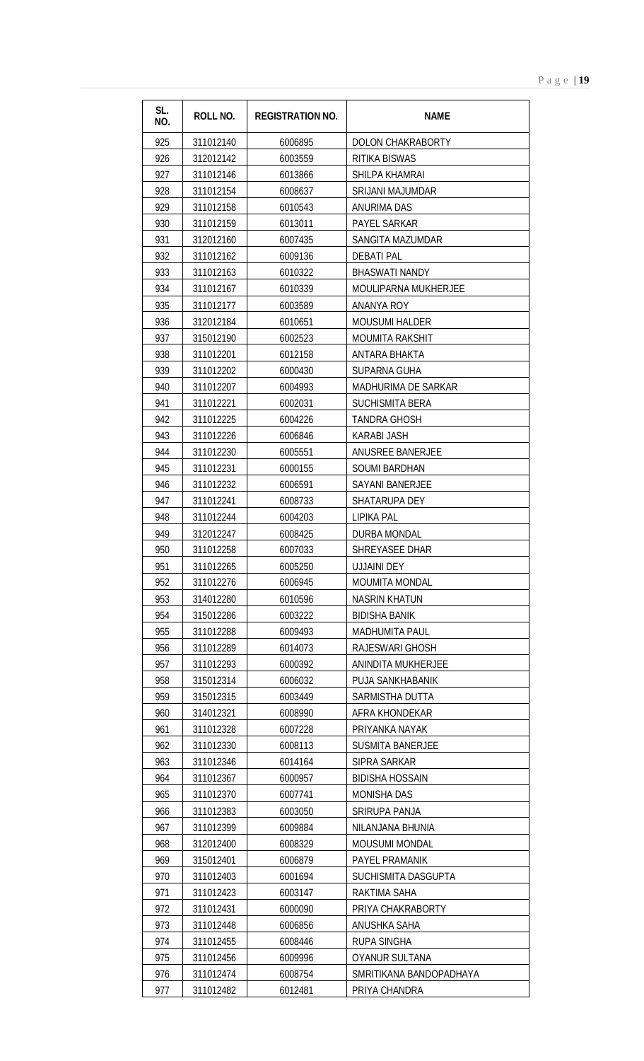| SL.<br>NO. | <b>ROLL NO.</b> | <b>REGISTRATION NO.</b> | <b>NAME</b>                |
|------------|-----------------|-------------------------|----------------------------|
| 925        | 311012140       | 6006895                 | DOLON CHAKRABORTY          |
| 926        | 312012142       | 6003559                 | RITIKA BISWAS              |
| 927        | 311012146       | 6013866                 | SHILPA KHAMRAI             |
| 928        | 311012154       | 6008637                 | <b>SRIJANI MAJUMDAR</b>    |
| 929        | 311012158       | 6010543                 | <b>ANURIMA DAS</b>         |
| 930        | 311012159       | 6013011                 | <b>PAYEL SARKAR</b>        |
| 931        | 312012160       | 6007435                 | SANGITA MAZUMDAR           |
| 932        | 311012162       | 6009136                 | <b>DEBATI PAL</b>          |
| 933        | 311012163       | 6010322                 | <b>BHASWATI NANDY</b>      |
| 934        | 311012167       | 6010339                 | MOULIPARNA MUKHERJEE       |
| 935        | 311012177       | 6003589                 | ANANYA ROY                 |
| 936        | 312012184       | 6010651                 | <b>MOUSUMI HALDER</b>      |
| 937        | 315012190       | 6002523                 | <b>MOUMITA RAKSHIT</b>     |
| 938        | 311012201       | 6012158                 | ANTARA BHAKTA              |
| 939        | 311012202       | 6000430                 | <b>SUPARNA GUHA</b>        |
| 940        | 311012207       | 6004993                 | <b>MADHURIMA DE SARKAR</b> |
| 941        | 311012221       | 6002031                 | <b>SUCHISMITA BERA</b>     |
| 942        | 311012225       | 6004226                 | <b>TANDRA GHOSH</b>        |
| 943        | 311012226       | 6006846                 | <b>KARABI JASH</b>         |
| 944        | 311012230       | 6005551                 | ANUSREE BANERJEE           |
| 945        | 311012231       | 6000155                 | <b>SOUMI BARDHAN</b>       |
| 946        | 311012232       | 6006591                 | <b>SAYANI BANERJEE</b>     |
| 947        | 311012241       | 6008733                 | SHATARUPA DEY              |
| 948        | 311012244       | 6004203                 | <b>LIPIKA PAL</b>          |
| 949        | 312012247       | 6008425                 | DURBA MONDAL               |
| 950        | 311012258       | 6007033                 | SHREYASEE DHAR             |
| 951        | 311012265       | 6005250                 | UJJAINI DEY                |
| 952        | 311012276       | 6006945                 | <b>MOUMITA MONDAL</b>      |
| 953        | 314012280       | 6010596                 | <b>NASRIN KHATUN</b>       |
| 954        | 315012286       | 6003222                 | <b>BIDISHA BANIK</b>       |
| 955        | 311012288       | 6009493                 | <b>MADHUMITA PAUL</b>      |
| 956        | 311012289       | 6014073                 | RAJESWARI GHOSH            |
| 957        | 311012293       | 6000392                 | ANINDITA MUKHERJEE         |
| 958        | 315012314       | 6006032                 | PUJA SANKHABANIK           |
| 959        | 315012315       | 6003449                 | SARMISTHA DUTTA            |
| 960        | 314012321       | 6008990                 | AFRA KHONDEKAR             |
| 961        | 311012328       | 6007228                 | PRIYANKA NAYAK             |
| 962        | 311012330       | 6008113                 | <b>SUSMITA BANERJEE</b>    |
| 963        | 311012346       | 6014164                 | SIPRA SARKAR               |
| 964        | 311012367       | 6000957                 | <b>BIDISHA HOSSAIN</b>     |
| 965        | 311012370       | 6007741                 | <b>MONISHA DAS</b>         |
| 966        | 311012383       | 6003050                 | SRIRUPA PANJA              |
| 967        | 311012399       | 6009884                 | NILANJANA BHUNIA           |
| 968        | 312012400       | 6008329                 | <b>MOUSUMI MONDAL</b>      |
| 969        | 315012401       | 6006879                 | PAYEL PRAMANIK             |
| 970        | 311012403       | 6001694                 | SUCHISMITA DASGUPTA        |
| 971        | 311012423       | 6003147                 | RAKTIMA SAHA               |
| 972        | 311012431       | 6000090                 | PRIYA CHAKRABORTY          |
| 973        | 311012448       | 6006856                 | ANUSHKA SAHA               |
| 974        | 311012455       | 6008446                 | <b>RUPA SINGHA</b>         |
| 975        | 311012456       | 6009996                 | <b>OYANUR SULTANA</b>      |
| 976        | 311012474       | 6008754                 | SMRITIKANA BANDOPADHAYA    |
| 977        | 311012482       | 6012481                 | PRIYA CHANDRA              |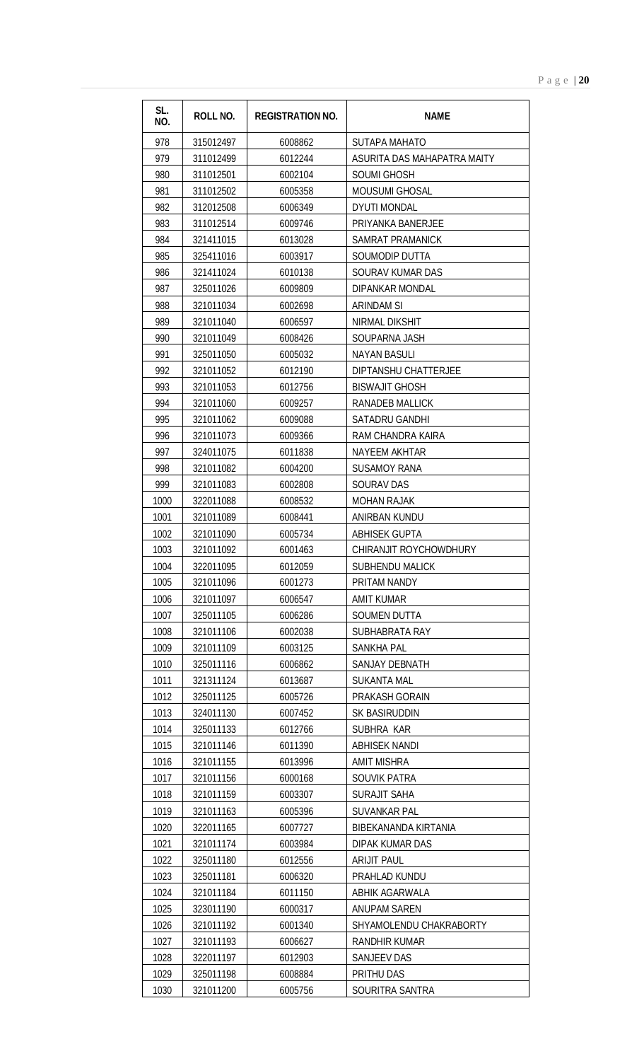| SL.<br>NO.   | <b>ROLL NO.</b>        | <b>REGISTRATION NO.</b> | <b>NAME</b>                                     |
|--------------|------------------------|-------------------------|-------------------------------------------------|
| 978          | 315012497              | 6008862                 | SUTAPA MAHATO                                   |
| 979          | 311012499              | 6012244                 | ASURITA DAS MAHAPATRA MAITY                     |
| 980          | 311012501              | 6002104                 | <b>SOUMI GHOSH</b>                              |
| 981          | 311012502              | 6005358                 | <b>MOUSUMI GHOSAL</b>                           |
| 982          | 312012508              | 6006349                 | <b>DYUTI MONDAL</b>                             |
| 983          | 311012514              | 6009746                 | PRIYANKA BANERJEE                               |
| 984          | 321411015              | 6013028                 | SAMRAT PRAMANICK                                |
| 985          | 325411016              | 6003917                 | SOUMODIP DUTTA                                  |
| 986          | 321411024              | 6010138                 | SOURAV KUMAR DAS                                |
| 987          | 325011026              | 6009809                 | DIPANKAR MONDAL                                 |
| 988          | 321011034              | 6002698                 | ARINDAM SI                                      |
| 989          | 321011040              | 6006597                 | NIRMAL DIKSHIT                                  |
| 990          | 321011049              | 6008426                 | SOUPARNA JASH                                   |
| 991          | 325011050              | 6005032                 | <b>NAYAN BASULI</b>                             |
| 992          | 321011052              | 6012190                 | DIPTANSHU CHATTERJEE                            |
| 993          | 321011053              | 6012756                 | <b>BISWAJIT GHOSH</b>                           |
| 994          | 321011060              | 6009257                 | RANADEB MALLICK                                 |
| 995          | 321011062              | 6009088                 | SATADRU GANDHI                                  |
| 996          | 321011073              | 6009366                 | RAM CHANDRA KAIRA                               |
| 997          | 324011075              | 6011838                 | NAYEEM AKHTAR                                   |
| 998          | 321011082              | 6004200                 | <b>SUSAMOY RANA</b>                             |
| 999          | 321011083              | 6002808                 | <b>SOURAV DAS</b>                               |
| 1000         | 322011088              | 6008532                 | <b>MOHAN RAJAK</b>                              |
| 1001         | 321011089              | 6008441                 | ANIRBAN KUNDU                                   |
| 1002         | 321011090              | 6005734                 | ABHISEK GUPTA                                   |
| 1003         | 321011092              | 6001463                 | CHIRANJIT ROYCHOWDHURY                          |
| 1004         | 322011095              | 6012059                 | SUBHENDU MALICK                                 |
| 1005         | 321011096              | 6001273                 | PRITAM NANDY                                    |
| 1006         | 321011097              | 6006547                 | <b>AMIT KUMAR</b>                               |
| 1007         | 325011105              | 6006286                 | SOUMEN DUTTA                                    |
| 1008         | 321011106              | 6002038                 | SUBHABRATA RAY                                  |
| 1009         | 321011109              | 6003125                 | <b>SANKHA PAL</b>                               |
| 1010         | 325011116              | 6006862                 | SANJAY DEBNATH                                  |
| 1011         | 321311124              | 6013687                 | <b>SUKANTA MAL</b>                              |
| 1012         | 325011125              | 6005726                 | PRAKASH GORAIN                                  |
| 1013         | 324011130              | 6007452                 | SK BASIRUDDIN                                   |
| 1014         | 325011133              | 6012766                 | SUBHRA KAR                                      |
| 1015         | 321011146              | 6011390                 | <b>ABHISEK NANDI</b>                            |
| 1016         | 321011155              | 6013996                 | <b>AMIT MISHRA</b>                              |
| 1017         | 321011156              | 6000168                 | SOUVIK PATRA                                    |
| 1018         | 321011159              | 6003307                 | <b>SURAJIT SAHA</b>                             |
| 1019         | 321011163              | 6005396                 | <b>SUVANKAR PAL</b>                             |
| 1020         | 322011165              | 6007727                 | BIBEKANANDA KIRTANIA                            |
| 1021         | 321011174              | 6003984                 | DIPAK KUMAR DAS                                 |
| 1022         | 325011180              | 6012556                 | <b>ARIJIT PAUL</b>                              |
| 1023         | 325011181              | 6006320                 | PRAHLAD KUNDU                                   |
| 1024         | 321011184              | 6011150                 | ABHIK AGARWALA                                  |
| 1025         | 323011190              | 6000317                 | ANUPAM SAREN                                    |
| 1026<br>1027 | 321011192<br>321011193 | 6001340<br>6006627      | SHYAMOLENDU CHAKRABORTY<br><b>RANDHIR KUMAR</b> |
| 1028         | 322011197              | 6012903                 | SANJEEV DAS                                     |
| 1029         | 325011198              | 6008884                 | PRITHU DAS                                      |
| 1030         | 321011200              | 6005756                 | SOURITRA SANTRA                                 |
|              |                        |                         |                                                 |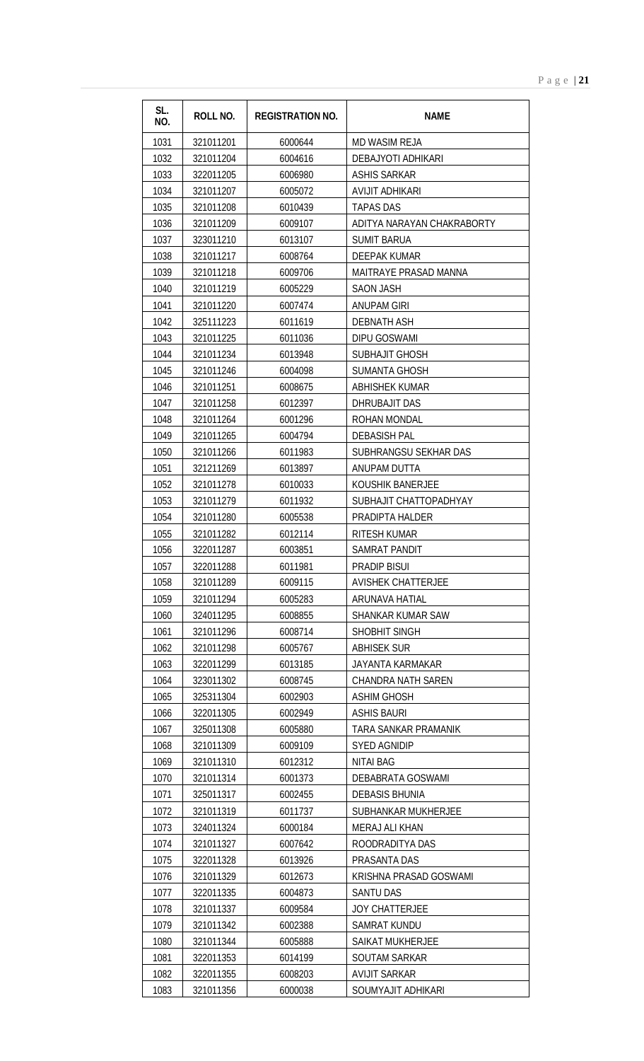| SL.<br>NO. | <b>ROLL NO.</b> | <b>REGISTRATION NO.</b> | <b>NAME</b>                  |
|------------|-----------------|-------------------------|------------------------------|
| 1031       | 321011201       | 6000644                 | <b>MD WASIM REJA</b>         |
| 1032       | 321011204       | 6004616                 | DEBAJYOTI ADHIKARI           |
| 1033       | 322011205       | 6006980                 | <b>ASHIS SARKAR</b>          |
| 1034       | 321011207       | 6005072                 | <b>AVIJIT ADHIKARI</b>       |
| 1035       | 321011208       | 6010439                 | <b>TAPAS DAS</b>             |
| 1036       | 321011209       | 6009107                 | ADITYA NARAYAN CHAKRABORTY   |
| 1037       | 323011210       | 6013107                 | <b>SUMIT BARUA</b>           |
| 1038       | 321011217       | 6008764                 | DEEPAK KUMAR                 |
| 1039       | 321011218       | 6009706                 | <b>MAITRAYE PRASAD MANNA</b> |
| 1040       | 321011219       | 6005229                 | <b>SAON JASH</b>             |
| 1041       | 321011220       | 6007474                 | ANUPAM GIRI                  |
| 1042       | 325111223       | 6011619                 | <b>DEBNATH ASH</b>           |
| 1043       | 321011225       | 6011036                 | <b>DIPU GOSWAMI</b>          |
| 1044       | 321011234       | 6013948                 | <b>SUBHAJIT GHOSH</b>        |
| 1045       | 321011246       | 6004098                 | <b>SUMANTA GHOSH</b>         |
| 1046       | 321011251       | 6008675                 | <b>ABHISHEK KUMAR</b>        |
| 1047       | 321011258       | 6012397                 | DHRUBAJIT DAS                |
| 1048       | 321011264       | 6001296                 | ROHAN MONDAL                 |
| 1049       | 321011265       | 6004794                 | <b>DEBASISH PAL</b>          |
| 1050       | 321011266       | 6011983                 | SUBHRANGSU SEKHAR DAS        |
| 1051       | 321211269       | 6013897                 | ANUPAM DUTTA                 |
| 1052       | 321011278       | 6010033                 | KOUSHIK BANERJEE             |
| 1053       | 321011279       | 6011932                 | SUBHAJIT CHATTOPADHYAY       |
| 1054       | 321011280       | 6005538                 | PRADIPTA HALDER              |
| 1055       | 321011282       | 6012114                 | RITESH KUMAR                 |
| 1056       | 322011287       | 6003851                 | SAMRAT PANDIT                |
| 1057       | 322011288       | 6011981                 | <b>PRADIP BISUI</b>          |
| 1058       | 321011289       | 6009115                 | <b>AVISHEK CHATTERJEE</b>    |
| 1059       | 321011294       | 6005283                 | ARUNAVA HATIAL               |
| 1060       | 324011295       | 6008855                 | SHANKAR KUMAR SAW            |
| 1061       | 321011296       | 6008714                 | SHOBHIT SINGH                |
| 1062       | 321011298       | 6005767                 | ABHISEK SUR                  |
| 1063       | 322011299       | 6013185                 | <b>JAYANTA KARMAKAR</b>      |
| 1064       | 323011302       | 6008745                 | <b>CHANDRA NATH SAREN</b>    |
| 1065       | 325311304       | 6002903                 | <b>ASHIM GHOSH</b>           |
| 1066       | 322011305       | 6002949                 | <b>ASHIS BAURI</b>           |
| 1067       | 325011308       | 6005880                 | TARA SANKAR PRAMANIK         |
| 1068       | 321011309       | 6009109                 | <b>SYED AGNIDIP</b>          |
| 1069       | 321011310       | 6012312                 | <b>NITAI BAG</b>             |
| 1070       | 321011314       | 6001373                 | DEBABRATA GOSWAMI            |
| 1071       | 325011317       | 6002455                 | <b>DEBASIS BHUNIA</b>        |
| 1072       | 321011319       | 6011737                 | SUBHANKAR MUKHERJEE          |
| 1073       | 324011324       | 6000184                 | MERAJ ALI KHAN               |
| 1074       | 321011327       | 6007642                 | ROODRADITYA DAS              |
| 1075       | 322011328       | 6013926                 | PRASANTA DAS                 |
| 1076       | 321011329       | 6012673                 | KRISHNA PRASAD GOSWAMI       |
| 1077       | 322011335       | 6004873                 | SANTU DAS                    |
| 1078       | 321011337       | 6009584                 | <b>JOY CHATTERJEE</b>        |
| 1079       | 321011342       | 6002388                 | <b>SAMRAT KUNDU</b>          |
| 1080       | 321011344       | 6005888                 | <b>SAIKAT MUKHERJEE</b>      |
| 1081       | 322011353       | 6014199                 | <b>SOUTAM SARKAR</b>         |
| 1082       | 322011355       | 6008203                 | <b>AVIJIT SARKAR</b>         |
| 1083       | 321011356       | 6000038                 | SOUMYAJIT ADHIKARI           |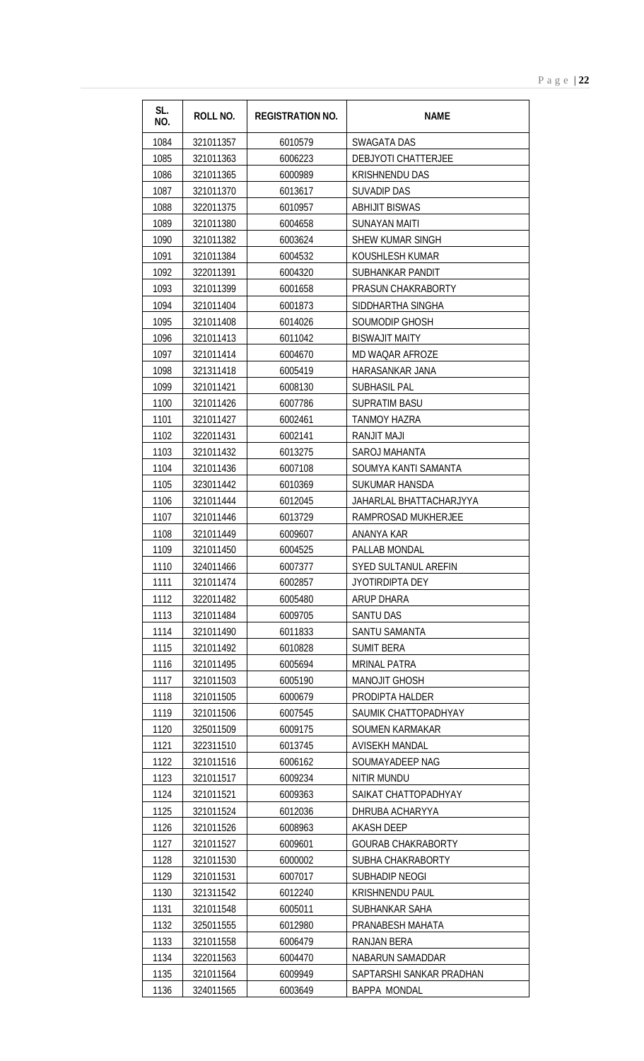| SL.<br>NO. | <b>ROLL NO.</b> | <b>REGISTRATION NO.</b> | <b>NAME</b>               |
|------------|-----------------|-------------------------|---------------------------|
| 1084       | 321011357       | 6010579                 | <b>SWAGATA DAS</b>        |
| 1085       | 321011363       | 6006223                 | DEBJYOTI CHATTERJEE       |
| 1086       | 321011365       | 6000989                 | <b>KRISHNENDU DAS</b>     |
| 1087       | 321011370       | 6013617                 | <b>SUVADIP DAS</b>        |
| 1088       | 322011375       | 6010957                 | <b>ABHIJIT BISWAS</b>     |
| 1089       | 321011380       | 6004658                 | <b>SUNAYAN MAITI</b>      |
| 1090       | 321011382       | 6003624                 | SHEW KUMAR SINGH          |
| 1091       | 321011384       | 6004532                 | KOUSHLESH KUMAR           |
| 1092       | 322011391       | 6004320                 | SUBHANKAR PANDIT          |
| 1093       | 321011399       | 6001658                 | PRASUN CHAKRABORTY        |
| 1094       | 321011404       | 6001873                 | SIDDHARTHA SINGHA         |
| 1095       | 321011408       | 6014026                 | SOUMODIP GHOSH            |
| 1096       | 321011413       | 6011042                 | <b>BISWAJIT MAITY</b>     |
| 1097       | 321011414       | 6004670                 | <b>MD WAQAR AFROZE</b>    |
| 1098       | 321311418       | 6005419                 | HARASANKAR JANA           |
| 1099       | 321011421       | 6008130                 | <b>SUBHASIL PAL</b>       |
| 1100       | 321011426       | 6007786                 | <b>SUPRATIM BASU</b>      |
| 1101       | 321011427       | 6002461                 | <b>TANMOY HAZRA</b>       |
| 1102       | 322011431       | 6002141                 | <b>RANJIT MAJI</b>        |
| 1103       | 321011432       | 6013275                 | SAROJ MAHANTA             |
| 1104       | 321011436       | 6007108                 | SOUMYA KANTI SAMANTA      |
| 1105       | 323011442       | 6010369                 | SUKUMAR HANSDA            |
| 1106       | 321011444       | 6012045                 | JAHARLAL BHATTACHARJYYA   |
| 1107       | 321011446       | 6013729                 | RAMPROSAD MUKHERJEE       |
| 1108       | 321011449       | 6009607                 | ANANYA KAR                |
| 1109       | 321011450       | 6004525                 | PALLAB MONDAL             |
| 1110       | 324011466       | 6007377                 | SYED SULTANUL AREFIN      |
| 1111       | 321011474       | 6002857                 | <b>JYOTIRDIPTA DEY</b>    |
| 1112       | 322011482       | 6005480                 | <b>ARUP DHARA</b>         |
| 1113       | 321011484       | 6009705                 | <b>SANTU DAS</b>          |
| 1114       | 321011490       | 6011833                 | SANTU SAMANTA             |
| 1115       | 321011492       | 6010828                 | <b>SUMIT BERA</b>         |
| 1116       | 321011495       | 6005694                 | <b>MRINAL PATRA</b>       |
| 1117       | 321011503       | 6005190                 | <b>MANOJIT GHOSH</b>      |
| 1118       | 321011505       | 6000679                 | PRODIPTA HALDER           |
| 1119       | 321011506       | 6007545                 | SAUMIK CHATTOPADHYAY      |
| 1120       | 325011509       | 6009175                 | <b>SOUMEN KARMAKAR</b>    |
| 1121       | 322311510       | 6013745                 | <b>AVISEKH MANDAL</b>     |
| 1122       | 321011516       | 6006162                 | SOUMAYADEEP NAG           |
| 1123       | 321011517       | 6009234                 | NITIR MUNDU               |
| 1124       | 321011521       | 6009363                 | SAIKAT CHATTOPADHYAY      |
| 1125       | 321011524       | 6012036                 | DHRUBA ACHARYYA           |
| 1126       | 321011526       | 6008963                 | <b>AKASH DEEP</b>         |
| 1127       | 321011527       | 6009601                 | <b>GOURAB CHAKRABORTY</b> |
| 1128       | 321011530       | 6000002                 | SUBHA CHAKRABORTY         |
| 1129       | 321011531       | 6007017                 | SUBHADIP NEOGI            |
| 1130       | 321311542       | 6012240                 | <b>KRISHNENDU PAUL</b>    |
| 1131       | 321011548       | 6005011                 | SUBHANKAR SAHA            |
| 1132       | 325011555       | 6012980                 | PRANABESH MAHATA          |
| 1133       | 321011558       | 6006479                 | <b>RANJAN BERA</b>        |
| 1134       | 322011563       | 6004470                 | NABARUN SAMADDAR          |
| 1135       | 321011564       | 6009949                 | SAPTARSHI SANKAR PRADHAN  |
| 1136       | 324011565       | 6003649                 | <b>BAPPA MONDAL</b>       |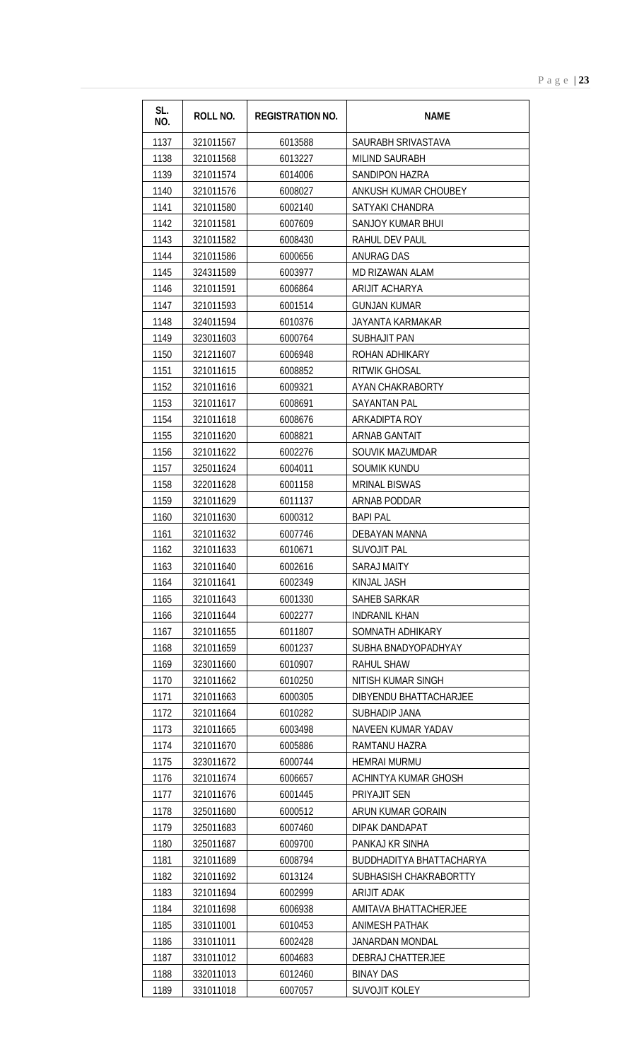| SL.<br>NO.   | <b>ROLL NO.</b>        | <b>REGISTRATION NO.</b> | <b>NAME</b>                       |
|--------------|------------------------|-------------------------|-----------------------------------|
| 1137         | 321011567              | 6013588                 | SAURABH SRIVASTAVA                |
| 1138         | 321011568              | 6013227                 | MILIND SAURABH                    |
| 1139         | 321011574              | 6014006                 | <b>SANDIPON HAZRA</b>             |
| 1140         | 321011576              | 6008027                 | ANKUSH KUMAR CHOUBEY              |
| 1141         | 321011580              | 6002140                 | SATYAKI CHANDRA                   |
| 1142         | 321011581              | 6007609                 | SANJOY KUMAR BHUI                 |
| 1143         | 321011582              | 6008430                 | RAHUL DEV PAUL                    |
| 1144         | 321011586              | 6000656                 | <b>ANURAG DAS</b>                 |
| 1145         | 324311589              | 6003977                 | MD RIZAWAN ALAM                   |
| 1146         | 321011591              | 6006864                 | ARIJIT ACHARYA                    |
| 1147         | 321011593              | 6001514                 | <b>GUNJAN KUMAR</b>               |
| 1148         | 324011594              | 6010376                 | <b>JAYANTA KARMAKAR</b>           |
| 1149         | 323011603              | 6000764                 | SUBHAJIT PAN                      |
| 1150         | 321211607              | 6006948                 | ROHAN ADHIKARY                    |
| 1151         | 321011615              | 6008852                 | <b>RITWIK GHOSAL</b>              |
| 1152         | 321011616              | 6009321                 | AYAN CHAKRABORTY                  |
| 1153         | 321011617              | 6008691                 | <b>SAYANTAN PAL</b>               |
| 1154         | 321011618              | 6008676                 | ARKADIPTA ROY                     |
| 1155         | 321011620              | 6008821                 | <b>ARNAB GANTAIT</b>              |
| 1156         | 321011622              | 6002276                 | SOUVIK MAZUMDAR                   |
| 1157         | 325011624              | 6004011                 | <b>SOUMIK KUNDU</b>               |
| 1158         | 322011628              | 6001158                 | <b>MRINAL BISWAS</b>              |
| 1159         | 321011629              | 6011137                 | ARNAB PODDAR                      |
| 1160         | 321011630              | 6000312                 | <b>BAPI PAL</b>                   |
| 1161         | 321011632              | 6007746                 | DEBAYAN MANNA                     |
| 1162         | 321011633              | 6010671                 | <b>SUVOJIT PAL</b>                |
| 1163         | 321011640              | 6002616                 | SARAJ MAITY                       |
| 1164         | 321011641              | 6002349                 | KINJAL JASH                       |
| 1165         | 321011643              | 6001330                 | <b>SAHEB SARKAR</b>               |
| 1166         | 321011644              | 6002277                 | <b>INDRANIL KHAN</b>              |
| 1167         | 321011655              | 6011807                 | SOMNATH ADHIKARY                  |
| 1168         | 321011659              | 6001237                 | SUBHA BNADYOPADHYAY               |
| 1169         | 323011660              | 6010907                 | <b>RAHUL SHAW</b>                 |
| 1170         | 321011662              | 6010250                 | NITISH KUMAR SINGH                |
| 1171         | 321011663              | 6000305                 | DIBYENDU BHATTACHARJEE            |
| 1172         | 321011664              | 6010282                 | SUBHADIP JANA                     |
| 1173         | 321011665              | 6003498                 | NAVEEN KUMAR YADAV                |
| 1174         | 321011670              | 6005886                 | RAMTANU HAZRA                     |
| 1175         | 323011672              | 6000744                 | <b>HEMRAI MURMU</b>               |
| 1176<br>1177 | 321011674<br>321011676 | 6006657                 | ACHINTYA KUMAR GHOSH              |
| 1178         | 325011680              | 6001445                 | PRIYAJIT SEN<br>ARUN KUMAR GORAIN |
| 1179         | 325011683              | 6000512<br>6007460      | DIPAK DANDAPAT                    |
| 1180         | 325011687              | 6009700                 | PANKAJ KR SINHA                   |
| 1181         | 321011689              | 6008794                 | BUDDHADITYA BHATTACHARYA          |
| 1182         | 321011692              | 6013124                 | SUBHASISH CHAKRABORTTY            |
| 1183         | 321011694              | 6002999                 | ARIJIT ADAK                       |
| 1184         | 321011698              | 6006938                 | AMITAVA BHATTACHERJEE             |
| 1185         | 331011001              | 6010453                 | <b>ANIMESH PATHAK</b>             |
| 1186         | 331011011              | 6002428                 | JANARDAN MONDAL                   |
| 1187         | 331011012              | 6004683                 | DEBRAJ CHATTERJEE                 |
| 1188         | 332011013              | 6012460                 | <b>BINAY DAS</b>                  |
| 1189         | 331011018              | 6007057                 | <b>SUVOJIT KOLEY</b>              |
|              |                        |                         |                                   |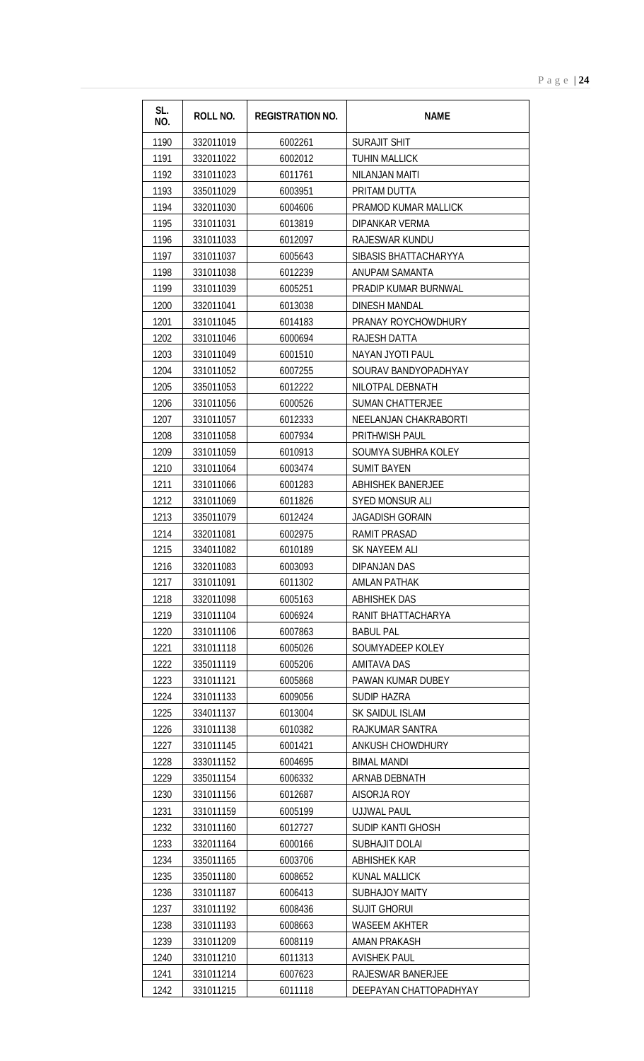| SL.<br>NO. | ROLL NO.  | <b>REGISTRATION NO.</b> | <b>NAME</b>              |
|------------|-----------|-------------------------|--------------------------|
| 1190       | 332011019 | 6002261                 | <b>SURAJIT SHIT</b>      |
| 1191       | 332011022 | 6002012                 | <b>TUHIN MALLICK</b>     |
| 1192       | 331011023 | 6011761                 | NILANJAN MAITI           |
| 1193       | 335011029 | 6003951                 | PRITAM DUTTA             |
| 1194       | 332011030 | 6004606                 | PRAMOD KUMAR MALLICK     |
| 1195       | 331011031 | 6013819                 | DIPANKAR VERMA           |
| 1196       | 331011033 | 6012097                 | RAJESWAR KUNDU           |
| 1197       | 331011037 | 6005643                 | SIBASIS BHATTACHARYYA    |
| 1198       | 331011038 | 6012239                 | ANUPAM SAMANTA           |
| 1199       | 331011039 | 6005251                 | PRADIP KUMAR BURNWAL     |
| 1200       | 332011041 | 6013038                 | <b>DINESH MANDAL</b>     |
| 1201       | 331011045 | 6014183                 | PRANAY ROYCHOWDHURY      |
| 1202       | 331011046 | 6000694                 | RAJESH DATTA             |
| 1203       | 331011049 | 6001510                 | NAYAN JYOTI PAUL         |
| 1204       | 331011052 | 6007255                 | SOURAV BANDYOPADHYAY     |
| 1205       | 335011053 | 6012222                 | NILOTPAL DEBNATH         |
| 1206       | 331011056 | 6000526                 | <b>SUMAN CHATTERJEE</b>  |
| 1207       | 331011057 | 6012333                 | NEELANJAN CHAKRABORTI    |
| 1208       | 331011058 | 6007934                 | PRITHWISH PAUL           |
| 1209       | 331011059 | 6010913                 | SOUMYA SUBHRA KOLEY      |
| 1210       | 331011064 | 6003474                 | <b>SUMIT BAYEN</b>       |
| 1211       | 331011066 | 6001283                 | <b>ABHISHEK BANERJEE</b> |
| 1212       | 331011069 | 6011826                 | SYED MONSUR ALI          |
| 1213       | 335011079 | 6012424                 | <b>JAGADISH GORAIN</b>   |
| 1214       | 332011081 | 6002975                 | RAMIT PRASAD             |
| 1215       | 334011082 | 6010189                 | SK NAYEEM ALI            |
| 1216       | 332011083 | 6003093                 | DIPANJAN DAS             |
| 1217       | 331011091 | 6011302                 | AMLAN PATHAK             |
| 1218       | 332011098 | 6005163                 | <b>ABHISHEK DAS</b>      |
| 1219       | 331011104 | 6006924                 | RANIT BHATTACHARYA       |
| 1220       | 331011106 | 6007863                 | <b>BABUL PAL</b>         |
| 1221       | 331011118 | 6005026                 | SOUMYADEEP KOLEY         |
| 1222       | 335011119 | 6005206                 | <b>AMITAVA DAS</b>       |
| 1223       | 331011121 | 6005868                 | PAWAN KUMAR DUBEY        |
| 1224       | 331011133 | 6009056                 | SUDIP HAZRA              |
| 1225       | 334011137 | 6013004                 | SK SAIDUL ISLAM          |
| 1226       | 331011138 | 6010382                 | RAJKUMAR SANTRA          |
| 1227       | 331011145 | 6001421                 | ANKUSH CHOWDHURY         |
| 1228       | 333011152 | 6004695                 | <b>BIMAL MANDI</b>       |
| 1229       | 335011154 | 6006332                 | ARNAB DEBNATH            |
| 1230       | 331011156 | 6012687                 | AISORJA ROY              |
| 1231       | 331011159 | 6005199                 | <b>UJJWAL PAUL</b>       |
| 1232       | 331011160 | 6012727                 | SUDIP KANTI GHOSH        |
| 1233       | 332011164 | 6000166                 | <b>SUBHAJIT DOLAI</b>    |
| 1234       | 335011165 | 6003706                 | <b>ABHISHEK KAR</b>      |
| 1235       | 335011180 | 6008652                 | <b>KUNAL MALLICK</b>     |
| 1236       | 331011187 | 6006413                 | <b>SUBHAJOY MAITY</b>    |
| 1237       | 331011192 | 6008436                 | <b>SUJIT GHORUI</b>      |
| 1238       | 331011193 | 6008663                 | <b>WASEEM AKHTER</b>     |
| 1239       | 331011209 | 6008119                 | <b>AMAN PRAKASH</b>      |
| 1240       | 331011210 | 6011313                 | <b>AVISHEK PAUL</b>      |
| 1241       | 331011214 | 6007623                 | RAJESWAR BANERJEE        |
| 1242       | 331011215 | 6011118                 | DEEPAYAN CHATTOPADHYAY   |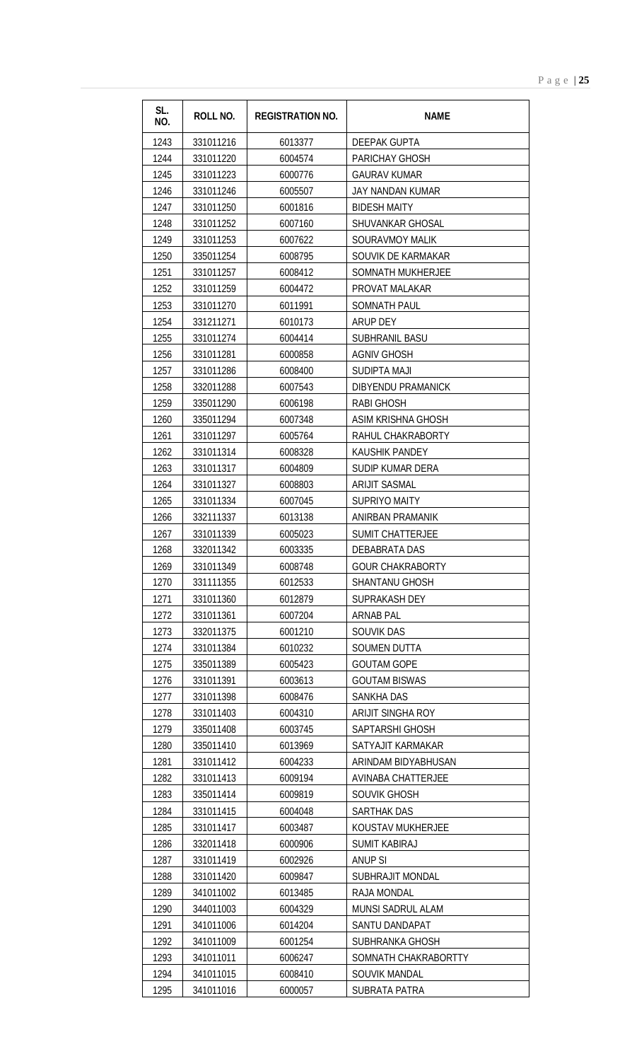| SL.<br>NO. | <b>ROLL NO.</b> | <b>REGISTRATION NO.</b> | <b>NAME</b>               |
|------------|-----------------|-------------------------|---------------------------|
| 1243       | 331011216       | 6013377                 | DEEPAK GUPTA              |
| 1244       | 331011220       | 6004574                 | PARICHAY GHOSH            |
| 1245       | 331011223       | 6000776                 | <b>GAURAV KUMAR</b>       |
| 1246       | 331011246       | 6005507                 | JAY NANDAN KUMAR          |
| 1247       | 331011250       | 6001816                 | <b>BIDESH MAITY</b>       |
| 1248       | 331011252       | 6007160                 | SHUVANKAR GHOSAL          |
| 1249       | 331011253       | 6007622                 | <b>SOURAVMOY MALIK</b>    |
| 1250       | 335011254       | 6008795                 | SOUVIK DE KARMAKAR        |
| 1251       | 331011257       | 6008412                 | SOMNATH MUKHERJEE         |
| 1252       | 331011259       | 6004472                 | PROVAT MALAKAR            |
| 1253       | 331011270       | 6011991                 | SOMNATH PAUL              |
| 1254       | 331211271       | 6010173                 | <b>ARUP DEY</b>           |
| 1255       | 331011274       | 6004414                 | SUBHRANIL BASU            |
| 1256       | 331011281       | 6000858                 | <b>AGNIV GHOSH</b>        |
| 1257       | 331011286       | 6008400                 | SUDIPTA MAJI              |
| 1258       | 332011288       | 6007543                 | DIBYENDU PRAMANICK        |
| 1259       | 335011290       | 6006198                 | <b>RABI GHOSH</b>         |
| 1260       | 335011294       | 6007348                 | <b>ASIM KRISHNA GHOSH</b> |
| 1261       | 331011297       | 6005764                 | RAHUL CHAKRABORTY         |
| 1262       | 331011314       | 6008328                 | <b>KAUSHIK PANDEY</b>     |
| 1263       | 331011317       | 6004809                 | SUDIP KUMAR DERA          |
| 1264       | 331011327       | 6008803                 | <b>ARIJIT SASMAL</b>      |
| 1265       | 331011334       | 6007045                 | <b>SUPRIYO MAITY</b>      |
| 1266       | 332111337       | 6013138                 | ANIRBAN PRAMANIK          |
| 1267       | 331011339       | 6005023                 | <b>SUMIT CHATTERJEE</b>   |
| 1268       | 332011342       | 6003335                 | <b>DEBABRATA DAS</b>      |
| 1269       | 331011349       | 6008748                 | <b>GOUR CHAKRABORTY</b>   |
| 1270       | 331111355       | 6012533                 | <b>SHANTANU GHOSH</b>     |
| 1271       | 331011360       | 6012879                 | SUPRAKASH DEY             |
| 1272       | 331011361       | 6007204                 | <b>ARNAB PAL</b>          |
| 1273       | 332011375       | 6001210                 | <b>SOUVIK DAS</b>         |
| 1274       | 331011384       | 6010232                 | SOUMEN DUTTA              |
| 1275       | 335011389       | 6005423                 | <b>GOUTAM GOPE</b>        |
| 1276       | 331011391       | 6003613                 | <b>GOUTAM BISWAS</b>      |
| 1277       | 331011398       | 6008476                 | SANKHA DAS                |
| 1278       | 331011403       | 6004310                 | ARIJIT SINGHA ROY         |
| 1279       | 335011408       | 6003745                 | SAPTARSHI GHOSH           |
| 1280       | 335011410       | 6013969                 | SATYAJIT KARMAKAR         |
| 1281       | 331011412       | 6004233                 | ARINDAM BIDYABHUSAN       |
| 1282       | 331011413       | 6009194                 | <b>AVINABA CHATTERJEE</b> |
| 1283       | 335011414       | 6009819                 | SOUVIK GHOSH              |
| 1284       | 331011415       | 6004048                 | <b>SARTHAK DAS</b>        |
| 1285       | 331011417       | 6003487                 | KOUSTAV MUKHERJEE         |
| 1286       | 332011418       | 6000906                 | <b>SUMIT KABIRAJ</b>      |
| 1287       | 331011419       | 6002926                 | <b>ANUP SI</b>            |
| 1288       | 331011420       | 6009847                 | SUBHRAJIT MONDAL          |
| 1289       | 341011002       | 6013485                 | RAJA MONDAL               |
| 1290       | 344011003       | 6004329                 | MUNSI SADRUL ALAM         |
| 1291       | 341011006       | 6014204                 | SANTU DANDAPAT            |
| 1292       | 341011009       | 6001254                 | SUBHRANKA GHOSH           |
| 1293       | 341011011       | 6006247                 | SOMNATH CHAKRABORTTY      |
| 1294       | 341011015       | 6008410                 | <b>SOUVIK MANDAL</b>      |
| 1295       | 341011016       | 6000057                 | <b>SUBRATA PATRA</b>      |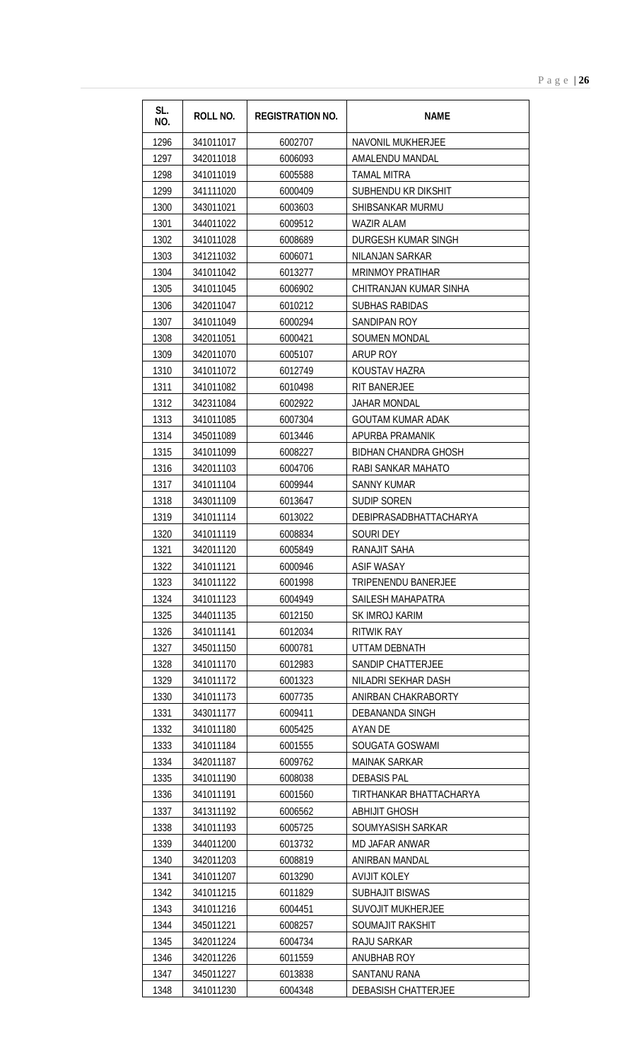| SL.<br>NO.   | <b>ROLL NO.</b>        | <b>REGISTRATION NO.</b> | <b>NAME</b>                |
|--------------|------------------------|-------------------------|----------------------------|
| 1296         | 341011017              | 6002707                 | <b>NAVONIL MUKHERJEE</b>   |
| 1297         | 342011018              | 6006093                 | AMALENDU MANDAL            |
| 1298         | 341011019              | 6005588                 | <b>TAMAL MITRA</b>         |
| 1299         | 341111020              | 6000409                 | SUBHENDU KR DIKSHIT        |
| 1300         | 343011021              | 6003603                 | SHIBSANKAR MURMU           |
| 1301         | 344011022              | 6009512                 | WAZIR ALAM                 |
| 1302         | 341011028              | 6008689                 | DURGESH KUMAR SINGH        |
| 1303         | 341211032              | 6006071                 | NILANJAN SARKAR            |
| 1304         | 341011042              | 6013277                 | <b>MRINMOY PRATIHAR</b>    |
| 1305         | 341011045              | 6006902                 | CHITRANJAN KUMAR SINHA     |
| 1306         | 342011047              | 6010212                 | <b>SUBHAS RABIDAS</b>      |
| 1307         | 341011049              | 6000294                 | SANDIPAN ROY               |
| 1308         | 342011051              | 6000421                 | <b>SOUMEN MONDAL</b>       |
| 1309         | 342011070              | 6005107                 | <b>ARUP ROY</b>            |
| 1310         | 341011072              | 6012749                 | KOUSTAV HAZRA              |
| 1311         | 341011082              | 6010498                 | RIT BANERJEE               |
| 1312         | 342311084              | 6002922                 | JAHAR MONDAL               |
| 1313         | 341011085              | 6007304                 | <b>GOUTAM KUMAR ADAK</b>   |
| 1314         | 345011089              | 6013446                 | APURBA PRAMANIK            |
| 1315         | 341011099              | 6008227                 | BIDHAN CHANDRA GHOSH       |
| 1316         | 342011103              | 6004706                 | RABI SANKAR MAHATO         |
| 1317         | 341011104              | 6009944                 | <b>SANNY KUMAR</b>         |
| 1318         | 343011109              | 6013647                 | <b>SUDIP SOREN</b>         |
| 1319         | 341011114              | 6013022                 | DEBIPRASADBHATTACHARYA     |
| 1320         | 341011119              | 6008834                 | <b>SOURI DEY</b>           |
| 1321         | 342011120              | 6005849                 | RANAJIT SAHA               |
| 1322         | 341011121              | 6000946                 | <b>ASIF WASAY</b>          |
| 1323         | 341011122              | 6001998                 | <b>TRIPENENDU BANERJEE</b> |
| 1324         | 341011123              | 6004949                 | SAILESH MAHAPATRA          |
| 1325         | 344011135              | 6012150                 | SK IMROJ KARIM             |
| 1326         | 341011141              | 6012034                 | <b>RITWIK RAY</b>          |
| 1327         | 345011150              | 6000781                 | UTTAM DEBNATH              |
| 1328         | 341011170              | 6012983                 | SANDIP CHATTERJEE          |
| 1329         | 341011172              | 6001323                 | NILADRI SEKHAR DASH        |
| 1330         | 341011173              | 6007735                 | ANIRBAN CHAKRABORTY        |
| 1331         | 343011177              | 6009411                 | DEBANANDA SINGH            |
| 1332<br>1333 | 341011180<br>341011184 | 6005425<br>6001555      | AYAN DE<br>SOUGATA GOSWAMI |
| 1334         | 342011187              | 6009762                 | <b>MAINAK SARKAR</b>       |
| 1335         | 341011190              | 6008038                 | <b>DEBASIS PAL</b>         |
| 1336         | 341011191              | 6001560                 | TIRTHANKAR BHATTACHARYA    |
| 1337         | 341311192              | 6006562                 | <b>ABHIJIT GHOSH</b>       |
| 1338         | 341011193              | 6005725                 | SOUMYASISH SARKAR          |
| 1339         | 344011200              | 6013732                 | MD JAFAR ANWAR             |
| 1340         | 342011203              | 6008819                 | ANIRBAN MANDAL             |
| 1341         | 341011207              | 6013290                 | <b>AVIJIT KOLEY</b>        |
| 1342         | 341011215              | 6011829                 | SUBHAJIT BISWAS            |
| 1343         | 341011216              | 6004451                 | <b>SUVOJIT MUKHERJEE</b>   |
| 1344         | 345011221              | 6008257                 | SOUMAJIT RAKSHIT           |
| 1345         | 342011224              | 6004734                 | RAJU SARKAR                |
| 1346         | 342011226              | 6011559                 | ANUBHAB ROY                |
| 1347         | 345011227              | 6013838                 | SANTANU RANA               |
| 1348         | 341011230              | 6004348                 | <b>DEBASISH CHATTERJEE</b> |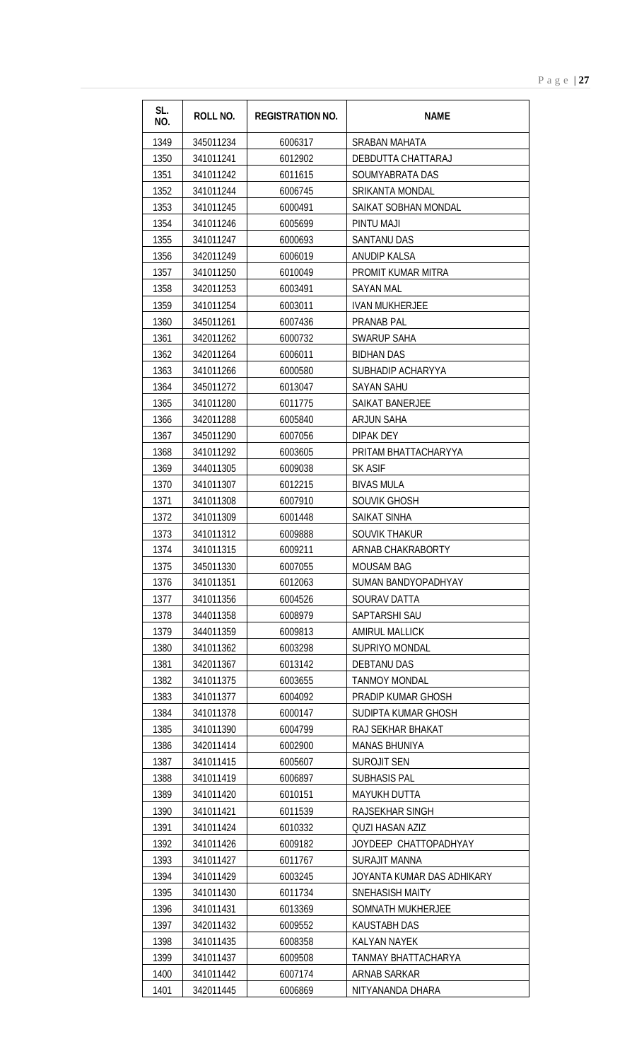| SL.<br><b>ROLL NO.</b><br><b>REGISTRATION NO.</b><br><b>NAME</b><br>NO. |  |
|-------------------------------------------------------------------------|--|
| 1349<br>345011234<br>6006317<br>SRABAN MAHATA                           |  |
| 1350<br>341011241<br>6012902<br>DEBDUTTA CHATTARAJ                      |  |
| 1351<br>341011242<br>6011615<br>SOUMYABRATA DAS                         |  |
| 1352<br>341011244<br>6006745<br><b>SRIKANTA MONDAL</b>                  |  |
| 1353<br>341011245<br>6000491<br>SAIKAT SOBHAN MONDAL                    |  |
| 1354<br>341011246<br>6005699<br>PINTU MAJI                              |  |
| 1355<br>341011247<br>6000693<br><b>SANTANU DAS</b>                      |  |
| 1356<br><b>ANUDIP KALSA</b><br>342011249<br>6006019                     |  |
| 1357<br>6010049<br>PROMIT KUMAR MITRA<br>341011250                      |  |
| 1358<br>342011253<br>6003491<br><b>SAYAN MAL</b>                        |  |
| 1359<br>341011254<br>6003011<br><b>IVAN MUKHERJEE</b>                   |  |
| 1360<br>345011261<br>6007436<br>PRANAB PAL                              |  |
| 1361<br>342011262<br>6000732<br><b>SWARUP SAHA</b>                      |  |
| 1362<br>342011264<br>6006011<br><b>BIDHAN DAS</b>                       |  |
| 1363<br>341011266<br>SUBHADIP ACHARYYA<br>6000580                       |  |
| 1364<br>345011272<br>6013047<br><b>SAYAN SAHU</b>                       |  |
| 1365<br>341011280<br>6011775<br><b>SAIKAT BANERJEE</b>                  |  |
| 1366<br>342011288<br>6005840<br>ARJUN SAHA                              |  |
| 1367<br>345011290<br>6007056<br><b>DIPAK DEY</b>                        |  |
| 1368<br>341011292<br>6003605<br>PRITAM BHATTACHARYYA                    |  |
| 1369<br><b>SK ASIF</b><br>344011305<br>6009038                          |  |
| 1370<br>341011307<br>6012215<br><b>BIVAS MULA</b>                       |  |
| 1371<br>6007910<br>SOUVIK GHOSH<br>341011308                            |  |
| 1372<br>341011309<br><b>SAIKAT SINHA</b><br>6001448                     |  |
| 1373<br>341011312<br>SOUVIK THAKUR<br>6009888                           |  |
| 1374<br>341011315<br>6009211<br>ARNAB CHAKRABORTY                       |  |
| 1375<br>345011330<br>6007055<br><b>MOUSAM BAG</b>                       |  |
| 1376<br>341011351<br>6012063<br>SUMAN BANDYOPADHYAY                     |  |
| 1377<br>341011356<br>6004526<br>SOURAV DATTA                            |  |
| 1378<br>344011358<br>SAPTARSHI SAU<br>6008979                           |  |
| 1379<br>344011359<br><b>AMIRUL MALLICK</b><br>6009813                   |  |
| 1380<br>SUPRIYO MONDAL<br>341011362<br>6003298                          |  |
| 1381<br>342011367<br>6013142<br><b>DEBTANU DAS</b>                      |  |
| 1382<br>341011375<br>6003655<br><b>TANMOY MONDAL</b>                    |  |
| 1383<br>PRADIP KUMAR GHOSH<br>341011377<br>6004092                      |  |
| 1384<br>341011378<br>6000147<br>SUDIPTA KUMAR GHOSH                     |  |
| 1385<br>341011390<br>6004799<br>RAJ SEKHAR BHAKAT                       |  |
| 1386<br>342011414<br>6002900<br><b>MANAS BHUNIYA</b>                    |  |
| 1387<br>6005607<br><b>SUROJIT SEN</b><br>341011415                      |  |
| 1388<br>341011419<br><b>SUBHASIS PAL</b><br>6006897                     |  |
| 1389<br>341011420<br>6010151<br><b>MAYUKH DUTTA</b>                     |  |
| 1390<br>341011421<br>6011539<br>RAJSEKHAR SINGH                         |  |
| 1391<br>341011424<br>6010332<br><b>QUZI HASAN AZIZ</b>                  |  |
| 1392<br>JOYDEEP CHATTOPADHYAY<br>341011426<br>6009182                   |  |
| 1393<br>341011427<br>6011767<br>SURAJIT MANNA                           |  |
| 1394<br>341011429<br>6003245<br>JOYANTA KUMAR DAS ADHIKARY              |  |
| 1395<br>341011430<br>6011734<br><b>SNEHASISH MAITY</b>                  |  |
| 1396<br>341011431<br>6013369<br>SOMNATH MUKHERJEE                       |  |
| 1397<br>342011432<br>6009552<br><b>KAUSTABH DAS</b>                     |  |
| 1398<br>341011435<br>6008358<br><b>KALYAN NAYEK</b>                     |  |
| 1399<br>341011437<br>6009508<br>TANMAY BHATTACHARYA                     |  |
| 1400<br>341011442<br>6007174<br><b>ARNAB SARKAR</b>                     |  |
| 1401<br>342011445<br>6006869<br>NITYANANDA DHARA                        |  |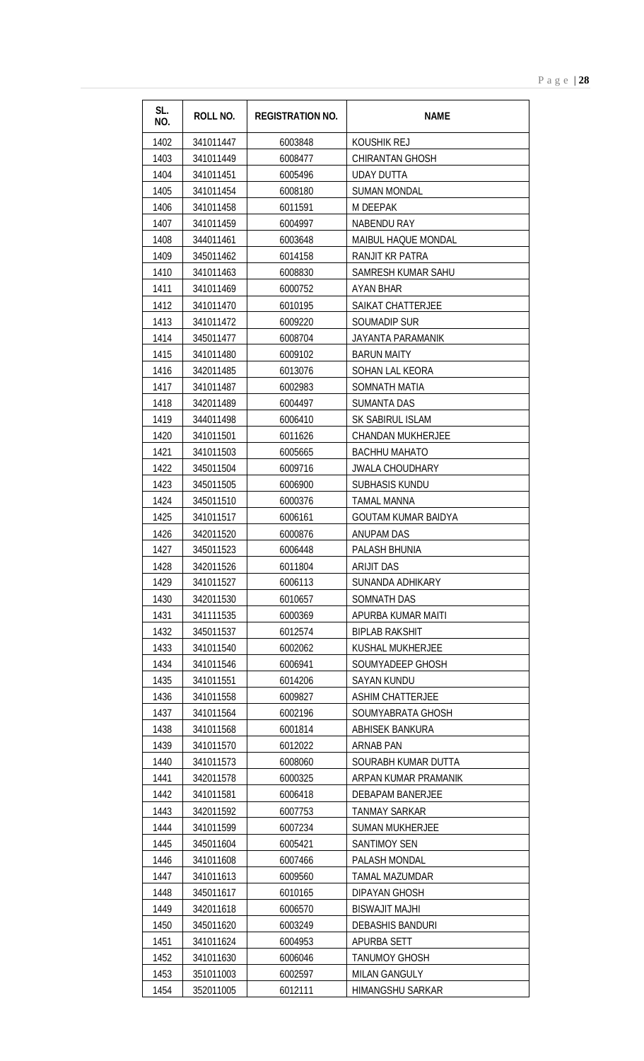| SL.<br>NO.   | <b>ROLL NO.</b>        | <b>REGISTRATION NO.</b> | <b>NAME</b>                    |
|--------------|------------------------|-------------------------|--------------------------------|
| 1402         | 341011447              | 6003848                 | KOUSHIK REJ                    |
| 1403         | 341011449              | 6008477                 | <b>CHIRANTAN GHOSH</b>         |
| 1404         | 341011451              | 6005496                 | <b>UDAY DUTTA</b>              |
| 1405         | 341011454              | 6008180                 | <b>SUMAN MONDAL</b>            |
| 1406         | 341011458              | 6011591                 | M DEEPAK                       |
| 1407         | 341011459              | 6004997                 | <b>NABENDU RAY</b>             |
| 1408         | 344011461              | 6003648                 | MAIBUL HAQUE MONDAL            |
| 1409         | 345011462              | 6014158                 | RANJIT KR PATRA                |
| 1410         | 341011463              | 6008830                 | SAMRESH KUMAR SAHU             |
| 1411         | 341011469              | 6000752                 | AYAN BHAR                      |
| 1412         | 341011470              | 6010195                 | <b>SAIKAT CHATTERJEE</b>       |
| 1413         | 341011472              | 6009220                 | <b>SOUMADIP SUR</b>            |
| 1414         | 345011477              | 6008704                 | JAYANTA PARAMANIK              |
| 1415         | 341011480              | 6009102                 | <b>BARUN MAITY</b>             |
| 1416         | 342011485              | 6013076                 | <b>SOHAN LAL KEORA</b>         |
| 1417         | 341011487              | 6002983                 | SOMNATH MATIA                  |
| 1418         | 342011489              | 6004497                 | <b>SUMANTA DAS</b>             |
| 1419         | 344011498              | 6006410                 | SK SABIRUL ISLAM               |
| 1420         | 341011501              | 6011626                 | <b>CHANDAN MUKHERJEE</b>       |
| 1421         | 341011503              | 6005665                 | <b>BACHHU MAHATO</b>           |
| 1422         | 345011504              | 6009716                 | <b>JWALA CHOUDHARY</b>         |
| 1423         | 345011505              | 6006900                 | <b>SUBHASIS KUNDU</b>          |
| 1424         | 345011510              | 6000376                 | <b>TAMAL MANNA</b>             |
| 1425         | 341011517              | 6006161                 | <b>GOUTAM KUMAR BAIDYA</b>     |
| 1426         | 342011520              | 6000876                 | <b>ANUPAM DAS</b>              |
| 1427         | 345011523              | 6006448                 | PALASH BHUNIA                  |
| 1428<br>1429 | 342011526<br>341011527 | 6011804<br>6006113      | ARIJIT DAS<br>SUNANDA ADHIKARY |
| 1430         | 342011530              | 6010657                 | <b>SOMNATH DAS</b>             |
| 1431         | 341111535              | 6000369                 | APURBA KUMAR MAITI             |
| 1432         | 345011537              | 6012574                 | <b>BIPLAB RAKSHIT</b>          |
| 1433         | 341011540              | 6002062                 | KUSHAL MUKHERJEE               |
| 1434         | 341011546              | 6006941                 | SOUMYADEEP GHOSH               |
| 1435         | 341011551              | 6014206                 | SAYAN KUNDU                    |
| 1436         | 341011558              | 6009827                 | <b>ASHIM CHATTERJEE</b>        |
| 1437         | 341011564              | 6002196                 | SOUMYABRATA GHOSH              |
| 1438         | 341011568              | 6001814                 | ABHISEK BANKURA                |
| 1439         | 341011570              | 6012022                 | ARNAB PAN                      |
| 1440         | 341011573              | 6008060                 | SOURABH KUMAR DUTTA            |
| 1441         | 342011578              | 6000325                 | ARPAN KUMAR PRAMANIK           |
| 1442         | 341011581              | 6006418                 | DEBAPAM BANERJEE               |
| 1443         | 342011592              | 6007753                 | <b>TANMAY SARKAR</b>           |
| 1444         | 341011599              | 6007234                 | <b>SUMAN MUKHERJEE</b>         |
| 1445         | 345011604              | 6005421                 | SANTIMOY SEN                   |
| 1446         | 341011608              | 6007466                 | PALASH MONDAL                  |
| 1447         | 341011613              | 6009560                 | TAMAL MAZUMDAR                 |
| 1448         | 345011617              | 6010165                 | DIPAYAN GHOSH                  |
| 1449         | 342011618              | 6006570                 | <b>BISWAJIT MAJHI</b>          |
| 1450         | 345011620              | 6003249                 | <b>DEBASHIS BANDURI</b>        |
| 1451         | 341011624              | 6004953                 | APURBA SETT                    |
| 1452         | 341011630              | 6006046                 | <b>TANUMOY GHOSH</b>           |
| 1453         | 351011003              | 6002597                 | <b>MILAN GANGULY</b>           |
| 1454         | 352011005              | 6012111                 | HIMANGSHU SARKAR               |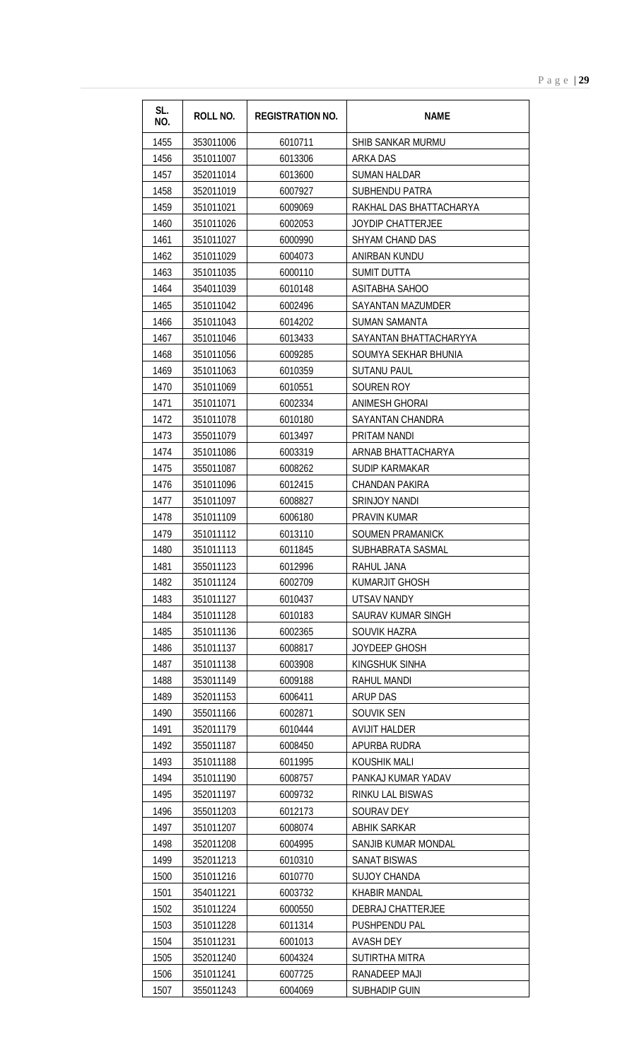| SL.<br>NO.   | ROLL NO.               | <b>REGISTRATION NO.</b> | <b>NAME</b>                       |
|--------------|------------------------|-------------------------|-----------------------------------|
| 1455         | 353011006              | 6010711                 | SHIB SANKAR MURMU                 |
| 1456         | 351011007              | 6013306                 | <b>ARKA DAS</b>                   |
| 1457         | 352011014              | 6013600                 | <b>SUMAN HALDAR</b>               |
| 1458         | 352011019              | 6007927                 | SUBHENDU PATRA                    |
| 1459         | 351011021              | 6009069                 | RAKHAL DAS BHATTACHARYA           |
| 1460         | 351011026              | 6002053                 | <b>JOYDIP CHATTERJEE</b>          |
| 1461         | 351011027              | 6000990                 | SHYAM CHAND DAS                   |
| 1462         | 351011029              | 6004073                 | ANIRBAN KUNDU                     |
| 1463         | 351011035              | 6000110                 | SUMIT DUTTA                       |
| 1464         | 354011039              | 6010148                 | <b>ASITABHA SAHOO</b>             |
| 1465         | 351011042              | 6002496                 | SAYANTAN MAZUMDER                 |
| 1466         | 351011043              | 6014202                 | <b>SUMAN SAMANTA</b>              |
| 1467         | 351011046              | 6013433                 | SAYANTAN BHATTACHARYYA            |
| 1468         | 351011056              | 6009285                 | SOUMYA SEKHAR BHUNIA              |
| 1469         | 351011063              | 6010359                 | <b>SUTANU PAUL</b>                |
| 1470         | 351011069              | 6010551                 | SOUREN ROY                        |
| 1471         | 351011071              | 6002334                 | <b>ANIMESH GHORAI</b>             |
| 1472         | 351011078              | 6010180                 | SAYANTAN CHANDRA                  |
| 1473         | 355011079              | 6013497                 | PRITAM NANDI                      |
| 1474         | 351011086              | 6003319                 | ARNAB BHATTACHARYA                |
| 1475         | 355011087              | 6008262                 | SUDIP KARMAKAR                    |
| 1476         | 351011096              | 6012415                 | <b>CHANDAN PAKIRA</b>             |
| 1477         | 351011097              | 6008827                 | <b>SRINJOY NANDI</b>              |
| 1478         | 351011109              | 6006180                 | PRAVIN KUMAR                      |
| 1479         | 351011112              | 6013110                 | SOUMEN PRAMANICK                  |
| 1480         | 351011113              | 6011845                 | SUBHABRATA SASMAL                 |
| 1481         | 355011123              | 6012996                 | RAHUL JANA                        |
| 1482         | 351011124              | 6002709                 | KUMARJIT GHOSH                    |
| 1483         | 351011127              | 6010437                 | UTSAV NANDY                       |
| 1484         | 351011128              | 6010183                 | SAURAV KUMAR SINGH                |
| 1485         | 351011136              | 6002365                 | SOUVIK HAZRA                      |
| 1486         | 351011137              | 6008817                 | JOYDEEP GHOSH                     |
| 1487         | 351011138              | 6003908                 | KINGSHUK SINHA                    |
| 1488         | 353011149              | 6009188                 | RAHUL MANDI                       |
| 1489         | 352011153              | 6006411                 | ARUP DAS                          |
| 1490         | 355011166              | 6002871                 | SOUVIK SEN                        |
| 1491         | 352011179              | 6010444                 | <b>AVIJIT HALDER</b>              |
| 1492         | 355011187              | 6008450                 | APURBA RUDRA                      |
| 1493         | 351011188              | 6011995                 | KOUSHIK MALI                      |
| 1494         | 351011190              | 6008757                 | PANKAJ KUMAR YADAV                |
| 1495         | 352011197              | 6009732                 | RINKU LAL BISWAS                  |
| 1496         | 355011203              | 6012173                 | SOURAV DEY                        |
| 1497         | 351011207              | 6008074                 | <b>ABHIK SARKAR</b>               |
| 1498         | 352011208              | 6004995                 | SANJIB KUMAR MONDAL               |
| 1499         | 352011213              | 6010310                 | SANAT BISWAS                      |
| 1500         | 351011216              | 6010770                 | <b>SUJOY CHANDA</b>               |
| 1501         | 354011221              | 6003732                 | <b>KHABIR MANDAL</b>              |
| 1502         | 351011224              | 6000550                 | DEBRAJ CHATTERJEE                 |
| 1503<br>1504 | 351011228<br>351011231 | 6011314<br>6001013      | PUSHPENDU PAL<br><b>AVASH DEY</b> |
| 1505         | 352011240              | 6004324                 | SUTIRTHA MITRA                    |
| 1506         | 351011241              | 6007725                 | RANADEEP MAJI                     |
| 1507         | 355011243              | 6004069                 | <b>SUBHADIP GUIN</b>              |
|              |                        |                         |                                   |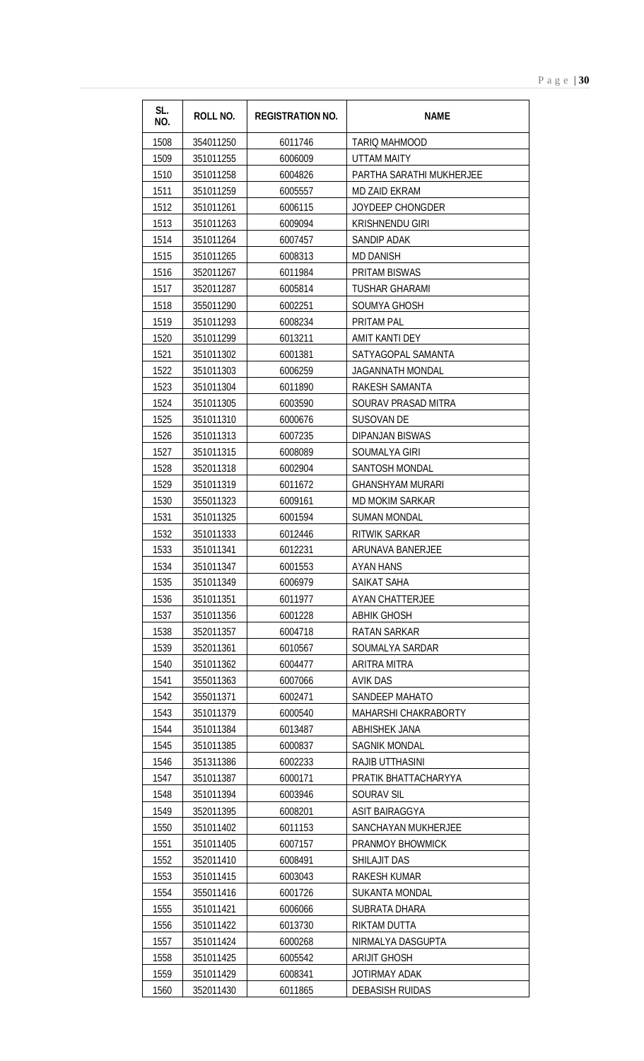| SL.<br>NO.   | ROLL NO.               | <b>REGISTRATION NO.</b> | <b>NAME</b>                           |
|--------------|------------------------|-------------------------|---------------------------------------|
| 1508         | 354011250              | 6011746                 | TARIO MAHMOOD                         |
| 1509         | 351011255              | 6006009                 | <b>UTTAM MAITY</b>                    |
| 1510         | 351011258              | 6004826                 | PARTHA SARATHI MUKHERJEE              |
| 1511         | 351011259              | 6005557                 | MD ZAID EKRAM                         |
| 1512         | 351011261              | 6006115                 | <b>JOYDEEP CHONGDER</b>               |
| 1513         | 351011263              | 6009094                 | <b>KRISHNENDU GIRI</b>                |
| 1514         | 351011264              | 6007457                 | SANDIP ADAK                           |
| 1515         | 351011265              | 6008313                 | <b>MD DANISH</b>                      |
| 1516         | 352011267              | 6011984                 | PRITAM BISWAS                         |
| 1517         | 352011287              | 6005814                 | <b>TUSHAR GHARAMI</b>                 |
| 1518         | 355011290              | 6002251                 | SOUMYA GHOSH                          |
| 1519         | 351011293              | 6008234                 | <b>PRITAM PAL</b>                     |
| 1520         | 351011299              | 6013211                 | AMIT KANTI DEY                        |
| 1521         | 351011302              | 6001381                 | SATYAGOPAL SAMANTA                    |
| 1522         | 351011303              | 6006259                 | <b>JAGANNATH MONDAL</b>               |
| 1523         | 351011304              | 6011890                 | RAKESH SAMANTA                        |
| 1524         | 351011305              | 6003590                 | SOURAV PRASAD MITRA                   |
| 1525         | 351011310              | 6000676                 | <b>SUSOVAN DE</b>                     |
| 1526         | 351011313              | 6007235                 | <b>DIPANJAN BISWAS</b>                |
| 1527         | 351011315              | 6008089                 | SOUMALYA GIRI                         |
| 1528         | 352011318              | 6002904                 | SANTOSH MONDAL                        |
| 1529         | 351011319              | 6011672                 | <b>GHANSHYAM MURARI</b>               |
| 1530         | 355011323              | 6009161                 | <b>MD MOKIM SARKAR</b>                |
| 1531         | 351011325              | 6001594                 | <b>SUMAN MONDAL</b>                   |
| 1532         | 351011333              | 6012446                 | RITWIK SARKAR                         |
| 1533         | 351011341              | 6012231                 | ARUNAVA BANERJEE                      |
| 1534         | 351011347              | 6001553                 | AYAN HANS                             |
| 1535         | 351011349<br>351011351 | 6006979<br>6011977      | SAIKAT SAHA<br><b>AYAN CHATTERJEE</b> |
| 1536<br>1537 | 351011356              | 6001228                 | <b>ABHIK GHOSH</b>                    |
| 1538         | 352011357              | 6004718                 | <b>RATAN SARKAR</b>                   |
| 1539         | 352011361              | 6010567                 | SOUMALYA SARDAR                       |
| 1540         | 351011362              | 6004477                 | ARITRA MITRA                          |
| 1541         | 355011363              | 6007066                 | <b>AVIK DAS</b>                       |
| 1542         | 355011371              | 6002471                 | SANDEEP MAHATO                        |
| 1543         | 351011379              | 6000540                 | MAHARSHI CHAKRABORTY                  |
| 1544         | 351011384              | 6013487                 | ABHISHEK JANA                         |
| 1545         | 351011385              | 6000837                 | <b>SAGNIK MONDAL</b>                  |
| 1546         | 351311386              | 6002233                 | <b>RAJIB UTTHASINI</b>                |
| 1547         | 351011387              | 6000171                 | PRATIK BHATTACHARYYA                  |
| 1548         | 351011394              | 6003946                 | SOURAV SIL                            |
| 1549         | 352011395              | 6008201                 | <b>ASIT BAIRAGGYA</b>                 |
| 1550         | 351011402              | 6011153                 | SANCHAYAN MUKHERJEE                   |
| 1551         | 351011405              | 6007157                 | <b>PRANMOY BHOWMICK</b>               |
| 1552         | 352011410              | 6008491                 | SHILAJIT DAS                          |
| 1553         | 351011415              | 6003043                 | <b>RAKESH KUMAR</b>                   |
| 1554         | 355011416              | 6001726                 | <b>SUKANTA MONDAL</b>                 |
| 1555         | 351011421              | 6006066                 | SUBRATA DHARA                         |
| 1556         | 351011422              | 6013730                 | RIKTAM DUTTA                          |
| 1557         | 351011424              | 6000268                 | NIRMALYA DASGUPTA                     |
| 1558         | 351011425              | 6005542                 | <b>ARIJIT GHOSH</b>                   |
| 1559         | 351011429              | 6008341                 | JOTIRMAY ADAK                         |
| 1560         | 352011430              | 6011865                 | <b>DEBASISH RUIDAS</b>                |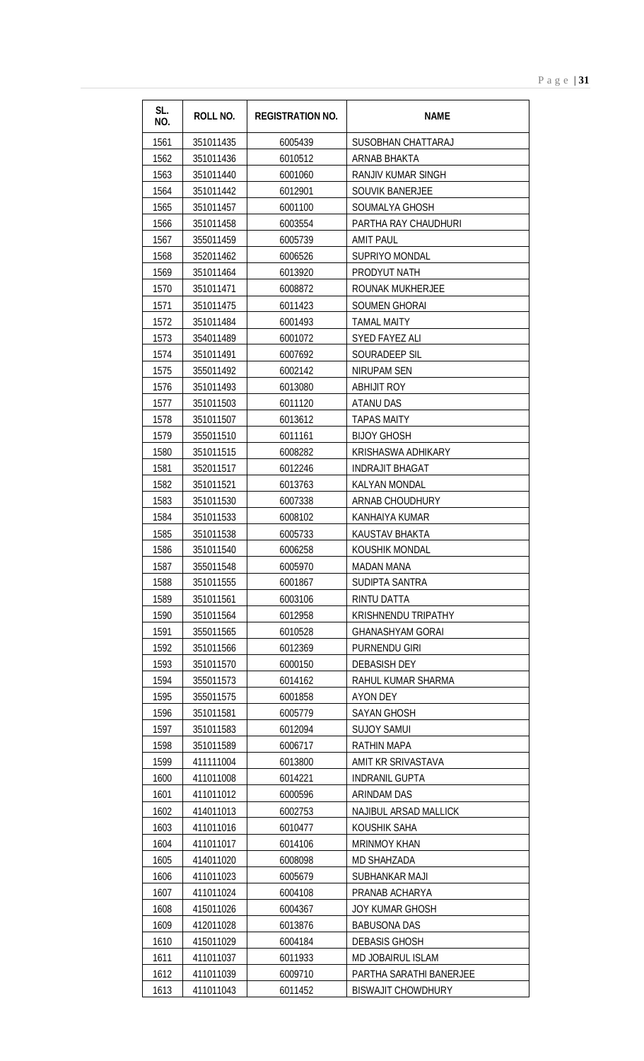| SL.<br>NO. | <b>ROLL NO.</b> | <b>REGISTRATION NO.</b> | <b>NAME</b>                |
|------------|-----------------|-------------------------|----------------------------|
| 1561       | 351011435       | 6005439                 | SUSOBHAN CHATTARAJ         |
| 1562       | 351011436       | 6010512                 | <b>ARNAB BHAKTA</b>        |
| 1563       | 351011440       | 6001060                 | <b>RANJIV KUMAR SINGH</b>  |
| 1564       | 351011442       | 6012901                 | <b>SOUVIK BANERJEE</b>     |
| 1565       | 351011457       | 6001100                 | SOUMALYA GHOSH             |
| 1566       | 351011458       | 6003554                 | PARTHA RAY CHAUDHURI       |
| 1567       | 355011459       | 6005739                 | <b>AMIT PAUL</b>           |
| 1568       | 352011462       | 6006526                 | SUPRIYO MONDAL             |
| 1569       | 351011464       | 6013920                 | PRODYUT NATH               |
| 1570       | 351011471       | 6008872                 | ROUNAK MUKHERJEE           |
| 1571       | 351011475       | 6011423                 | <b>SOUMEN GHORAI</b>       |
| 1572       | 351011484       | 6001493                 | TAMAL MAITY                |
| 1573       | 354011489       | 6001072                 | <b>SYED FAYEZ ALI</b>      |
| 1574       | 351011491       | 6007692                 | SOURADEEP SIL              |
| 1575       | 355011492       | 6002142                 | NIRUPAM SEN                |
| 1576       | 351011493       | 6013080                 | <b>ABHIJIT ROY</b>         |
| 1577       | 351011503       | 6011120                 | <b>ATANU DAS</b>           |
| 1578       | 351011507       | 6013612                 | <b>TAPAS MAITY</b>         |
| 1579       | 355011510       | 6011161                 | <b>BIJOY GHOSH</b>         |
| 1580       | 351011515       | 6008282                 | KRISHASWA ADHIKARY         |
| 1581       | 352011517       | 6012246                 | <b>INDRAJIT BHAGAT</b>     |
| 1582       | 351011521       | 6013763                 | <b>KALYAN MONDAL</b>       |
| 1583       | 351011530       | 6007338                 | ARNAB CHOUDHURY            |
| 1584       | 351011533       | 6008102                 | KANHAIYA KUMAR             |
| 1585       | 351011538       | 6005733                 | KAUSTAV BHAKTA             |
| 1586       | 351011540       | 6006258                 | KOUSHIK MONDAL             |
| 1587       | 355011548       | 6005970                 | MADAN MANA                 |
| 1588       | 351011555       | 6001867                 | SUDIPTA SANTRA             |
| 1589       | 351011561       | 6003106                 | RINTU DATTA                |
| 1590       | 351011564       | 6012958                 | <b>KRISHNENDU TRIPATHY</b> |
| 1591       | 355011565       | 6010528                 | <b>GHANASHYAM GORAI</b>    |
| 1592       | 351011566       | 6012369                 | PURNENDU GIRI              |
| 1593       | 351011570       | 6000150                 | <b>DEBASISH DEY</b>        |
| 1594       | 355011573       | 6014162                 | RAHUL KUMAR SHARMA         |
| 1595       | 355011575       | 6001858                 | <b>AYON DEY</b>            |
| 1596       | 351011581       | 6005779                 | SAYAN GHOSH                |
| 1597       | 351011583       | 6012094                 | <b>SUJOY SAMUI</b>         |
| 1598       | 351011589       | 6006717                 | <b>RATHIN MAPA</b>         |
| 1599       | 411111004       | 6013800                 | AMIT KR SRIVASTAVA         |
| 1600       | 411011008       | 6014221                 | <b>INDRANIL GUPTA</b>      |
| 1601       | 411011012       | 6000596                 | <b>ARINDAM DAS</b>         |
| 1602       | 414011013       | 6002753                 | NAJIBUL ARSAD MALLICK      |
| 1603       | 411011016       | 6010477                 | KOUSHIK SAHA               |
| 1604       | 411011017       | 6014106                 | <b>MRINMOY KHAN</b>        |
| 1605       | 414011020       | 6008098                 | <b>MD SHAHZADA</b>         |
| 1606       | 411011023       | 6005679                 | SUBHANKAR MAJI             |
| 1607       | 411011024       | 6004108                 | PRANAB ACHARYA             |
| 1608       | 415011026       | 6004367                 | <b>JOY KUMAR GHOSH</b>     |
| 1609       | 412011028       | 6013876                 | <b>BABUSONA DAS</b>        |
| 1610       | 415011029       | 6004184                 | <b>DEBASIS GHOSH</b>       |
| 1611       | 411011037       | 6011933                 | MD JOBAIRUL ISLAM          |
| 1612       | 411011039       | 6009710                 | PARTHA SARATHI BANERJEE    |
| 1613       | 411011043       | 6011452                 | <b>BISWAJIT CHOWDHURY</b>  |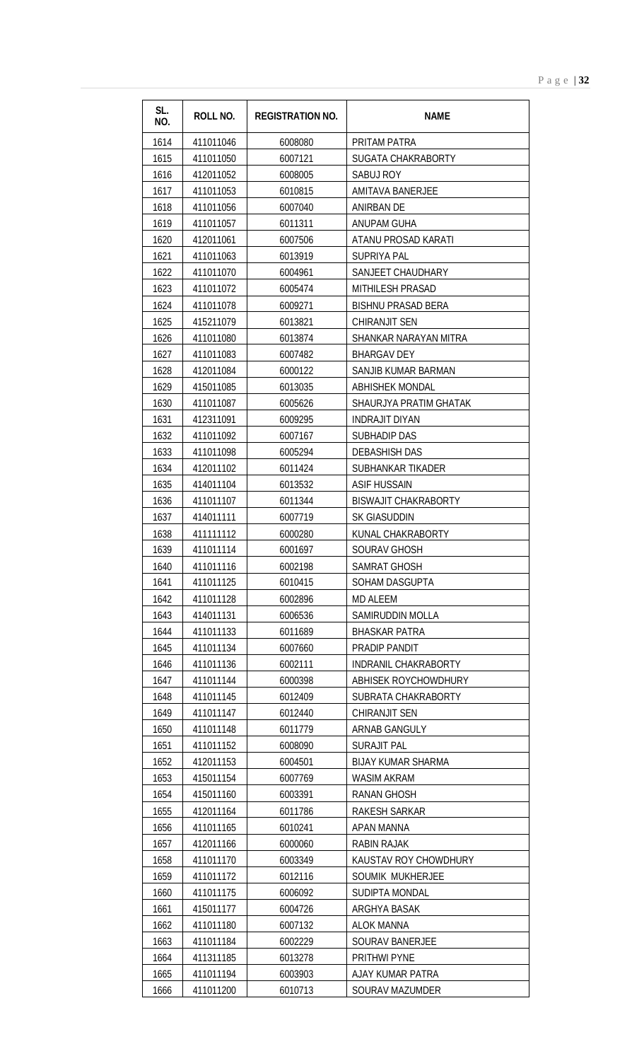| 1614<br>411011046<br>6008080<br>PRITAM PATRA<br>1615<br>411011050<br>6007121<br><b>SUGATA CHAKRABORTY</b><br>1616<br>412011052<br>6008005<br>SABUJ ROY<br>1617<br>411011053<br>6010815<br><b>AMITAVA BANERJEE</b><br>1618<br>411011056<br>6007040<br>ANIRBAN DE<br>1619<br>411011057<br>6011311<br>ANUPAM GUHA<br>1620<br>412011061<br>6007506<br>ATANU PROSAD KARATI<br>1621<br>411011063<br>6013919<br><b>SUPRIYA PAL</b><br>1622<br>411011070<br>SANJEET CHAUDHARY<br>6004961<br>1623<br>411011072<br>6005474<br><b>MITHILESH PRASAD</b><br>1624<br>411011078<br>6009271<br><b>BISHNU PRASAD BERA</b><br>1625<br>415211079<br>6013821<br>CHIRANJIT SEN<br>1626<br>411011080<br>6013874<br>SHANKAR NARAYAN MITRA<br>1627<br>411011083<br>6007482<br><b>BHARGAV DEY</b><br>1628<br>412011084<br>6000122<br>SANJIB KUMAR BARMAN<br>1629<br>415011085<br>6013035<br><b>ABHISHEK MONDAL</b><br>1630<br>411011087<br>6005626<br>SHAURJYA PRATIM GHATAK<br>1631<br>412311091<br>6009295<br>INDRAJIT DIYAN<br>1632<br>411011092<br>6007167<br><b>SUBHADIP DAS</b><br>1633<br>411011098<br>6005294<br><b>DEBASHISH DAS</b><br>1634<br>412011102<br>6011424<br>SUBHANKAR TIKADER<br>1635<br>414011104<br>6013532<br><b>ASIF HUSSAIN</b><br>1636<br>6011344<br><b>BISWAJIT CHAKRABORTY</b><br>411011107<br>1637<br>414011111<br>6007719<br>SK GIASUDDIN<br>1638<br>411111112<br>6000280<br>KUNAL CHAKRABORTY<br>1639<br>411011114<br>6001697<br><b>SOURAV GHOSH</b><br>1640<br>6002198<br><b>SAMRAT GHOSH</b><br>411011116<br>1641<br>411011125<br>6010415<br>SOHAM DASGUPTA<br>1642<br>411011128<br>6002896<br><b>MD ALEEM</b><br>1643<br>414011131<br>SAMIRUDDIN MOLLA<br>6006536<br>1644<br>411011133<br>6011689<br><b>BHASKAR PATRA</b><br>1645<br>411011134<br>PRADIP PANDIT<br>6007660<br>411011136<br>1646<br>6002111<br>INDRANIL CHAKRABORTY<br>1647<br>411011144<br>6000398<br>ABHISEK ROYCHOWDHURY<br>1648<br>6012409<br>SUBRATA CHAKRABORTY<br>411011145<br>1649<br>411011147<br>6012440<br>CHIRANJIT SEN<br>1650<br>411011148<br>6011779<br>ARNAB GANGULY<br>1651<br>411011152<br>6008090<br><b>SURAJIT PAL</b><br>1652<br>412011153<br><b>BIJAY KUMAR SHARMA</b><br>6004501<br>1653<br>415011154<br><b>WASIM AKRAM</b><br>6007769<br>1654<br>415011160<br><b>RANAN GHOSH</b><br>6003391<br>1655<br>412011164<br>RAKESH SARKAR<br>6011786<br>411011165<br>1656<br>6010241<br>APAN MANNA<br>1657<br>412011166<br><b>RABIN RAJAK</b><br>6000060<br>1658<br>411011170<br>6003349<br>KAUSTAV ROY CHOWDHURY<br>1659<br>411011172<br>6012116<br>SOUMIK MUKHERJEE<br>1660<br>411011175<br>6006092<br><b>SUDIPTA MONDAL</b><br>1661<br>415011177<br>6004726<br>ARGHYA BASAK<br>1662<br>411011180<br>6007132<br>ALOK MANNA<br>411011184<br>1663<br>6002229<br><b>SOURAV BANERJEE</b><br>1664<br>411311185<br>6013278<br>PRITHWI PYNE<br>1665<br>411011194<br>6003903<br>AJAY KUMAR PATRA | SL.<br>NO. | ROLL NO.  | <b>REGISTRATION NO.</b> | <b>NAME</b>            |
|-------------------------------------------------------------------------------------------------------------------------------------------------------------------------------------------------------------------------------------------------------------------------------------------------------------------------------------------------------------------------------------------------------------------------------------------------------------------------------------------------------------------------------------------------------------------------------------------------------------------------------------------------------------------------------------------------------------------------------------------------------------------------------------------------------------------------------------------------------------------------------------------------------------------------------------------------------------------------------------------------------------------------------------------------------------------------------------------------------------------------------------------------------------------------------------------------------------------------------------------------------------------------------------------------------------------------------------------------------------------------------------------------------------------------------------------------------------------------------------------------------------------------------------------------------------------------------------------------------------------------------------------------------------------------------------------------------------------------------------------------------------------------------------------------------------------------------------------------------------------------------------------------------------------------------------------------------------------------------------------------------------------------------------------------------------------------------------------------------------------------------------------------------------------------------------------------------------------------------------------------------------------------------------------------------------------------------------------------------------------------------------------------------------------------------------------------------------------------------------------------------------------------------------------------------------------------------------------------------------------------------------------------------------------------------------------------------------------------------------------------------------------------------------------------------------------------------------------------------------------------------------|------------|-----------|-------------------------|------------------------|
|                                                                                                                                                                                                                                                                                                                                                                                                                                                                                                                                                                                                                                                                                                                                                                                                                                                                                                                                                                                                                                                                                                                                                                                                                                                                                                                                                                                                                                                                                                                                                                                                                                                                                                                                                                                                                                                                                                                                                                                                                                                                                                                                                                                                                                                                                                                                                                                                                                                                                                                                                                                                                                                                                                                                                                                                                                                                                     |            |           |                         |                        |
|                                                                                                                                                                                                                                                                                                                                                                                                                                                                                                                                                                                                                                                                                                                                                                                                                                                                                                                                                                                                                                                                                                                                                                                                                                                                                                                                                                                                                                                                                                                                                                                                                                                                                                                                                                                                                                                                                                                                                                                                                                                                                                                                                                                                                                                                                                                                                                                                                                                                                                                                                                                                                                                                                                                                                                                                                                                                                     |            |           |                         |                        |
|                                                                                                                                                                                                                                                                                                                                                                                                                                                                                                                                                                                                                                                                                                                                                                                                                                                                                                                                                                                                                                                                                                                                                                                                                                                                                                                                                                                                                                                                                                                                                                                                                                                                                                                                                                                                                                                                                                                                                                                                                                                                                                                                                                                                                                                                                                                                                                                                                                                                                                                                                                                                                                                                                                                                                                                                                                                                                     |            |           |                         |                        |
|                                                                                                                                                                                                                                                                                                                                                                                                                                                                                                                                                                                                                                                                                                                                                                                                                                                                                                                                                                                                                                                                                                                                                                                                                                                                                                                                                                                                                                                                                                                                                                                                                                                                                                                                                                                                                                                                                                                                                                                                                                                                                                                                                                                                                                                                                                                                                                                                                                                                                                                                                                                                                                                                                                                                                                                                                                                                                     |            |           |                         |                        |
|                                                                                                                                                                                                                                                                                                                                                                                                                                                                                                                                                                                                                                                                                                                                                                                                                                                                                                                                                                                                                                                                                                                                                                                                                                                                                                                                                                                                                                                                                                                                                                                                                                                                                                                                                                                                                                                                                                                                                                                                                                                                                                                                                                                                                                                                                                                                                                                                                                                                                                                                                                                                                                                                                                                                                                                                                                                                                     |            |           |                         |                        |
|                                                                                                                                                                                                                                                                                                                                                                                                                                                                                                                                                                                                                                                                                                                                                                                                                                                                                                                                                                                                                                                                                                                                                                                                                                                                                                                                                                                                                                                                                                                                                                                                                                                                                                                                                                                                                                                                                                                                                                                                                                                                                                                                                                                                                                                                                                                                                                                                                                                                                                                                                                                                                                                                                                                                                                                                                                                                                     |            |           |                         |                        |
|                                                                                                                                                                                                                                                                                                                                                                                                                                                                                                                                                                                                                                                                                                                                                                                                                                                                                                                                                                                                                                                                                                                                                                                                                                                                                                                                                                                                                                                                                                                                                                                                                                                                                                                                                                                                                                                                                                                                                                                                                                                                                                                                                                                                                                                                                                                                                                                                                                                                                                                                                                                                                                                                                                                                                                                                                                                                                     |            |           |                         |                        |
|                                                                                                                                                                                                                                                                                                                                                                                                                                                                                                                                                                                                                                                                                                                                                                                                                                                                                                                                                                                                                                                                                                                                                                                                                                                                                                                                                                                                                                                                                                                                                                                                                                                                                                                                                                                                                                                                                                                                                                                                                                                                                                                                                                                                                                                                                                                                                                                                                                                                                                                                                                                                                                                                                                                                                                                                                                                                                     |            |           |                         |                        |
|                                                                                                                                                                                                                                                                                                                                                                                                                                                                                                                                                                                                                                                                                                                                                                                                                                                                                                                                                                                                                                                                                                                                                                                                                                                                                                                                                                                                                                                                                                                                                                                                                                                                                                                                                                                                                                                                                                                                                                                                                                                                                                                                                                                                                                                                                                                                                                                                                                                                                                                                                                                                                                                                                                                                                                                                                                                                                     |            |           |                         |                        |
|                                                                                                                                                                                                                                                                                                                                                                                                                                                                                                                                                                                                                                                                                                                                                                                                                                                                                                                                                                                                                                                                                                                                                                                                                                                                                                                                                                                                                                                                                                                                                                                                                                                                                                                                                                                                                                                                                                                                                                                                                                                                                                                                                                                                                                                                                                                                                                                                                                                                                                                                                                                                                                                                                                                                                                                                                                                                                     |            |           |                         |                        |
|                                                                                                                                                                                                                                                                                                                                                                                                                                                                                                                                                                                                                                                                                                                                                                                                                                                                                                                                                                                                                                                                                                                                                                                                                                                                                                                                                                                                                                                                                                                                                                                                                                                                                                                                                                                                                                                                                                                                                                                                                                                                                                                                                                                                                                                                                                                                                                                                                                                                                                                                                                                                                                                                                                                                                                                                                                                                                     |            |           |                         |                        |
|                                                                                                                                                                                                                                                                                                                                                                                                                                                                                                                                                                                                                                                                                                                                                                                                                                                                                                                                                                                                                                                                                                                                                                                                                                                                                                                                                                                                                                                                                                                                                                                                                                                                                                                                                                                                                                                                                                                                                                                                                                                                                                                                                                                                                                                                                                                                                                                                                                                                                                                                                                                                                                                                                                                                                                                                                                                                                     |            |           |                         |                        |
|                                                                                                                                                                                                                                                                                                                                                                                                                                                                                                                                                                                                                                                                                                                                                                                                                                                                                                                                                                                                                                                                                                                                                                                                                                                                                                                                                                                                                                                                                                                                                                                                                                                                                                                                                                                                                                                                                                                                                                                                                                                                                                                                                                                                                                                                                                                                                                                                                                                                                                                                                                                                                                                                                                                                                                                                                                                                                     |            |           |                         |                        |
|                                                                                                                                                                                                                                                                                                                                                                                                                                                                                                                                                                                                                                                                                                                                                                                                                                                                                                                                                                                                                                                                                                                                                                                                                                                                                                                                                                                                                                                                                                                                                                                                                                                                                                                                                                                                                                                                                                                                                                                                                                                                                                                                                                                                                                                                                                                                                                                                                                                                                                                                                                                                                                                                                                                                                                                                                                                                                     |            |           |                         |                        |
|                                                                                                                                                                                                                                                                                                                                                                                                                                                                                                                                                                                                                                                                                                                                                                                                                                                                                                                                                                                                                                                                                                                                                                                                                                                                                                                                                                                                                                                                                                                                                                                                                                                                                                                                                                                                                                                                                                                                                                                                                                                                                                                                                                                                                                                                                                                                                                                                                                                                                                                                                                                                                                                                                                                                                                                                                                                                                     |            |           |                         |                        |
|                                                                                                                                                                                                                                                                                                                                                                                                                                                                                                                                                                                                                                                                                                                                                                                                                                                                                                                                                                                                                                                                                                                                                                                                                                                                                                                                                                                                                                                                                                                                                                                                                                                                                                                                                                                                                                                                                                                                                                                                                                                                                                                                                                                                                                                                                                                                                                                                                                                                                                                                                                                                                                                                                                                                                                                                                                                                                     |            |           |                         |                        |
|                                                                                                                                                                                                                                                                                                                                                                                                                                                                                                                                                                                                                                                                                                                                                                                                                                                                                                                                                                                                                                                                                                                                                                                                                                                                                                                                                                                                                                                                                                                                                                                                                                                                                                                                                                                                                                                                                                                                                                                                                                                                                                                                                                                                                                                                                                                                                                                                                                                                                                                                                                                                                                                                                                                                                                                                                                                                                     |            |           |                         |                        |
|                                                                                                                                                                                                                                                                                                                                                                                                                                                                                                                                                                                                                                                                                                                                                                                                                                                                                                                                                                                                                                                                                                                                                                                                                                                                                                                                                                                                                                                                                                                                                                                                                                                                                                                                                                                                                                                                                                                                                                                                                                                                                                                                                                                                                                                                                                                                                                                                                                                                                                                                                                                                                                                                                                                                                                                                                                                                                     |            |           |                         |                        |
|                                                                                                                                                                                                                                                                                                                                                                                                                                                                                                                                                                                                                                                                                                                                                                                                                                                                                                                                                                                                                                                                                                                                                                                                                                                                                                                                                                                                                                                                                                                                                                                                                                                                                                                                                                                                                                                                                                                                                                                                                                                                                                                                                                                                                                                                                                                                                                                                                                                                                                                                                                                                                                                                                                                                                                                                                                                                                     |            |           |                         |                        |
|                                                                                                                                                                                                                                                                                                                                                                                                                                                                                                                                                                                                                                                                                                                                                                                                                                                                                                                                                                                                                                                                                                                                                                                                                                                                                                                                                                                                                                                                                                                                                                                                                                                                                                                                                                                                                                                                                                                                                                                                                                                                                                                                                                                                                                                                                                                                                                                                                                                                                                                                                                                                                                                                                                                                                                                                                                                                                     |            |           |                         |                        |
|                                                                                                                                                                                                                                                                                                                                                                                                                                                                                                                                                                                                                                                                                                                                                                                                                                                                                                                                                                                                                                                                                                                                                                                                                                                                                                                                                                                                                                                                                                                                                                                                                                                                                                                                                                                                                                                                                                                                                                                                                                                                                                                                                                                                                                                                                                                                                                                                                                                                                                                                                                                                                                                                                                                                                                                                                                                                                     |            |           |                         |                        |
|                                                                                                                                                                                                                                                                                                                                                                                                                                                                                                                                                                                                                                                                                                                                                                                                                                                                                                                                                                                                                                                                                                                                                                                                                                                                                                                                                                                                                                                                                                                                                                                                                                                                                                                                                                                                                                                                                                                                                                                                                                                                                                                                                                                                                                                                                                                                                                                                                                                                                                                                                                                                                                                                                                                                                                                                                                                                                     |            |           |                         |                        |
|                                                                                                                                                                                                                                                                                                                                                                                                                                                                                                                                                                                                                                                                                                                                                                                                                                                                                                                                                                                                                                                                                                                                                                                                                                                                                                                                                                                                                                                                                                                                                                                                                                                                                                                                                                                                                                                                                                                                                                                                                                                                                                                                                                                                                                                                                                                                                                                                                                                                                                                                                                                                                                                                                                                                                                                                                                                                                     |            |           |                         |                        |
|                                                                                                                                                                                                                                                                                                                                                                                                                                                                                                                                                                                                                                                                                                                                                                                                                                                                                                                                                                                                                                                                                                                                                                                                                                                                                                                                                                                                                                                                                                                                                                                                                                                                                                                                                                                                                                                                                                                                                                                                                                                                                                                                                                                                                                                                                                                                                                                                                                                                                                                                                                                                                                                                                                                                                                                                                                                                                     |            |           |                         |                        |
|                                                                                                                                                                                                                                                                                                                                                                                                                                                                                                                                                                                                                                                                                                                                                                                                                                                                                                                                                                                                                                                                                                                                                                                                                                                                                                                                                                                                                                                                                                                                                                                                                                                                                                                                                                                                                                                                                                                                                                                                                                                                                                                                                                                                                                                                                                                                                                                                                                                                                                                                                                                                                                                                                                                                                                                                                                                                                     |            |           |                         |                        |
|                                                                                                                                                                                                                                                                                                                                                                                                                                                                                                                                                                                                                                                                                                                                                                                                                                                                                                                                                                                                                                                                                                                                                                                                                                                                                                                                                                                                                                                                                                                                                                                                                                                                                                                                                                                                                                                                                                                                                                                                                                                                                                                                                                                                                                                                                                                                                                                                                                                                                                                                                                                                                                                                                                                                                                                                                                                                                     |            |           |                         |                        |
|                                                                                                                                                                                                                                                                                                                                                                                                                                                                                                                                                                                                                                                                                                                                                                                                                                                                                                                                                                                                                                                                                                                                                                                                                                                                                                                                                                                                                                                                                                                                                                                                                                                                                                                                                                                                                                                                                                                                                                                                                                                                                                                                                                                                                                                                                                                                                                                                                                                                                                                                                                                                                                                                                                                                                                                                                                                                                     |            |           |                         |                        |
|                                                                                                                                                                                                                                                                                                                                                                                                                                                                                                                                                                                                                                                                                                                                                                                                                                                                                                                                                                                                                                                                                                                                                                                                                                                                                                                                                                                                                                                                                                                                                                                                                                                                                                                                                                                                                                                                                                                                                                                                                                                                                                                                                                                                                                                                                                                                                                                                                                                                                                                                                                                                                                                                                                                                                                                                                                                                                     |            |           |                         |                        |
|                                                                                                                                                                                                                                                                                                                                                                                                                                                                                                                                                                                                                                                                                                                                                                                                                                                                                                                                                                                                                                                                                                                                                                                                                                                                                                                                                                                                                                                                                                                                                                                                                                                                                                                                                                                                                                                                                                                                                                                                                                                                                                                                                                                                                                                                                                                                                                                                                                                                                                                                                                                                                                                                                                                                                                                                                                                                                     |            |           |                         |                        |
|                                                                                                                                                                                                                                                                                                                                                                                                                                                                                                                                                                                                                                                                                                                                                                                                                                                                                                                                                                                                                                                                                                                                                                                                                                                                                                                                                                                                                                                                                                                                                                                                                                                                                                                                                                                                                                                                                                                                                                                                                                                                                                                                                                                                                                                                                                                                                                                                                                                                                                                                                                                                                                                                                                                                                                                                                                                                                     |            |           |                         |                        |
|                                                                                                                                                                                                                                                                                                                                                                                                                                                                                                                                                                                                                                                                                                                                                                                                                                                                                                                                                                                                                                                                                                                                                                                                                                                                                                                                                                                                                                                                                                                                                                                                                                                                                                                                                                                                                                                                                                                                                                                                                                                                                                                                                                                                                                                                                                                                                                                                                                                                                                                                                                                                                                                                                                                                                                                                                                                                                     |            |           |                         |                        |
|                                                                                                                                                                                                                                                                                                                                                                                                                                                                                                                                                                                                                                                                                                                                                                                                                                                                                                                                                                                                                                                                                                                                                                                                                                                                                                                                                                                                                                                                                                                                                                                                                                                                                                                                                                                                                                                                                                                                                                                                                                                                                                                                                                                                                                                                                                                                                                                                                                                                                                                                                                                                                                                                                                                                                                                                                                                                                     |            |           |                         |                        |
|                                                                                                                                                                                                                                                                                                                                                                                                                                                                                                                                                                                                                                                                                                                                                                                                                                                                                                                                                                                                                                                                                                                                                                                                                                                                                                                                                                                                                                                                                                                                                                                                                                                                                                                                                                                                                                                                                                                                                                                                                                                                                                                                                                                                                                                                                                                                                                                                                                                                                                                                                                                                                                                                                                                                                                                                                                                                                     |            |           |                         |                        |
|                                                                                                                                                                                                                                                                                                                                                                                                                                                                                                                                                                                                                                                                                                                                                                                                                                                                                                                                                                                                                                                                                                                                                                                                                                                                                                                                                                                                                                                                                                                                                                                                                                                                                                                                                                                                                                                                                                                                                                                                                                                                                                                                                                                                                                                                                                                                                                                                                                                                                                                                                                                                                                                                                                                                                                                                                                                                                     |            |           |                         |                        |
|                                                                                                                                                                                                                                                                                                                                                                                                                                                                                                                                                                                                                                                                                                                                                                                                                                                                                                                                                                                                                                                                                                                                                                                                                                                                                                                                                                                                                                                                                                                                                                                                                                                                                                                                                                                                                                                                                                                                                                                                                                                                                                                                                                                                                                                                                                                                                                                                                                                                                                                                                                                                                                                                                                                                                                                                                                                                                     |            |           |                         |                        |
|                                                                                                                                                                                                                                                                                                                                                                                                                                                                                                                                                                                                                                                                                                                                                                                                                                                                                                                                                                                                                                                                                                                                                                                                                                                                                                                                                                                                                                                                                                                                                                                                                                                                                                                                                                                                                                                                                                                                                                                                                                                                                                                                                                                                                                                                                                                                                                                                                                                                                                                                                                                                                                                                                                                                                                                                                                                                                     |            |           |                         |                        |
|                                                                                                                                                                                                                                                                                                                                                                                                                                                                                                                                                                                                                                                                                                                                                                                                                                                                                                                                                                                                                                                                                                                                                                                                                                                                                                                                                                                                                                                                                                                                                                                                                                                                                                                                                                                                                                                                                                                                                                                                                                                                                                                                                                                                                                                                                                                                                                                                                                                                                                                                                                                                                                                                                                                                                                                                                                                                                     |            |           |                         |                        |
|                                                                                                                                                                                                                                                                                                                                                                                                                                                                                                                                                                                                                                                                                                                                                                                                                                                                                                                                                                                                                                                                                                                                                                                                                                                                                                                                                                                                                                                                                                                                                                                                                                                                                                                                                                                                                                                                                                                                                                                                                                                                                                                                                                                                                                                                                                                                                                                                                                                                                                                                                                                                                                                                                                                                                                                                                                                                                     |            |           |                         |                        |
|                                                                                                                                                                                                                                                                                                                                                                                                                                                                                                                                                                                                                                                                                                                                                                                                                                                                                                                                                                                                                                                                                                                                                                                                                                                                                                                                                                                                                                                                                                                                                                                                                                                                                                                                                                                                                                                                                                                                                                                                                                                                                                                                                                                                                                                                                                                                                                                                                                                                                                                                                                                                                                                                                                                                                                                                                                                                                     |            |           |                         |                        |
|                                                                                                                                                                                                                                                                                                                                                                                                                                                                                                                                                                                                                                                                                                                                                                                                                                                                                                                                                                                                                                                                                                                                                                                                                                                                                                                                                                                                                                                                                                                                                                                                                                                                                                                                                                                                                                                                                                                                                                                                                                                                                                                                                                                                                                                                                                                                                                                                                                                                                                                                                                                                                                                                                                                                                                                                                                                                                     |            |           |                         |                        |
|                                                                                                                                                                                                                                                                                                                                                                                                                                                                                                                                                                                                                                                                                                                                                                                                                                                                                                                                                                                                                                                                                                                                                                                                                                                                                                                                                                                                                                                                                                                                                                                                                                                                                                                                                                                                                                                                                                                                                                                                                                                                                                                                                                                                                                                                                                                                                                                                                                                                                                                                                                                                                                                                                                                                                                                                                                                                                     |            |           |                         |                        |
|                                                                                                                                                                                                                                                                                                                                                                                                                                                                                                                                                                                                                                                                                                                                                                                                                                                                                                                                                                                                                                                                                                                                                                                                                                                                                                                                                                                                                                                                                                                                                                                                                                                                                                                                                                                                                                                                                                                                                                                                                                                                                                                                                                                                                                                                                                                                                                                                                                                                                                                                                                                                                                                                                                                                                                                                                                                                                     |            |           |                         |                        |
|                                                                                                                                                                                                                                                                                                                                                                                                                                                                                                                                                                                                                                                                                                                                                                                                                                                                                                                                                                                                                                                                                                                                                                                                                                                                                                                                                                                                                                                                                                                                                                                                                                                                                                                                                                                                                                                                                                                                                                                                                                                                                                                                                                                                                                                                                                                                                                                                                                                                                                                                                                                                                                                                                                                                                                                                                                                                                     |            |           |                         |                        |
|                                                                                                                                                                                                                                                                                                                                                                                                                                                                                                                                                                                                                                                                                                                                                                                                                                                                                                                                                                                                                                                                                                                                                                                                                                                                                                                                                                                                                                                                                                                                                                                                                                                                                                                                                                                                                                                                                                                                                                                                                                                                                                                                                                                                                                                                                                                                                                                                                                                                                                                                                                                                                                                                                                                                                                                                                                                                                     |            |           |                         |                        |
|                                                                                                                                                                                                                                                                                                                                                                                                                                                                                                                                                                                                                                                                                                                                                                                                                                                                                                                                                                                                                                                                                                                                                                                                                                                                                                                                                                                                                                                                                                                                                                                                                                                                                                                                                                                                                                                                                                                                                                                                                                                                                                                                                                                                                                                                                                                                                                                                                                                                                                                                                                                                                                                                                                                                                                                                                                                                                     |            |           |                         |                        |
|                                                                                                                                                                                                                                                                                                                                                                                                                                                                                                                                                                                                                                                                                                                                                                                                                                                                                                                                                                                                                                                                                                                                                                                                                                                                                                                                                                                                                                                                                                                                                                                                                                                                                                                                                                                                                                                                                                                                                                                                                                                                                                                                                                                                                                                                                                                                                                                                                                                                                                                                                                                                                                                                                                                                                                                                                                                                                     |            |           |                         |                        |
|                                                                                                                                                                                                                                                                                                                                                                                                                                                                                                                                                                                                                                                                                                                                                                                                                                                                                                                                                                                                                                                                                                                                                                                                                                                                                                                                                                                                                                                                                                                                                                                                                                                                                                                                                                                                                                                                                                                                                                                                                                                                                                                                                                                                                                                                                                                                                                                                                                                                                                                                                                                                                                                                                                                                                                                                                                                                                     |            |           |                         |                        |
|                                                                                                                                                                                                                                                                                                                                                                                                                                                                                                                                                                                                                                                                                                                                                                                                                                                                                                                                                                                                                                                                                                                                                                                                                                                                                                                                                                                                                                                                                                                                                                                                                                                                                                                                                                                                                                                                                                                                                                                                                                                                                                                                                                                                                                                                                                                                                                                                                                                                                                                                                                                                                                                                                                                                                                                                                                                                                     |            |           |                         |                        |
|                                                                                                                                                                                                                                                                                                                                                                                                                                                                                                                                                                                                                                                                                                                                                                                                                                                                                                                                                                                                                                                                                                                                                                                                                                                                                                                                                                                                                                                                                                                                                                                                                                                                                                                                                                                                                                                                                                                                                                                                                                                                                                                                                                                                                                                                                                                                                                                                                                                                                                                                                                                                                                                                                                                                                                                                                                                                                     |            |           |                         |                        |
|                                                                                                                                                                                                                                                                                                                                                                                                                                                                                                                                                                                                                                                                                                                                                                                                                                                                                                                                                                                                                                                                                                                                                                                                                                                                                                                                                                                                                                                                                                                                                                                                                                                                                                                                                                                                                                                                                                                                                                                                                                                                                                                                                                                                                                                                                                                                                                                                                                                                                                                                                                                                                                                                                                                                                                                                                                                                                     |            |           |                         |                        |
|                                                                                                                                                                                                                                                                                                                                                                                                                                                                                                                                                                                                                                                                                                                                                                                                                                                                                                                                                                                                                                                                                                                                                                                                                                                                                                                                                                                                                                                                                                                                                                                                                                                                                                                                                                                                                                                                                                                                                                                                                                                                                                                                                                                                                                                                                                                                                                                                                                                                                                                                                                                                                                                                                                                                                                                                                                                                                     |            |           |                         |                        |
|                                                                                                                                                                                                                                                                                                                                                                                                                                                                                                                                                                                                                                                                                                                                                                                                                                                                                                                                                                                                                                                                                                                                                                                                                                                                                                                                                                                                                                                                                                                                                                                                                                                                                                                                                                                                                                                                                                                                                                                                                                                                                                                                                                                                                                                                                                                                                                                                                                                                                                                                                                                                                                                                                                                                                                                                                                                                                     | 1666       | 411011200 | 6010713                 | <b>SOURAV MAZUMDER</b> |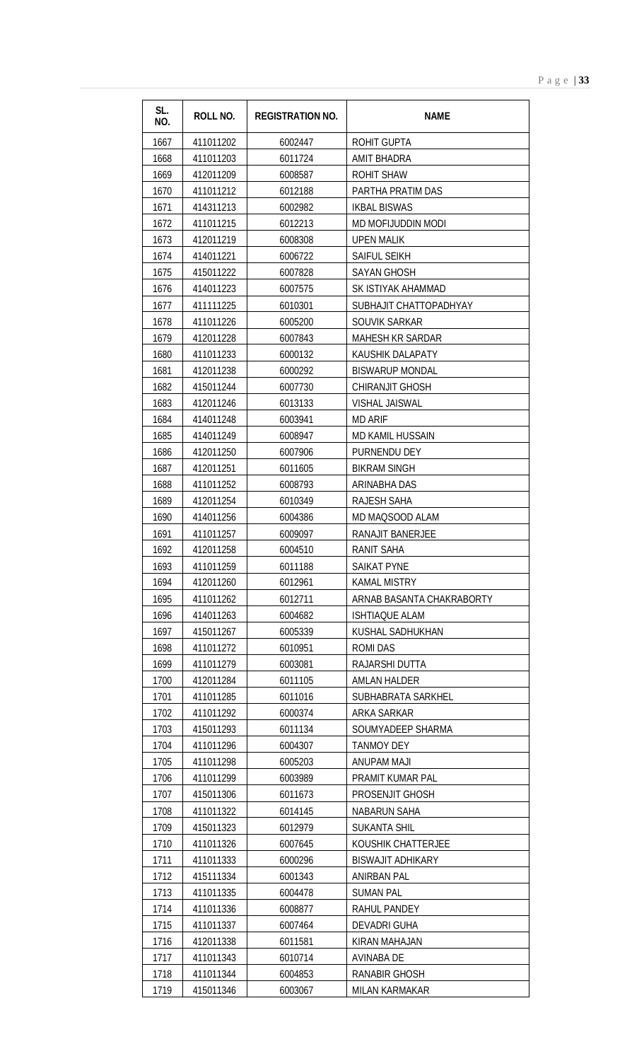| SL.<br>NO. | <b>ROLL NO.</b> | <b>REGISTRATION NO.</b> | <b>NAME</b>               |
|------------|-----------------|-------------------------|---------------------------|
| 1667       | 411011202       | 6002447                 | <b>ROHIT GUPTA</b>        |
| 1668       | 411011203       | 6011724                 | <b>AMIT BHADRA</b>        |
| 1669       | 412011209       | 6008587                 | <b>ROHIT SHAW</b>         |
| 1670       | 411011212       | 6012188                 | PARTHA PRATIM DAS         |
| 1671       | 414311213       | 6002982                 | <b>IKBAL BISWAS</b>       |
| 1672       | 411011215       | 6012213                 | MD MOFIJUDDIN MODI        |
| 1673       | 412011219       | 6008308                 | <b>UPEN MALIK</b>         |
| 1674       | 414011221       | 6006722                 | SAIFUL SEIKH              |
| 1675       | 415011222       | 6007828                 | <b>SAYAN GHOSH</b>        |
| 1676       | 414011223       | 6007575                 | SK ISTIYAK AHAMMAD        |
| 1677       | 411111225       | 6010301                 | SUBHAJIT CHATTOPADHYAY    |
| 1678       | 411011226       | 6005200                 | SOUVIK SARKAR             |
| 1679       | 412011228       | 6007843                 | <b>MAHESH KR SARDAR</b>   |
| 1680       | 411011233       | 6000132                 | KAUSHIK DALAPATY          |
| 1681       | 412011238       | 6000292                 | <b>BISWARUP MONDAL</b>    |
| 1682       | 415011244       | 6007730                 | <b>CHIRANJIT GHOSH</b>    |
| 1683       | 412011246       | 6013133                 | <b>VISHAL JAISWAL</b>     |
| 1684       | 414011248       | 6003941                 | <b>MD ARIF</b>            |
| 1685       | 414011249       | 6008947                 | <b>MD KAMIL HUSSAIN</b>   |
| 1686       | 412011250       | 6007906                 | PURNENDU DEY              |
| 1687       | 412011251       | 6011605                 | <b>BIKRAM SINGH</b>       |
| 1688       | 411011252       | 6008793                 | ARINABHA DAS              |
| 1689       | 412011254       | 6010349                 | RAJESH SAHA               |
| 1690       | 414011256       | 6004386                 | MD MAQSOOD ALAM           |
| 1691       | 411011257       | 6009097                 | RANAJIT BANERJEE          |
| 1692       | 412011258       | 6004510                 | <b>RANIT SAHA</b>         |
| 1693       | 411011259       | 6011188                 | SAIKAT PYNE               |
| 1694       | 412011260       | 6012961                 | KAMAL MISTRY              |
| 1695       | 411011262       | 6012711                 | ARNAB BASANTA CHAKRABORTY |
| 1696       | 414011263       | 6004682                 | <b>ISHTIAQUE ALAM</b>     |
| 1697       | 415011267       | 6005339                 | KUSHAL SADHUKHAN          |
| 1698       | 411011272       | 6010951                 | ROMI DAS                  |
| 1699       | 411011279       | 6003081                 | RAJARSHI DUTTA            |
| 1700       | 412011284       | 6011105                 | <b>AMLAN HALDER</b>       |
| 1701       | 411011285       | 6011016                 | SUBHABRATA SARKHEL        |
| 1702       | 411011292       | 6000374                 | ARKA SARKAR               |
| 1703       | 415011293       | 6011134                 | SOUMYADEEP SHARMA         |
| 1704       | 411011296       | 6004307                 | <b>TANMOY DEY</b>         |
| 1705       | 411011298       | 6005203                 | <b>ANUPAM MAJI</b>        |
| 1706       | 411011299       | 6003989                 | PRAMIT KUMAR PAL          |
| 1707       | 415011306       | 6011673                 | PROSENJIT GHOSH           |
| 1708       | 411011322       | 6014145                 | <b>NABARUN SAHA</b>       |
| 1709       | 415011323       | 6012979                 | <b>SUKANTA SHIL</b>       |
| 1710       | 411011326       | 6007645                 | KOUSHIK CHATTERJEE        |
| 1711       | 411011333       | 6000296                 | <b>BISWAJIT ADHIKARY</b>  |
| 1712       | 415111334       | 6001343                 | <b>ANIRBAN PAL</b>        |
| 1713       | 411011335       | 6004478                 | <b>SUMAN PAL</b>          |
| 1714       | 411011336       | 6008877                 | RAHUL PANDEY              |
| 1715       | 411011337       | 6007464                 | <b>DEVADRI GUHA</b>       |
| 1716       | 412011338       | 6011581                 | KIRAN MAHAJAN             |
| 1717       | 411011343       | 6010714                 | AVINABA DE                |
| 1718       | 411011344       | 6004853                 | <b>RANABIR GHOSH</b>      |
| 1719       | 415011346       | 6003067                 | <b>MILAN KARMAKAR</b>     |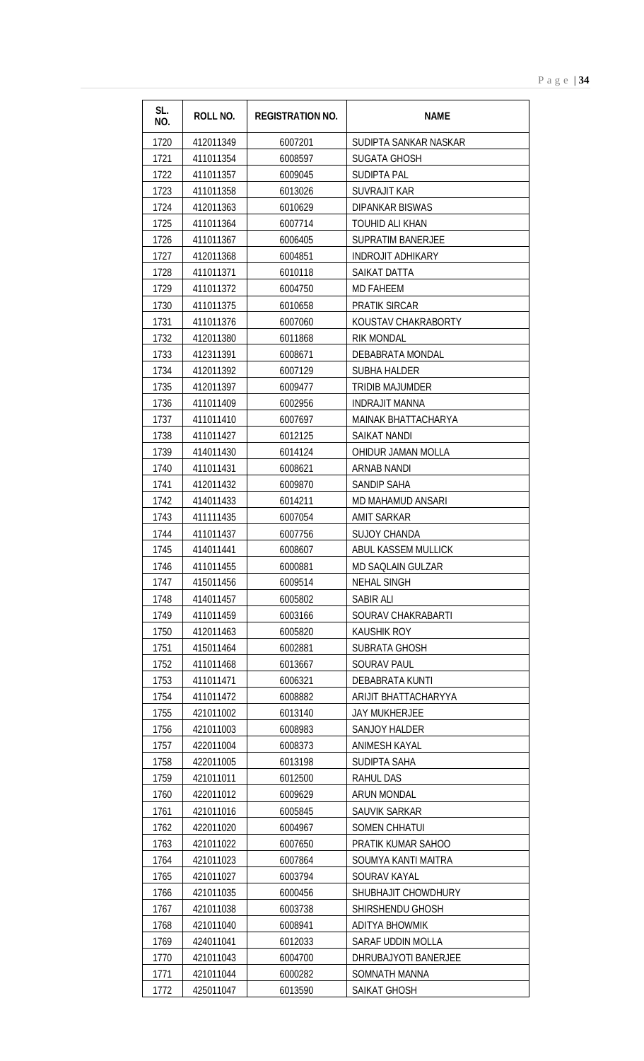| SL.<br>NO. | ROLL NO.  | <b>REGISTRATION NO.</b> | <b>NAME</b>              |
|------------|-----------|-------------------------|--------------------------|
| 1720       | 412011349 | 6007201                 | SUDIPTA SANKAR NASKAR    |
| 1721       | 411011354 | 6008597                 | <b>SUGATA GHOSH</b>      |
| 1722       | 411011357 | 6009045                 | <b>SUDIPTA PAL</b>       |
| 1723       | 411011358 | 6013026                 | <b>SUVRAJIT KAR</b>      |
| 1724       | 412011363 | 6010629                 | <b>DIPANKAR BISWAS</b>   |
| 1725       | 411011364 | 6007714                 | TOUHID ALI KHAN          |
| 1726       | 411011367 | 6006405                 | <b>SUPRATIM BANERJEE</b> |
| 1727       | 412011368 | 6004851                 | <b>INDROJIT ADHIKARY</b> |
| 1728       | 411011371 | 6010118                 | SAIKAT DATTA             |
| 1729       | 411011372 | 6004750                 | <b>MD FAHEEM</b>         |
| 1730       | 411011375 | 6010658                 | <b>PRATIK SIRCAR</b>     |
| 1731       | 411011376 | 6007060                 | KOUSTAV CHAKRABORTY      |
| 1732       | 412011380 | 6011868                 | <b>RIK MONDAL</b>        |
| 1733       | 412311391 | 6008671                 | DEBABRATA MONDAL         |
| 1734       | 412011392 | 6007129                 | <b>SUBHA HALDER</b>      |
| 1735       | 412011397 | 6009477                 | <b>TRIDIB MAJUMDER</b>   |
| 1736       | 411011409 | 6002956                 | <b>INDRAJIT MANNA</b>    |
| 1737       | 411011410 | 6007697                 | MAINAK BHATTACHARYA      |
| 1738       | 411011427 | 6012125                 | SAIKAT NANDI             |
| 1739       | 414011430 | 6014124                 | OHIDUR JAMAN MOLLA       |
| 1740       | 411011431 | 6008621                 | <b>ARNAB NANDI</b>       |
| 1741       | 412011432 | 6009870                 | SANDIP SAHA              |
| 1742       | 414011433 | 6014211                 | MD MAHAMUD ANSARI        |
| 1743       | 411111435 | 6007054                 | <b>AMIT SARKAR</b>       |
| 1744       | 411011437 | 6007756                 | <b>SUJOY CHANDA</b>      |
| 1745       | 414011441 | 6008607                 | ABUL KASSEM MULLICK      |
| 1746       | 411011455 | 6000881                 | MD SAQLAIN GULZAR        |
| 1747       | 415011456 | 6009514                 | <b>NEHAL SINGH</b>       |
| 1748       | 414011457 | 6005802                 | SABIR ALI                |
| 1749       | 411011459 | 6003166                 | SOURAV CHAKRABARTI       |
| 1750       | 412011463 | 6005820                 | <b>KAUSHIK ROY</b>       |
| 1751       | 415011464 | 6002881                 | SUBRATA GHOSH            |
| 1752       | 411011468 | 6013667                 | <b>SOURAV PAUL</b>       |
| 1753       | 411011471 | 6006321                 | <b>DEBABRATA KUNTI</b>   |
| 1754       | 411011472 | 6008882                 | ARIJIT BHATTACHARYYA     |
| 1755       | 421011002 | 6013140                 | <b>JAY MUKHERJEE</b>     |
| 1756       | 421011003 | 6008983                 | <b>SANJOY HALDER</b>     |
| 1757       | 422011004 | 6008373                 | <b>ANIMESH KAYAL</b>     |
| 1758       | 422011005 | 6013198                 | SUDIPTA SAHA             |
| 1759       | 421011011 | 6012500                 | <b>RAHUL DAS</b>         |
| 1760       | 422011012 | 6009629                 | <b>ARUN MONDAL</b>       |
| 1761       | 421011016 | 6005845                 | SAUVIK SARKAR            |
| 1762       | 422011020 | 6004967                 | <b>SOMEN CHHATUI</b>     |
| 1763       | 421011022 | 6007650                 | PRATIK KUMAR SAHOO       |
| 1764       | 421011023 | 6007864                 | SOUMYA KANTI MAITRA      |
| 1765       | 421011027 | 6003794                 | SOURAV KAYAL             |
| 1766       | 421011035 | 6000456                 | SHUBHAJIT CHOWDHURY      |
| 1767       | 421011038 | 6003738                 | SHIRSHENDU GHOSH         |
| 1768       | 421011040 | 6008941                 | <b>ADITYA BHOWMIK</b>    |
| 1769       | 424011041 | 6012033                 | <b>SARAF UDDIN MOLLA</b> |
| 1770       | 421011043 | 6004700                 | DHRUBAJYOTI BANERJEE     |
| 1771       | 421011044 | 6000282                 | SOMNATH MANNA            |
| 1772       | 425011047 | 6013590                 | SAIKAT GHOSH             |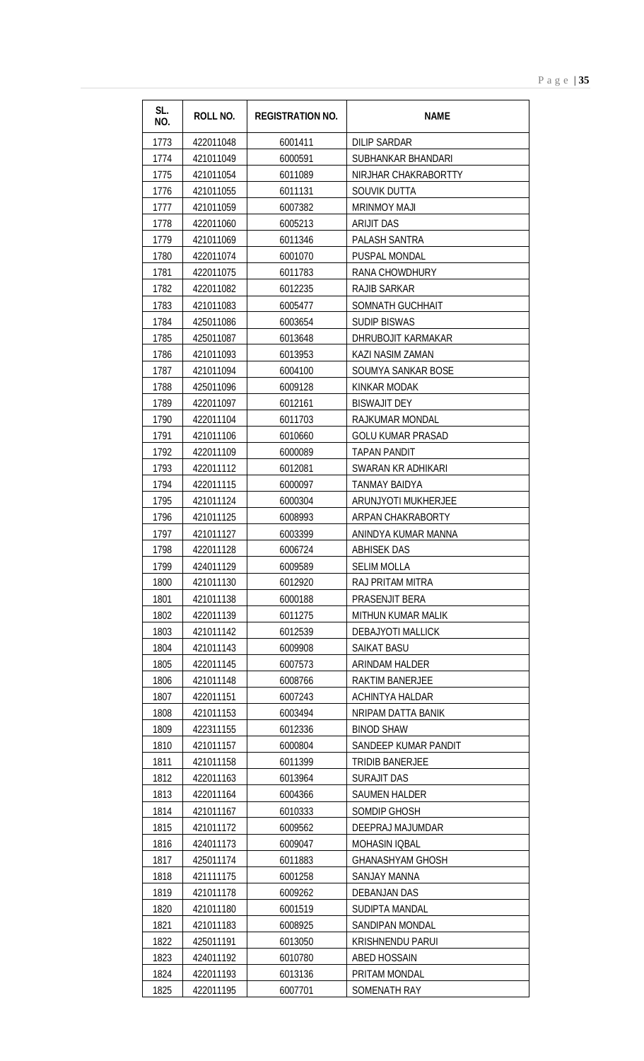| SL.<br>NO.   | <b>ROLL NO.</b>        | <b>REGISTRATION NO.</b> | <b>NAME</b>                      |
|--------------|------------------------|-------------------------|----------------------------------|
| 1773         | 422011048              | 6001411                 | <b>DILIP SARDAR</b>              |
| 1774         | 421011049              | 6000591                 | SUBHANKAR BHANDARI               |
| 1775         | 421011054              | 6011089                 | NIRJHAR CHAKRABORTTY             |
| 1776         | 421011055              | 6011131                 | SOUVIK DUTTA                     |
| 1777         | 421011059              | 6007382                 | <b>MRINMOY MAJI</b>              |
| 1778         | 422011060              | 6005213                 | <b>ARIJIT DAS</b>                |
| 1779         | 421011069              | 6011346                 | PALASH SANTRA                    |
| 1780         | 422011074              | 6001070                 | PUSPAL MONDAL                    |
| 1781         | 422011075              | 6011783                 | RANA CHOWDHURY                   |
| 1782         | 422011082              | 6012235                 | <b>RAJIB SARKAR</b>              |
| 1783         | 421011083              | 6005477                 | SOMNATH GUCHHAIT                 |
| 1784         | 425011086              | 6003654                 | <b>SUDIP BISWAS</b>              |
| 1785         | 425011087              | 6013648                 | DHRUBOJIT KARMAKAR               |
| 1786         | 421011093              | 6013953                 | KAZI NASIM ZAMAN                 |
| 1787         | 421011094              | 6004100                 | SOUMYA SANKAR BOSE               |
| 1788         | 425011096              | 6009128                 | KINKAR MODAK                     |
| 1789         | 422011097              | 6012161                 | <b>BISWAJIT DEY</b>              |
| 1790         | 422011104              | 6011703                 | RAJKUMAR MONDAL                  |
| 1791         | 421011106              | 6010660                 | <b>GOLU KUMAR PRASAD</b>         |
| 1792         | 422011109              | 6000089                 | TAPAN PANDIT                     |
| 1793         | 422011112              | 6012081                 | SWARAN KR ADHIKARI               |
| 1794         | 422011115              | 6000097                 | TANMAY BAIDYA                    |
| 1795         | 421011124              | 6000304                 | ARUNJYOTI MUKHERJEE              |
| 1796         | 421011125              | 6008993                 | ARPAN CHAKRABORTY                |
| 1797         | 421011127              | 6003399                 | ANINDYA KUMAR MANNA              |
| 1798         | 422011128              | 6006724                 | <b>ABHISEK DAS</b>               |
| 1799         | 424011129              | 6009589                 | <b>SELIM MOLLA</b>               |
| 1800         | 421011130              | 6012920                 | RAJ PRITAM MITRA                 |
| 1801         | 421011138              | 6000188                 | PRASENJIT BERA                   |
| 1802         | 422011139              | 6011275                 | MITHUN KUMAR MALIK               |
| 1803         | 421011142              | 6012539                 | <b>DEBAJYOTI MALLICK</b>         |
| 1804         | 421011143              | 6009908                 | <b>SAIKAT BASU</b>               |
| 1805         | 422011145              | 6007573                 | ARINDAM HALDER                   |
| 1806         | 421011148              | 6008766                 | <b>RAKTIM BANERJEE</b>           |
| 1807         | 422011151              | 6007243                 | ACHINTYA HALDAR                  |
| 1808         | 421011153              | 6003494                 | NRIPAM DATTA BANIK               |
| 1809         | 422311155              | 6012336                 | <b>BINOD SHAW</b>                |
| 1810         | 421011157              | 6000804                 | SANDEEP KUMAR PANDIT             |
| 1811         | 421011158              | 6011399                 | <b>TRIDIB BANERJEE</b>           |
| 1812         | 422011163              | 6013964                 | <b>SURAJIT DAS</b>               |
| 1813         | 422011164              | 6004366                 | <b>SAUMEN HALDER</b>             |
| 1814<br>1815 | 421011167<br>421011172 | 6010333<br>6009562      | SOMDIP GHOSH<br>DEEPRAJ MAJUMDAR |
| 1816         | 424011173              | 6009047                 | <b>MOHASIN IQBAL</b>             |
| 1817         | 425011174              | 6011883                 | <b>GHANASHYAM GHOSH</b>          |
| 1818         | 421111175              | 6001258                 | <b>SANJAY MANNA</b>              |
| 1819         | 421011178              | 6009262                 | DEBANJAN DAS                     |
| 1820         | 421011180              | 6001519                 | SUDIPTA MANDAL                   |
| 1821         | 421011183              | 6008925                 | <b>SANDIPAN MONDAL</b>           |
| 1822         | 425011191              | 6013050                 | <b>KRISHNENDU PARUI</b>          |
| 1823         | 424011192              | 6010780                 | <b>ABED HOSSAIN</b>              |
| 1824         | 422011193              | 6013136                 | PRITAM MONDAL                    |
| 1825         | 422011195              | 6007701                 | SOMENATH RAY                     |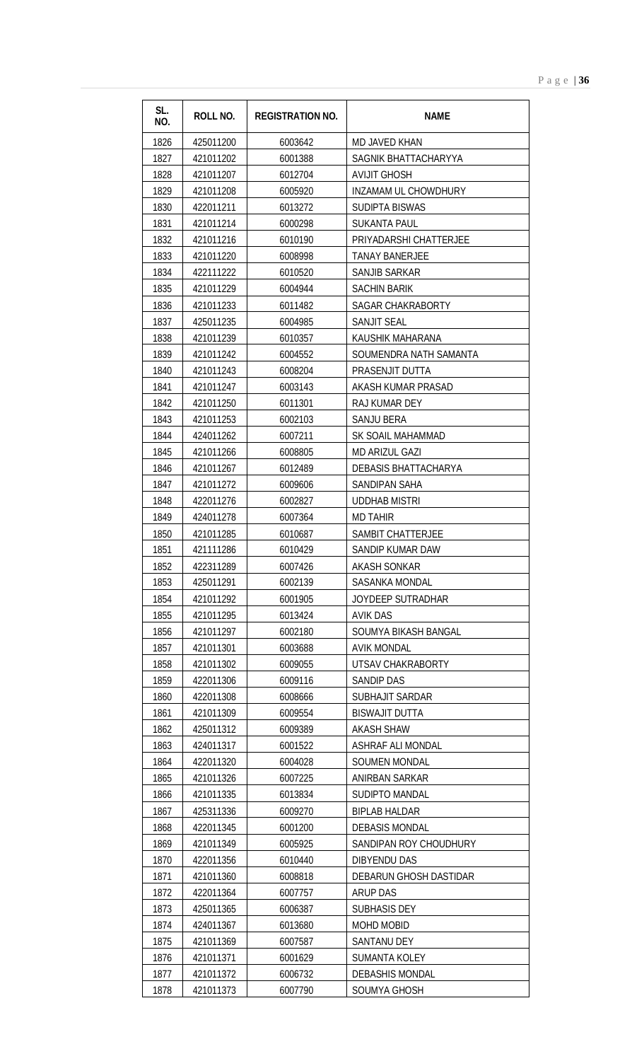| SL.<br>NO.   | <b>ROLL NO.</b>        | <b>REGISTRATION NO.</b> | <b>NAME</b>                   |
|--------------|------------------------|-------------------------|-------------------------------|
| 1826         | 425011200              | 6003642                 | MD JAVED KHAN                 |
| 1827         | 421011202              | 6001388                 | SAGNIK BHATTACHARYYA          |
| 1828         | 421011207              | 6012704                 | <b>AVIJIT GHOSH</b>           |
| 1829         | 421011208              | 6005920                 | INZAMAM UL CHOWDHURY          |
| 1830         | 422011211              | 6013272                 | <b>SUDIPTA BISWAS</b>         |
| 1831         | 421011214              | 6000298                 | SUKANTA PAUL                  |
| 1832         | 421011216              | 6010190                 | PRIYADARSHI CHATTERJEE        |
| 1833         | 421011220              | 6008998                 | <b>TANAY BANERJEE</b>         |
| 1834         | 422111222              | 6010520                 | SANJIB SARKAR                 |
| 1835         | 421011229              | 6004944                 | <b>SACHIN BARIK</b>           |
| 1836         | 421011233              | 6011482                 | SAGAR CHAKRABORTY             |
| 1837         | 425011235              | 6004985                 | <b>SANJIT SEAL</b>            |
| 1838         | 421011239              | 6010357                 | KAUSHIK MAHARANA              |
| 1839         | 421011242              | 6004552                 | SOUMENDRA NATH SAMANTA        |
| 1840         | 421011243              | 6008204                 | PRASENJIT DUTTA               |
| 1841         | 421011247              | 6003143                 | AKASH KUMAR PRASAD            |
| 1842         | 421011250              | 6011301                 | RAJ KUMAR DEY                 |
| 1843         | 421011253              | 6002103                 | SANJU BERA                    |
| 1844         | 424011262              | 6007211                 | SK SOAIL MAHAMMAD             |
| 1845         | 421011266              | 6008805                 | MD ARIZUL GAZI                |
| 1846         | 421011267              | 6012489                 | DEBASIS BHATTACHARYA          |
| 1847         | 421011272              | 6009606                 | SANDIPAN SAHA                 |
| 1848         | 422011276              | 6002827                 | <b>UDDHAB MISTRI</b>          |
| 1849         | 424011278              | 6007364                 | <b>MD TAHIR</b>               |
| 1850         | 421011285              | 6010687                 | SAMBIT CHATTERJEE             |
| 1851         | 421111286              | 6010429                 | SANDIP KUMAR DAW              |
| 1852         | 422311289              | 6007426                 | AKASH SONKAR                  |
| 1853         | 425011291              | 6002139                 | <b>SASANKA MONDAL</b>         |
| 1854         | 421011292              | 6001905                 | JOYDEEP SUTRADHAR             |
| 1855         | 421011295              | 6013424                 | <b>AVIK DAS</b>               |
| 1856         | 421011297              | 6002180                 | SOUMYA BIKASH BANGAL          |
| 1857         | 421011301              | 6003688                 | <b>AVIK MONDAL</b>            |
| 1858<br>1859 | 421011302<br>422011306 | 6009055                 | UTSAV CHAKRABORTY             |
| 1860         | 422011308              | 6009116<br>6008666      | SANDIP DAS<br>SUBHAJIT SARDAR |
| 1861         | 421011309              | 6009554                 | <b>BISWAJIT DUTTA</b>         |
| 1862         | 425011312              | 6009389                 | <b>AKASH SHAW</b>             |
| 1863         | 424011317              | 6001522                 | ASHRAF ALI MONDAL             |
| 1864         | 422011320              | 6004028                 | <b>SOUMEN MONDAL</b>          |
| 1865         | 421011326              | 6007225                 | ANIRBAN SARKAR                |
| 1866         | 421011335              | 6013834                 | SUDIPTO MANDAL                |
| 1867         | 425311336              | 6009270                 | <b>BIPLAB HALDAR</b>          |
| 1868         | 422011345              | 6001200                 | <b>DEBASIS MONDAL</b>         |
| 1869         | 421011349              | 6005925                 | SANDIPAN ROY CHOUDHURY        |
| 1870         | 422011356              | 6010440                 | DIBYENDU DAS                  |
| 1871         | 421011360              | 6008818                 | DEBARUN GHOSH DASTIDAR        |
| 1872         | 422011364              | 6007757                 | ARUP DAS                      |
| 1873         | 425011365              | 6006387                 | <b>SUBHASIS DEY</b>           |
| 1874         | 424011367              | 6013680                 | <b>MOHD MOBID</b>             |
| 1875         | 421011369              | 6007587                 | <b>SANTANU DEY</b>            |
| 1876         | 421011371              | 6001629                 | <b>SUMANTA KOLEY</b>          |
| 1877         | 421011372              | 6006732                 | <b>DEBASHIS MONDAL</b>        |
| 1878         | 421011373              | 6007790                 | SOUMYA GHOSH                  |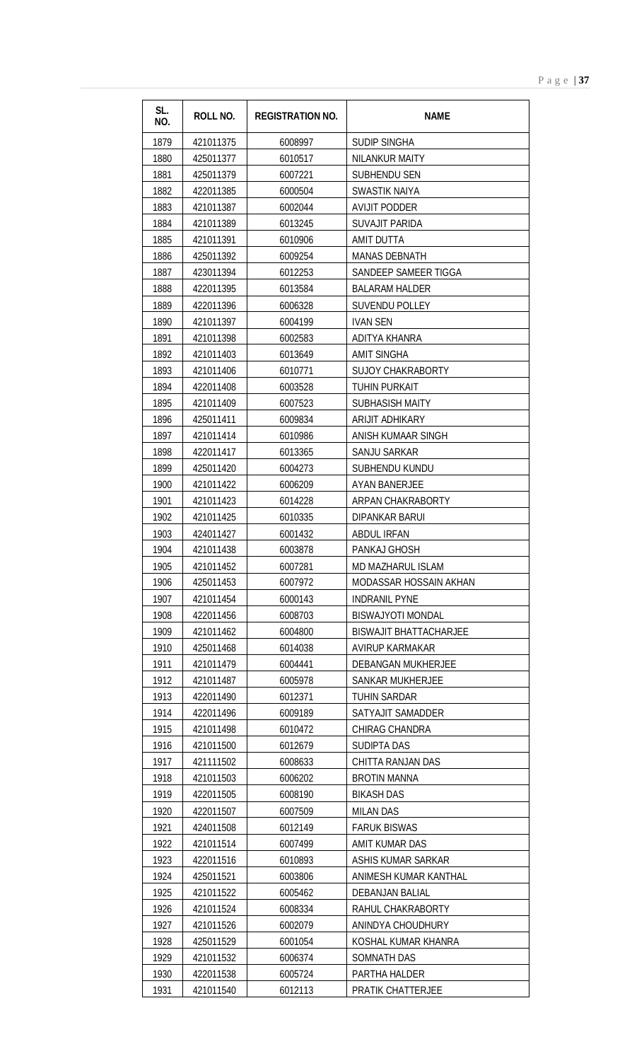| SL.<br>NO. | ROLL NO.  | <b>REGISTRATION NO.</b> | <b>NAME</b>                   |
|------------|-----------|-------------------------|-------------------------------|
| 1879       | 421011375 | 6008997                 | <b>SUDIP SINGHA</b>           |
| 1880       | 425011377 | 6010517                 | NILANKUR MAITY                |
| 1881       | 425011379 | 6007221                 | <b>SUBHENDU SEN</b>           |
| 1882       | 422011385 | 6000504                 | <b>SWASTIK NAIYA</b>          |
| 1883       | 421011387 | 6002044                 | <b>AVIJIT PODDER</b>          |
| 1884       | 421011389 | 6013245                 | <b>SUVAJIT PARIDA</b>         |
| 1885       | 421011391 | 6010906                 | AMIT DUTTA                    |
| 1886       | 425011392 | 6009254                 | <b>MANAS DEBNATH</b>          |
| 1887       | 423011394 | 6012253                 | SANDEEP SAMEER TIGGA          |
| 1888       | 422011395 | 6013584                 | <b>BALARAM HALDER</b>         |
| 1889       | 422011396 | 6006328                 | <b>SUVENDU POLLEY</b>         |
| 1890       | 421011397 | 6004199                 | <b>IVAN SEN</b>               |
| 1891       | 421011398 | 6002583                 | ADITYA KHANRA                 |
| 1892       | 421011403 | 6013649                 | <b>AMIT SINGHA</b>            |
| 1893       | 421011406 | 6010771                 | <b>SUJOY CHAKRABORTY</b>      |
| 1894       | 422011408 | 6003528                 | <b>TUHIN PURKAIT</b>          |
| 1895       | 421011409 | 6007523                 | <b>SUBHASISH MAITY</b>        |
| 1896       | 425011411 | 6009834                 | ARIJIT ADHIKARY               |
| 1897       | 421011414 | 6010986                 | ANISH KUMAAR SINGH            |
| 1898       | 422011417 | 6013365                 | SANJU SARKAR                  |
| 1899       | 425011420 | 6004273                 | SUBHENDU KUNDU                |
| 1900       | 421011422 | 6006209                 | <b>AYAN BANERJEE</b>          |
| 1901       | 421011423 | 6014228                 | ARPAN CHAKRABORTY             |
| 1902       | 421011425 | 6010335                 | <b>DIPANKAR BARUL</b>         |
| 1903       | 424011427 | 6001432                 | <b>ABDUL IRFAN</b>            |
| 1904       | 421011438 | 6003878                 | PANKAJ GHOSH                  |
| 1905       | 421011452 | 6007281                 | MD MAZHARUL ISLAM             |
| 1906       | 425011453 | 6007972                 | MODASSAR HOSSAIN AKHAN        |
| 1907       | 421011454 | 6000143                 | <b>INDRANIL PYNE</b>          |
| 1908       | 422011456 | 6008703                 | <b>BISWAJYOTI MONDAL</b>      |
| 1909       | 421011462 | 6004800                 | <b>BISWAJIT BHATTACHARJEE</b> |
| 1910       | 425011468 | 6014038                 | AVIRUP KARMAKAR               |
| 1911       | 421011479 | 6004441                 | <b>DEBANGAN MUKHERJEE</b>     |
| 1912       | 421011487 | 6005978                 | <b>SANKAR MUKHERJEE</b>       |
| 1913       | 422011490 | 6012371                 | TUHIN SARDAR                  |
| 1914       | 422011496 | 6009189                 | SATYAJIT SAMADDER             |
| 1915       | 421011498 | 6010472                 | <b>CHIRAG CHANDRA</b>         |
| 1916       | 421011500 | 6012679                 | <b>SUDIPTA DAS</b>            |
| 1917       | 421111502 | 6008633                 | CHITTA RANJAN DAS             |
| 1918       | 421011503 | 6006202                 | <b>BROTIN MANNA</b>           |
| 1919       | 422011505 | 6008190                 | <b>BIKASH DAS</b>             |
| 1920       | 422011507 | 6007509                 | <b>MILAN DAS</b>              |
| 1921       | 424011508 | 6012149                 | <b>FARUK BISWAS</b>           |
| 1922       | 421011514 | 6007499                 | AMIT KUMAR DAS                |
| 1923       | 422011516 | 6010893                 | ASHIS KUMAR SARKAR            |
| 1924       | 425011521 | 6003806                 | ANIMESH KUMAR KANTHAL         |
| 1925       | 421011522 | 6005462                 | <b>DEBANJAN BALIAL</b>        |
| 1926       | 421011524 | 6008334                 | RAHUL CHAKRABORTY             |
| 1927       | 421011526 | 6002079                 | ANINDYA CHOUDHURY             |
| 1928       | 425011529 | 6001054                 | KOSHAL KUMAR KHANRA           |
| 1929       | 421011532 | 6006374                 | SOMNATH DAS                   |
| 1930       | 422011538 | 6005724                 | PARTHA HALDER                 |
| 1931       | 421011540 | 6012113                 | PRATIK CHATTERJEE             |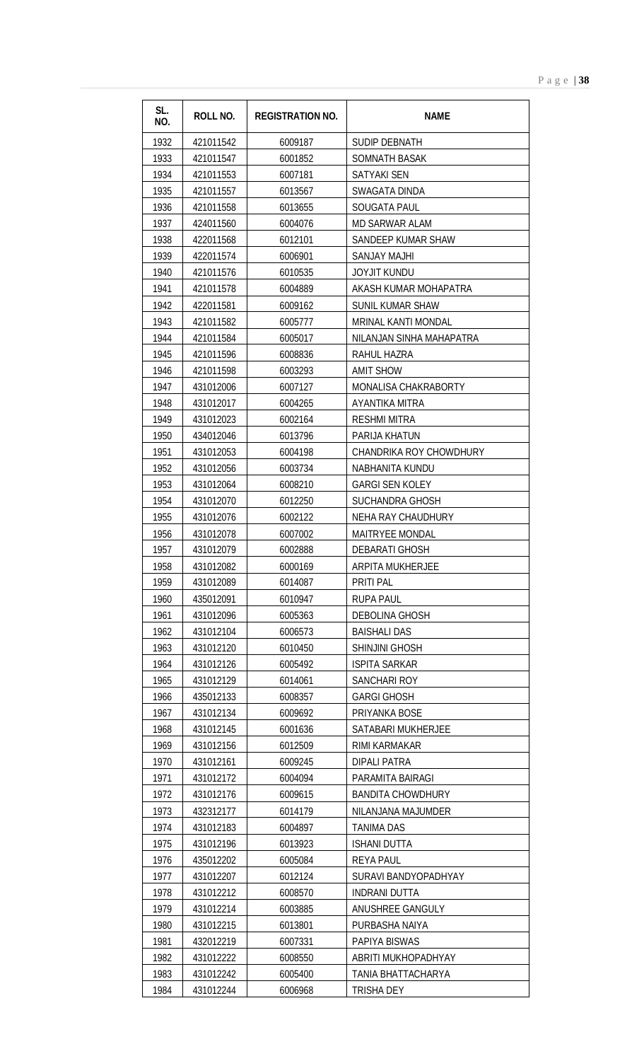| SL.<br>NO.   | <b>ROLL NO.</b>        | <b>REGISTRATION NO.</b> | <b>NAME</b>                        |
|--------------|------------------------|-------------------------|------------------------------------|
| 1932         | 421011542              | 6009187                 | SUDIP DEBNATH                      |
| 1933         | 421011547              | 6001852                 | <b>SOMNATH BASAK</b>               |
| 1934         | 421011553              | 6007181                 | <b>SATYAKI SEN</b>                 |
| 1935         | 421011557              | 6013567                 | SWAGATA DINDA                      |
| 1936         | 421011558              | 6013655                 | <b>SOUGATA PAUL</b>                |
| 1937         | 424011560              | 6004076                 | <b>MD SARWAR ALAM</b>              |
| 1938         | 422011568              | 6012101                 | SANDEEP KUMAR SHAW                 |
| 1939         | 422011574              | 6006901                 | <b>SANJAY MAJHI</b>                |
| 1940         | 421011576              | 6010535                 | JOYJIT KUNDU                       |
| 1941         | 421011578              | 6004889                 | AKASH KUMAR MOHAPATRA              |
| 1942         | 422011581              | 6009162                 | SUNIL KUMAR SHAW                   |
| 1943         | 421011582              | 6005777                 | <b>MRINAL KANTI MONDAL</b>         |
| 1944         | 421011584              | 6005017                 | NILANJAN SINHA MAHAPATRA           |
| 1945         | 421011596              | 6008836                 | RAHUL HAZRA                        |
| 1946         | 421011598              | 6003293                 | <b>AMIT SHOW</b>                   |
| 1947         | 431012006              | 6007127                 | <b>MONALISA CHAKRABORTY</b>        |
| 1948         | 431012017              | 6004265                 | AYANTIKA MITRA                     |
| 1949         | 431012023              | 6002164                 | <b>RESHMI MITRA</b>                |
| 1950         | 434012046              | 6013796                 | PARIJA KHATUN                      |
| 1951         | 431012053              | 6004198                 | CHANDRIKA ROY CHOWDHURY            |
| 1952         | 431012056              | 6003734                 | NABHANITA KUNDU                    |
| 1953         | 431012064              | 6008210                 | <b>GARGI SEN KOLEY</b>             |
| 1954         | 431012070              | 6012250                 | SUCHANDRA GHOSH                    |
| 1955         | 431012076              | 6002122                 | <b>NEHA RAY CHAUDHURY</b>          |
| 1956         | 431012078              | 6007002                 | MAITRYEE MONDAL                    |
| 1957         | 431012079              | 6002888                 | <b>DEBARATI GHOSH</b>              |
| 1958         | 431012082              | 6000169                 | ARPITA MUKHERJEE                   |
| 1959         | 431012089              | 6014087                 | PRITI PAL                          |
| 1960         | 435012091              | 6010947                 | <b>RUPA PAUL</b>                   |
| 1961         | 431012096              | 6005363                 | <b>DEBOLINA GHOSH</b>              |
| 1962         | 431012104              | 6006573                 | <b>BAISHALI DAS</b>                |
| 1963         | 431012120              | 6010450<br>6005492      | SHINJINI GHOSH                     |
| 1964         | 431012126              |                         | <b>ISPITA SARKAR</b>               |
| 1965<br>1966 | 431012129<br>435012133 | 6014061<br>6008357      | SANCHARI ROY<br><b>GARGI GHOSH</b> |
| 1967         | 431012134              | 6009692                 | PRIYANKA BOSE                      |
| 1968         | 431012145              | 6001636                 | SATABARI MUKHERJEE                 |
| 1969         | 431012156              | 6012509                 | RIMI KARMAKAR                      |
| 1970         | 431012161              | 6009245                 | <b>DIPALI PATRA</b>                |
| 1971         | 431012172              | 6004094                 | PARAMITA BAIRAGI                   |
| 1972         | 431012176              | 6009615                 | <b>BANDITA CHOWDHURY</b>           |
| 1973         | 432312177              | 6014179                 | NILANJANA MAJUMDER                 |
| 1974         | 431012183              | 6004897                 | <b>TANIMA DAS</b>                  |
| 1975         | 431012196              | 6013923                 | <b>ISHANI DUTTA</b>                |
| 1976         | 435012202              | 6005084                 | REYA PAUL                          |
| 1977         | 431012207              | 6012124                 | SURAVI BANDYOPADHYAY               |
| 1978         | 431012212              | 6008570                 | INDRANI DUTTA                      |
| 1979         | 431012214              | 6003885                 | ANUSHREE GANGULY                   |
| 1980         | 431012215              | 6013801                 | PURBASHA NAIYA                     |
| 1981         | 432012219              | 6007331                 | PAPIYA BISWAS                      |
| 1982         | 431012222              | 6008550                 | ABRITI MUKHOPADHYAY                |
| 1983         | 431012242              | 6005400                 | TANIA BHATTACHARYA                 |
| 1984         | 431012244              | 6006968                 | <b>TRISHA DEY</b>                  |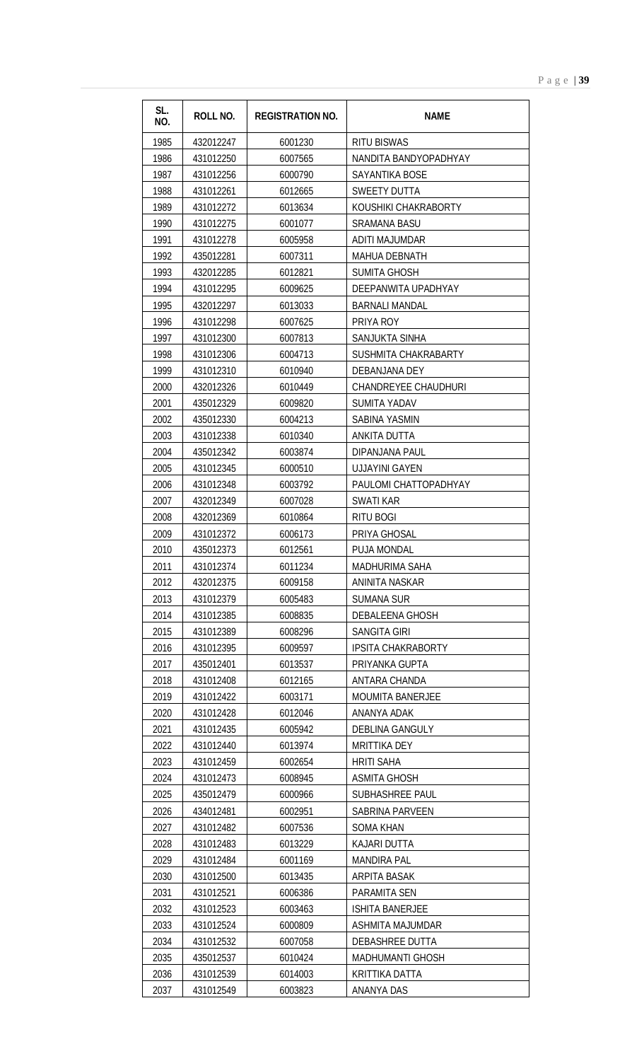| SL.<br>NO.   | <b>ROLL NO.</b>        | <b>REGISTRATION NO.</b> | <b>NAME</b>                                      |
|--------------|------------------------|-------------------------|--------------------------------------------------|
| 1985         | 432012247              | 6001230                 | <b>RITU BISWAS</b>                               |
| 1986         | 431012250              | 6007565                 | NANDITA BANDYOPADHYAY                            |
| 1987         | 431012256              | 6000790                 | SAYANTIKA BOSE                                   |
| 1988         | 431012261              | 6012665                 | SWEETY DUTTA                                     |
| 1989         | 431012272              | 6013634                 | KOUSHIKI CHAKRABORTY                             |
| 1990         | 431012275              | 6001077                 | SRAMANA BASU                                     |
| 1991         | 431012278              | 6005958                 | ADITI MAJUMDAR                                   |
| 1992         | 435012281              | 6007311                 | <b>MAHUA DEBNATH</b>                             |
| 1993         | 432012285              | 6012821                 | <b>SUMITA GHOSH</b>                              |
| 1994         | 431012295              | 6009625                 | DEEPANWITA UPADHYAY                              |
| 1995         | 432012297              | 6013033                 | <b>BARNALI MANDAL</b>                            |
| 1996         | 431012298              | 6007625                 | PRIYA ROY                                        |
| 1997         | 431012300              | 6007813                 | SANJUKTA SINHA                                   |
| 1998         | 431012306              | 6004713                 | SUSHMITA CHAKRABARTY                             |
| 1999         | 431012310              | 6010940                 | DEBANJANA DEY                                    |
| 2000         | 432012326              | 6010449                 | <b>CHANDREYEE CHAUDHURI</b>                      |
| 2001         | 435012329              | 6009820                 | <b>SUMITA YADAV</b>                              |
| 2002         | 435012330              | 6004213                 | SABINA YASMIN                                    |
| 2003         | 431012338              | 6010340                 | ANKITA DUTTA                                     |
| 2004         | 435012342              | 6003874                 | DIPANJANA PAUL                                   |
| 2005         | 431012345              | 6000510                 | <b>UJJAYINI GAYEN</b>                            |
| 2006         | 431012348              | 6003792                 | PAULOMI CHATTOPADHYAY                            |
| 2007         | 432012349              | 6007028                 | SWATI KAR                                        |
| 2008         | 432012369              | 6010864                 | RITU BOGI                                        |
| 2009         | 431012372              | 6006173                 | PRIYA GHOSAL                                     |
| 2010         | 435012373              | 6012561                 | <b>PUJA MONDAL</b>                               |
| 2011         | 431012374              | 6011234                 | MADHURIMA SAHA                                   |
| 2012         | 432012375              | 6009158                 | ANINITA NASKAR                                   |
| 2013         | 431012379              | 6005483                 | SUMANA SUR                                       |
| 2014         | 431012385              | 6008835                 | <b>DEBALEENA GHOSH</b>                           |
| 2015<br>2016 | 431012389<br>431012395 | 6008296                 | <b>SANGITA GIRI</b><br><b>IPSITA CHAKRABORTY</b> |
| 2017         | 435012401              | 6009597<br>6013537      | PRIYANKA GUPTA                                   |
| 2018         | 431012408              | 6012165                 | ANTARA CHANDA                                    |
| 2019         | 431012422              | 6003171                 | <b>MOUMITA BANERJEE</b>                          |
| 2020         | 431012428              | 6012046                 | ANANYA ADAK                                      |
| 2021         | 431012435              | 6005942                 | <b>DEBLINA GANGULY</b>                           |
| 2022         | 431012440              | 6013974                 | <b>MRITTIKA DEY</b>                              |
| 2023         | 431012459              | 6002654                 | <b>HRITI SAHA</b>                                |
| 2024         | 431012473              | 6008945                 | <b>ASMITA GHOSH</b>                              |
| 2025         | 435012479              | 6000966                 | SUBHASHREE PAUL                                  |
| 2026         | 434012481              | 6002951                 | SABRINA PARVEEN                                  |
| 2027         | 431012482              | 6007536                 | <b>SOMA KHAN</b>                                 |
| 2028         | 431012483              | 6013229                 | KAJARI DUTTA                                     |
| 2029         | 431012484              | 6001169                 | <b>MANDIRA PAL</b>                               |
| 2030         | 431012500              | 6013435                 | ARPITA BASAK                                     |
| 2031         | 431012521              | 6006386                 | PARAMITA SEN                                     |
| 2032         | 431012523              | 6003463                 | <b>ISHITA BANERJEE</b>                           |
| 2033         | 431012524              | 6000809                 | ASHMITA MAJUMDAR                                 |
| 2034         | 431012532              | 6007058                 | DEBASHREE DUTTA                                  |
| 2035         | 435012537              | 6010424                 | <b>MADHUMANTI GHOSH</b>                          |
| 2036         | 431012539              | 6014003                 | KRITTIKA DATTA                                   |
| 2037         | 431012549              | 6003823                 | ANANYA DAS                                       |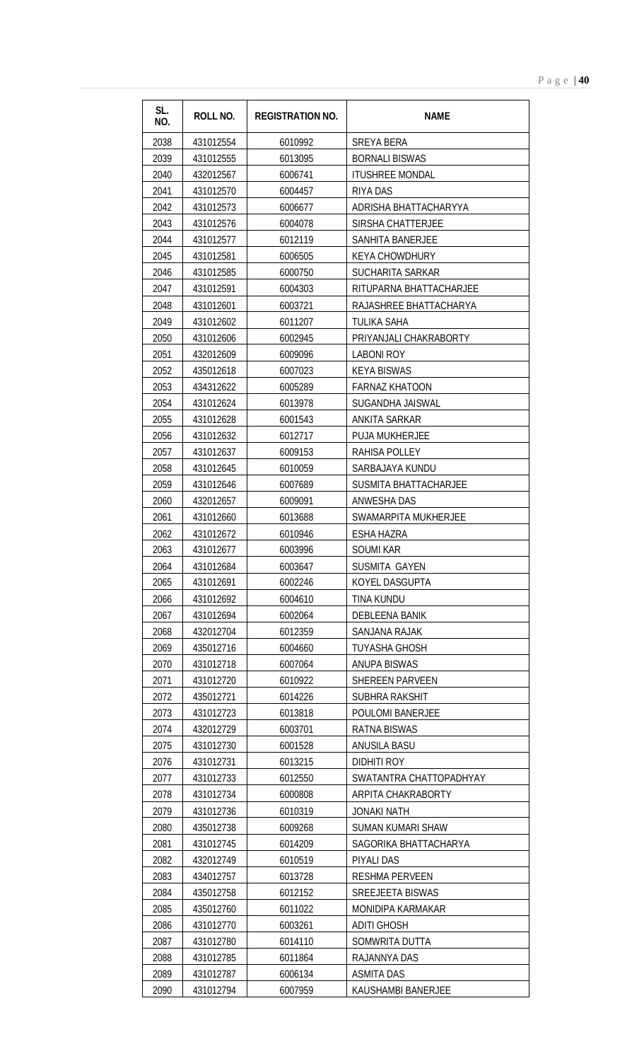| SL.<br>NO. | <b>ROLL NO.</b> | <b>REGISTRATION NO.</b> | <b>NAME</b>             |
|------------|-----------------|-------------------------|-------------------------|
| 2038       | 431012554       | 6010992                 | SREYA BERA              |
| 2039       | 431012555       | 6013095                 | <b>BORNALI BISWAS</b>   |
| 2040       | 432012567       | 6006741                 | <b>ITUSHREE MONDAL</b>  |
| 2041       | 431012570       | 6004457                 | RIYA DAS                |
| 2042       | 431012573       | 6006677                 | ADRISHA BHATTACHARYYA   |
| 2043       | 431012576       | 6004078                 | SIRSHA CHATTERJEE       |
| 2044       | 431012577       | 6012119                 | <b>SANHITA BANERJEE</b> |
| 2045       | 431012581       | 6006505                 | <b>KEYA CHOWDHURY</b>   |
| 2046       | 431012585       | 6000750                 | SUCHARITA SARKAR        |
| 2047       | 431012591       | 6004303                 | RITUPARNA BHATTACHARJEE |
| 2048       | 431012601       | 6003721                 | RAJASHREE BHATTACHARYA  |
| 2049       | 431012602       | 6011207                 | <b>TULIKA SAHA</b>      |
| 2050       | 431012606       | 6002945                 | PRIYANJALI CHAKRABORTY  |
| 2051       | 432012609       | 6009096                 | <b>LABONI ROY</b>       |
| 2052       | 435012618       | 6007023                 | <b>KEYA BISWAS</b>      |
| 2053       | 434312622       | 6005289                 | <b>FARNAZ KHATOON</b>   |
| 2054       | 431012624       | 6013978                 | SUGANDHA JAISWAL        |
| 2055       | 431012628       | 6001543                 | <b>ANKITA SARKAR</b>    |
| 2056       | 431012632       | 6012717                 | PUJA MUKHERJEE          |
| 2057       | 431012637       | 6009153                 | RAHISA POLLEY           |
| 2058       | 431012645       | 6010059                 | SARBAJAYA KUNDU         |
| 2059       | 431012646       | 6007689                 | SUSMITA BHATTACHARJEE   |
| 2060       | 432012657       | 6009091                 | ANWESHA DAS             |
| 2061       | 431012660       | 6013688                 | SWAMARPITA MUKHERJEE    |
| 2062       | 431012672       | 6010946                 | ESHA HAZRA              |
| 2063       | 431012677       | 6003996                 | <b>SOUMI KAR</b>        |
| 2064       | 431012684       | 6003647                 | SUSMITA GAYEN           |
| 2065       | 431012691       | 6002246                 | KOYEL DASGUPTA          |
| 2066       | 431012692       | 6004610                 | <b>TINA KUNDU</b>       |
| 2067       | 431012694       | 6002064                 | DEBLEENA BANIK          |
| 2068       | 432012704       | 6012359                 | SANJANA RAJAK           |
| 2069       | 435012716       | 6004660                 | TUYASHA GHOSH           |
| 2070       | 431012718       | 6007064                 | ANUPA BISWAS            |
| 2071       | 431012720       | 6010922                 | <b>SHEREEN PARVEEN</b>  |
| 2072       | 435012721       | 6014226                 | SUBHRA RAKSHIT          |
| 2073       | 431012723       | 6013818                 | POULOMI BANERJEE        |
| 2074       | 432012729       | 6003701                 | RATNA BISWAS            |
| 2075       | 431012730       | 6001528                 | ANUSILA BASU            |
| 2076       | 431012731       | 6013215                 | DIDHITI ROY             |
| 2077       | 431012733       | 6012550                 | SWATANTRA CHATTOPADHYAY |
| 2078       | 431012734       | 6000808                 | ARPITA CHAKRABORTY      |
| 2079       | 431012736       | 6010319                 | JONAKI NATH             |
| 2080       | 435012738       | 6009268                 | SUMAN KUMARI SHAW       |
| 2081       | 431012745       | 6014209                 | SAGORIKA BHATTACHARYA   |
| 2082       | 432012749       | 6010519                 | PIYALI DAS              |
| 2083       | 434012757       | 6013728                 | <b>RESHMA PERVEEN</b>   |
| 2084       | 435012758       | 6012152                 | SREEJEETA BISWAS        |
| 2085       | 435012760       | 6011022                 | MONIDIPA KARMAKAR       |
| 2086       | 431012770       | 6003261                 | ADITI GHOSH             |
| 2087       | 431012780       | 6014110                 | SOMWRITA DUTTA          |
| 2088       | 431012785       | 6011864                 | RAJANNYA DAS            |
| 2089       | 431012787       | 6006134                 | <b>ASMITA DAS</b>       |
| 2090       | 431012794       | 6007959                 | KAUSHAMBI BANERJEE      |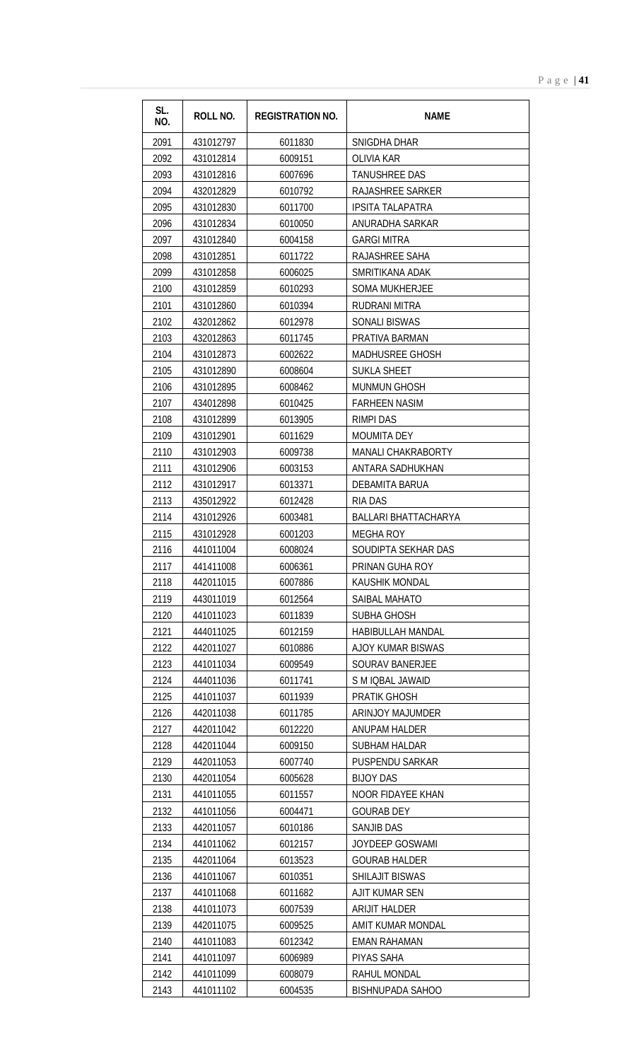| SL.<br>NO. | ROLL NO.  | <b>REGISTRATION NO.</b> | <b>NAME</b>                 |
|------------|-----------|-------------------------|-----------------------------|
| 2091       | 431012797 | 6011830                 | SNIGDHA DHAR                |
| 2092       | 431012814 | 6009151                 | <b>OLIVIA KAR</b>           |
| 2093       | 431012816 | 6007696                 | <b>TANUSHREE DAS</b>        |
| 2094       | 432012829 | 6010792                 | RAJASHREE SARKER            |
| 2095       | 431012830 | 6011700                 | <b>IPSITA TALAPATRA</b>     |
| 2096       | 431012834 | 6010050                 | ANURADHA SARKAR             |
| 2097       | 431012840 | 6004158                 | <b>GARGI MITRA</b>          |
| 2098       | 431012851 | 6011722                 | RAJASHREE SAHA              |
| 2099       | 431012858 | 6006025                 | SMRITIKANA ADAK             |
| 2100       | 431012859 | 6010293                 | <b>SOMA MUKHERJEE</b>       |
| 2101       | 431012860 | 6010394                 | <b>RUDRANI MITRA</b>        |
| 2102       | 432012862 | 6012978                 | <b>SONALI BISWAS</b>        |
| 2103       | 432012863 | 6011745                 | PRATIVA BARMAN              |
| 2104       | 431012873 | 6002622                 | MADHUSREE GHOSH             |
| 2105       | 431012890 | 6008604                 | <b>SUKLA SHEET</b>          |
| 2106       | 431012895 | 6008462                 | <b>MUNMUN GHOSH</b>         |
| 2107       | 434012898 | 6010425                 | <b>FARHEEN NASIM</b>        |
| 2108       | 431012899 | 6013905                 | <b>RIMPI DAS</b>            |
| 2109       | 431012901 | 6011629                 | <b>MOUMITA DEY</b>          |
| 2110       | 431012903 | 6009738                 | <b>MANALI CHAKRABORTY</b>   |
| 2111       | 431012906 | 6003153                 | ANTARA SADHUKHAN            |
| 2112       | 431012917 | 6013371                 | DEBAMITA BARUA              |
| 2113       | 435012922 | 6012428                 | <b>RIA DAS</b>              |
| 2114       | 431012926 | 6003481                 | <b>BALLARI BHATTACHARYA</b> |
| 2115       | 431012928 | 6001203                 | <b>MEGHA ROY</b>            |
| 2116       | 441011004 | 6008024                 | SOUDIPTA SEKHAR DAS         |
| 2117       | 441411008 | 6006361                 | PRINAN GUHA ROY             |
| 2118       | 442011015 | 6007886                 | KAUSHIK MONDAL              |
| 2119       | 443011019 | 6012564                 | <b>SAIBAL MAHATO</b>        |
| 2120       | 441011023 | 6011839                 | SUBHA GHOSH                 |
| 2121       | 444011025 | 6012159                 | HABIBULLAH MANDAL           |
| 2122       | 442011027 | 6010886                 | AJOY KUMAR BISWAS           |
| 2123       | 441011034 | 6009549                 | <b>SOURAV BANERJEE</b>      |
| 2124       | 444011036 | 6011741                 | S M IQBAL JAWAID            |
| 2125       | 441011037 | 6011939                 | PRATIK GHOSH                |
| 2126       | 442011038 | 6011785                 | <b>ARINJOY MAJUMDER</b>     |
| 2127       | 442011042 | 6012220                 | <b>ANUPAM HALDER</b>        |
| 2128       | 442011044 | 6009150                 | <b>SUBHAM HALDAR</b>        |
| 2129       | 442011053 | 6007740                 | <b>PUSPENDU SARKAR</b>      |
| 2130       | 442011054 | 6005628                 | <b>BIJOY DAS</b>            |
| 2131       | 441011055 | 6011557                 | NOOR FIDAYEE KHAN           |
| 2132       | 441011056 | 6004471                 | <b>GOURAB DEY</b>           |
| 2133       | 442011057 | 6010186                 | <b>SANJIB DAS</b>           |
| 2134       | 441011062 | 6012157                 | <b>JOYDEEP GOSWAMI</b>      |
| 2135       | 442011064 | 6013523                 | <b>GOURAB HALDER</b>        |
| 2136       | 441011067 | 6010351                 | SHILAJIT BISWAS             |
| 2137       | 441011068 | 6011682                 | AJIT KUMAR SEN              |
| 2138       | 441011073 | 6007539                 | ARIJIT HALDER               |
| 2139       | 442011075 | 6009525                 | AMIT KUMAR MONDAL           |
| 2140       | 441011083 | 6012342                 | <b>EMAN RAHAMAN</b>         |
| 2141       | 441011097 | 6006989                 | PIYAS SAHA                  |
| 2142       | 441011099 | 6008079                 | RAHUL MONDAL                |
| 2143       | 441011102 | 6004535                 | <b>BISHNUPADA SAHOO</b>     |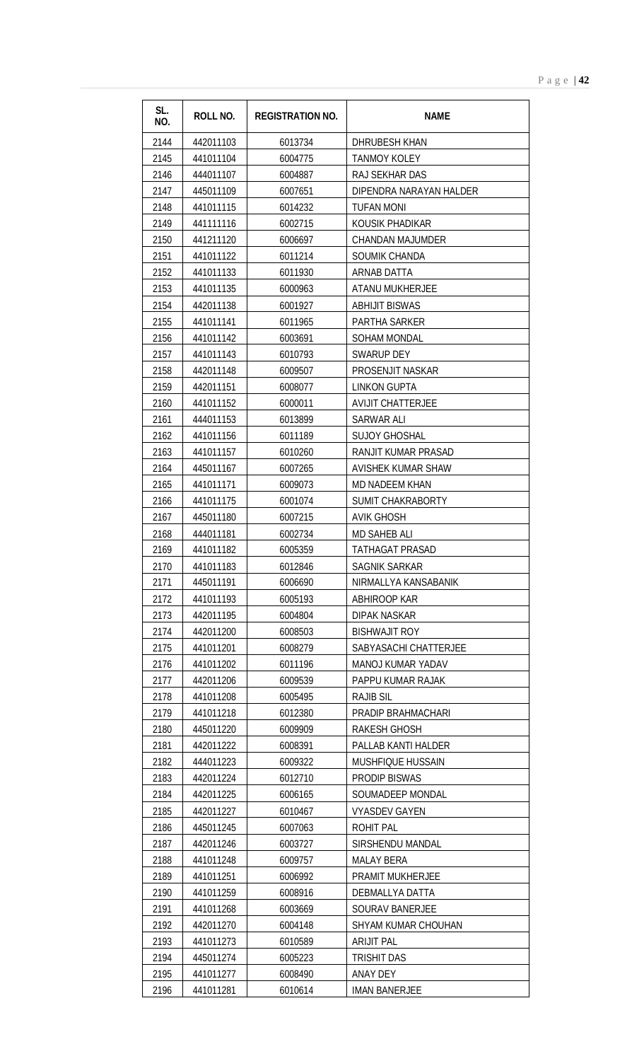| SL.<br>NO. | <b>ROLL NO.</b> | <b>REGISTRATION NO.</b> | <b>NAME</b>               |
|------------|-----------------|-------------------------|---------------------------|
| 2144       | 442011103       | 6013734                 | <b>DHRUBESH KHAN</b>      |
| 2145       | 441011104       | 6004775                 | <b>TANMOY KOLEY</b>       |
| 2146       | 444011107       | 6004887                 | RAJ SEKHAR DAS            |
| 2147       | 445011109       | 6007651                 | DIPENDRA NARAYAN HALDER   |
| 2148       | 441011115       | 6014232                 | <b>TUFAN MONI</b>         |
| 2149       | 441111116       | 6002715                 | KOUSIK PHADIKAR           |
| 2150       | 441211120       | 6006697                 | <b>CHANDAN MAJUMDER</b>   |
| 2151       | 441011122       | 6011214                 | SOUMIK CHANDA             |
| 2152       | 441011133       | 6011930                 | <b>ARNAB DATTA</b>        |
| 2153       | 441011135       | 6000963                 | ATANU MUKHERJEE           |
| 2154       | 442011138       | 6001927                 | <b>ABHIJIT BISWAS</b>     |
| 2155       | 441011141       | 6011965                 | <b>PARTHA SARKER</b>      |
| 2156       | 441011142       | 6003691                 | <b>SOHAM MONDAL</b>       |
| 2157       | 441011143       | 6010793                 | <b>SWARUP DEY</b>         |
| 2158       | 442011148       | 6009507                 | PROSENJIT NASKAR          |
| 2159       | 442011151       | 6008077                 | <b>LINKON GUPTA</b>       |
| 2160       | 441011152       | 6000011                 | <b>AVIJIT CHATTERJEE</b>  |
| 2161       | 444011153       | 6013899                 | SARWAR ALI                |
| 2162       | 441011156       | 6011189                 | <b>SUJOY GHOSHAL</b>      |
| 2163       | 441011157       | 6010260                 | RANJIT KUMAR PRASAD       |
| 2164       | 445011167       | 6007265                 | <b>AVISHEK KUMAR SHAW</b> |
| 2165       | 441011171       | 6009073                 | <b>MD NADEEM KHAN</b>     |
| 2166       | 441011175       | 6001074                 | <b>SUMIT CHAKRABORTY</b>  |
| 2167       | 445011180       | 6007215                 | <b>AVIK GHOSH</b>         |
| 2168       | 444011181       | 6002734                 | MD SAHEB ALI              |
| 2169       | 441011182       | 6005359                 | <b>TATHAGAT PRASAD</b>    |
| 2170       | 441011183       | 6012846                 | SAGNIK SARKAR             |
| 2171       | 445011191       | 6006690                 | NIRMALLYA KANSABANIK      |
| 2172       | 441011193       | 6005193                 | ABHIROOP KAR              |
| 2173       | 442011195       | 6004804                 | DIPAK NASKAR              |
| 2174       | 442011200       | 6008503                 | <b>BISHWAJIT ROY</b>      |
| 2175       | 441011201       | 6008279                 | SABYASACHI CHATTERJEE     |
| 2176       | 441011202       | 6011196                 | MANOJ KUMAR YADAV         |
| 2177       | 442011206       | 6009539                 | PAPPU KUMAR RAJAK         |
| 2178       | 441011208       | 6005495                 | <b>RAJIB SIL</b>          |
| 2179       | 441011218       | 6012380                 | PRADIP BRAHMACHARI        |
| 2180       | 445011220       | 6009909                 | RAKESH GHOSH              |
| 2181       | 442011222       | 6008391                 | PALLAB KANTI HALDER       |
| 2182       | 444011223       | 6009322                 | <b>MUSHFIQUE HUSSAIN</b>  |
| 2183       | 442011224       | 6012710                 | PRODIP BISWAS             |
| 2184       | 442011225       | 6006165                 | SOUMADEEP MONDAL          |
| 2185       | 442011227       | 6010467                 | <b>VYASDEV GAYEN</b>      |
| 2186       | 445011245       | 6007063                 | <b>ROHIT PAL</b>          |
| 2187       | 442011246       | 6003727                 | SIRSHENDU MANDAL          |
| 2188       | 441011248       | 6009757                 | <b>MALAY BERA</b>         |
| 2189       | 441011251       | 6006992                 | <b>PRAMIT MUKHERJEE</b>   |
| 2190       | 441011259       | 6008916                 | DEBMALLYA DATTA           |
| 2191       | 441011268       | 6003669                 | SOURAV BANERJEE           |
| 2192       | 442011270       | 6004148                 | SHYAM KUMAR CHOUHAN       |
| 2193       | 441011273       | 6010589                 | <b>ARIJIT PAL</b>         |
| 2194       | 445011274       | 6005223                 | <b>TRISHIT DAS</b>        |
| 2195       | 441011277       | 6008490                 | <b>ANAY DEY</b>           |
| 2196       | 441011281       | 6010614                 | <b>IMAN BANERJEE</b>      |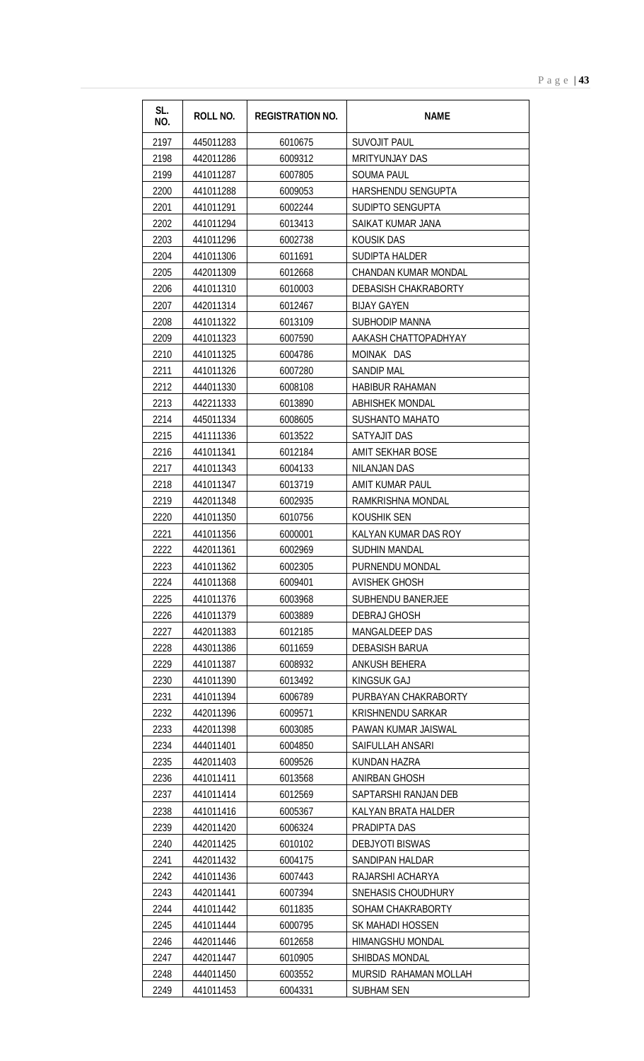| SL.<br>NO. | <b>ROLL NO.</b> | <b>REGISTRATION NO.</b> | <b>NAME</b>                 |
|------------|-----------------|-------------------------|-----------------------------|
| 2197       | 445011283       | 6010675                 | <b>SUVOJIT PAUL</b>         |
| 2198       | 442011286       | 6009312                 | <b>MRITYUNJAY DAS</b>       |
| 2199       | 441011287       | 6007805                 | <b>SOUMA PAUL</b>           |
| 2200       | 441011288       | 6009053                 | HARSHENDU SENGUPTA          |
| 2201       | 441011291       | 6002244                 | SUDIPTO SENGUPTA            |
| 2202       | 441011294       | 6013413                 | SAIKAT KUMAR JANA           |
| 2203       | 441011296       | 6002738                 | <b>KOUSIK DAS</b>           |
| 2204       | 441011306       | 6011691                 | <b>SUDIPTA HALDER</b>       |
| 2205       | 442011309       | 6012668                 | CHANDAN KUMAR MONDAL        |
| 2206       | 441011310       | 6010003                 | <b>DEBASISH CHAKRABORTY</b> |
| 2207       | 442011314       | 6012467                 | <b>BIJAY GAYEN</b>          |
| 2208       | 441011322       | 6013109                 | <b>SUBHODIP MANNA</b>       |
| 2209       | 441011323       | 6007590                 | AAKASH CHATTOPADHYAY        |
| 2210       | 441011325       | 6004786                 | MOINAK DAS                  |
| 2211       | 441011326       | 6007280                 | <b>SANDIP MAL</b>           |
| 2212       | 444011330       | 6008108                 | <b>HABIBUR RAHAMAN</b>      |
| 2213       | 442211333       | 6013890                 | <b>ABHISHEK MONDAL</b>      |
| 2214       | 445011334       | 6008605                 | SUSHANTO MAHATO             |
| 2215       | 441111336       | 6013522                 | SATYAJIT DAS                |
| 2216       | 441011341       | 6012184                 | <b>AMIT SEKHAR BOSE</b>     |
| 2217       | 441011343       | 6004133                 | <b>NILANJAN DAS</b>         |
| 2218       | 441011347       | 6013719                 | AMIT KUMAR PAUL             |
| 2219       | 442011348       | 6002935                 | RAMKRISHNA MONDAL           |
| 2220       | 441011350       | 6010756                 | KOUSHIK SEN                 |
| 2221       | 441011356       | 6000001                 | KALYAN KUMAR DAS ROY        |
| 2222       | 442011361       | 6002969                 | <b>SUDHIN MANDAL</b>        |
| 2223       | 441011362       | 6002305                 | PURNENDU MONDAL             |
| 2224       | 441011368       | 6009401                 | <b>AVISHEK GHOSH</b>        |
| 2225       | 441011376       | 6003968                 | <b>SUBHENDU BANERJEE</b>    |
| 2226       | 441011379       | 6003889                 | DEBRAJ GHOSH                |
| 2227       | 442011383       | 6012185                 | MANGALDEEP DAS              |
| 2228       | 443011386       | 6011659                 | DEBASISH BARUA              |
| 2229       | 441011387       | 6008932                 | ANKUSH BEHERA               |
| 2230       | 441011390       | 6013492                 | <b>KINGSUK GAJ</b>          |
| 2231       | 441011394       | 6006789                 | PURBAYAN CHAKRABORTY        |
| 2232       | 442011396       | 6009571                 | KRISHNENDU SARKAR           |
| 2233       | 442011398       | 6003085                 | PAWAN KUMAR JAISWAL         |
| 2234       | 444011401       | 6004850                 | SAIFULLAH ANSARI            |
| 2235       | 442011403       | 6009526                 | KUNDAN HAZRA                |
| 2236       | 441011411       | 6013568                 | <b>ANIRBAN GHOSH</b>        |
| 2237       | 441011414       | 6012569                 | SAPTARSHI RANJAN DEB        |
| 2238       | 441011416       | 6005367                 | KALYAN BRATA HALDER         |
| 2239       | 442011420       | 6006324                 | PRADIPTA DAS                |
| 2240       | 442011425       | 6010102                 | <b>DEBJYOTI BISWAS</b>      |
| 2241       | 442011432       | 6004175                 | SANDIPAN HALDAR             |
| 2242       | 441011436       | 6007443                 | RAJARSHI ACHARYA            |
| 2243       | 442011441       | 6007394                 | SNEHASIS CHOUDHURY          |
| 2244       | 441011442       | 6011835                 | SOHAM CHAKRABORTY           |
| 2245       | 441011444       | 6000795                 | SK MAHADI HOSSEN            |
| 2246       | 442011446       | 6012658                 | HIMANGSHU MONDAL            |
| 2247       | 442011447       | 6010905                 | <b>SHIBDAS MONDAL</b>       |
| 2248       | 444011450       | 6003552                 | MURSID RAHAMAN MOLLAH       |
| 2249       | 441011453       | 6004331                 | <b>SUBHAM SEN</b>           |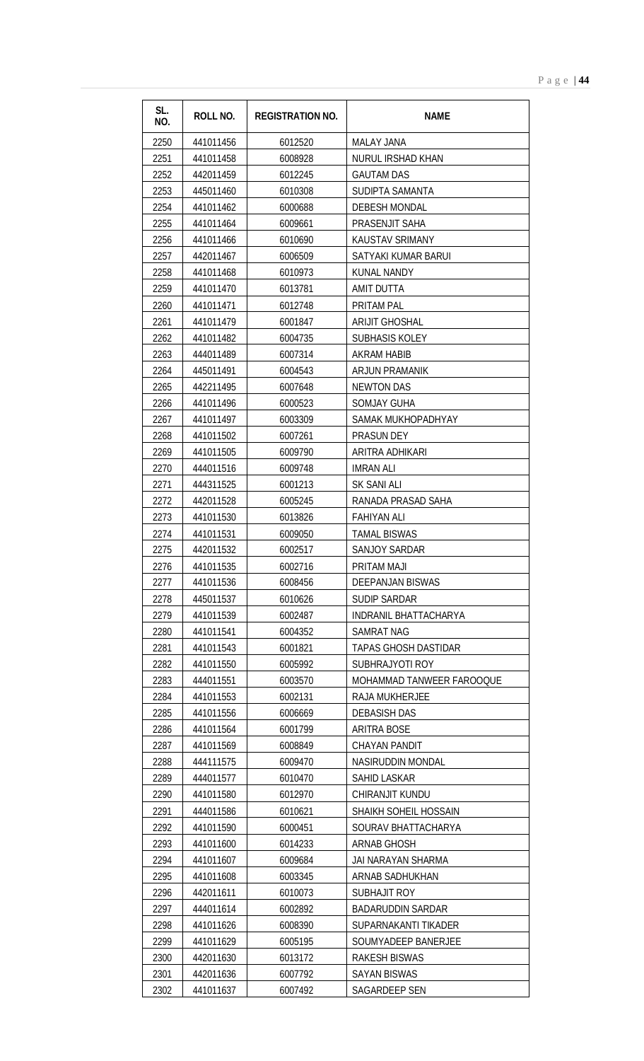| SL.<br>NO. | ROLL NO.  | <b>REGISTRATION NO.</b> | <b>NAME</b>                 |
|------------|-----------|-------------------------|-----------------------------|
| 2250       | 441011456 | 6012520                 | <b>MALAY JANA</b>           |
| 2251       | 441011458 | 6008928                 | <b>NURUL IRSHAD KHAN</b>    |
| 2252       | 442011459 | 6012245                 | <b>GAUTAM DAS</b>           |
| 2253       | 445011460 | 6010308                 | SUDIPTA SAMANTA             |
| 2254       | 441011462 | 6000688                 | <b>DEBESH MONDAL</b>        |
| 2255       | 441011464 | 6009661                 | PRASENJIT SAHA              |
| 2256       | 441011466 | 6010690                 | KAUSTAV SRIMANY             |
| 2257       | 442011467 | 6006509                 | SATYAKI KUMAR BARUI         |
| 2258       | 441011468 | 6010973                 | <b>KUNAL NANDY</b>          |
| 2259       | 441011470 | 6013781                 | <b>AMIT DUTTA</b>           |
| 2260       | 441011471 | 6012748                 | PRITAM PAL                  |
| 2261       | 441011479 | 6001847                 | <b>ARIJIT GHOSHAL</b>       |
| 2262       | 441011482 | 6004735                 | SUBHASIS KOLEY              |
| 2263       | 444011489 | 6007314                 | <b>AKRAM HABIB</b>          |
| 2264       | 445011491 | 6004543                 | <b>ARJUN PRAMANIK</b>       |
| 2265       | 442211495 | 6007648                 | <b>NEWTON DAS</b>           |
| 2266       | 441011496 | 6000523                 | <b>SOMJAY GUHA</b>          |
| 2267       | 441011497 | 6003309                 | SAMAK MUKHOPADHYAY          |
| 2268       | 441011502 | 6007261                 | PRASUN DEY                  |
| 2269       | 441011505 | 6009790                 | ARITRA ADHIKARI             |
| 2270       | 444011516 | 6009748                 | <b>IMRAN ALI</b>            |
| 2271       | 444311525 | 6001213                 | SK SANI ALI                 |
| 2272       | 442011528 | 6005245                 | RANADA PRASAD SAHA          |
| 2273       | 441011530 | 6013826                 | <b>FAHIYAN ALI</b>          |
| 2274       | 441011531 | 6009050                 | <b>TAMAL BISWAS</b>         |
| 2275       | 442011532 | 6002517                 | <b>SANJOY SARDAR</b>        |
| 2276       | 441011535 | 6002716                 | PRITAM MAJI                 |
| 2277       | 441011536 | 6008456                 | <b>DEEPANJAN BISWAS</b>     |
| 2278       | 445011537 | 6010626                 | <b>SUDIP SARDAR</b>         |
| 2279       | 441011539 | 6002487                 | INDRANIL BHATTACHARYA       |
| 2280       | 441011541 | 6004352                 | <b>SAMRAT NAG</b>           |
| 2281       | 441011543 | 6001821                 | <b>TAPAS GHOSH DASTIDAR</b> |
| 2282       | 441011550 | 6005992                 | SUBHRAJYOTI ROY             |
| 2283       | 444011551 | 6003570                 | MOHAMMAD TANWEER FAROOQUE   |
| 2284       | 441011553 | 6002131                 | RAJA MUKHERJEE              |
| 2285       | 441011556 | 6006669                 | <b>DEBASISH DAS</b>         |
| 2286       | 441011564 | 6001799                 | <b>ARITRA BOSE</b>          |
| 2287       | 441011569 | 6008849                 | CHAYAN PANDIT               |
| 2288       | 444111575 | 6009470                 | NASIRUDDIN MONDAL           |
| 2289       | 444011577 | 6010470                 | SAHID LASKAR                |
| 2290       | 441011580 | 6012970                 | CHIRANJIT KUNDU             |
| 2291       | 444011586 | 6010621                 | SHAIKH SOHEIL HOSSAIN       |
| 2292       | 441011590 | 6000451                 | SOURAV BHATTACHARYA         |
| 2293       | 441011600 | 6014233                 | ARNAB GHOSH                 |
| 2294       | 441011607 | 6009684                 | JAI NARAYAN SHARMA          |
| 2295       | 441011608 | 6003345                 | ARNAB SADHUKHAN             |
| 2296       | 442011611 | 6010073                 | SUBHAJIT ROY                |
| 2297       | 444011614 | 6002892                 | <b>BADARUDDIN SARDAR</b>    |
| 2298       | 441011626 | 6008390                 | SUPARNAKANTI TIKADER        |
| 2299       | 441011629 | 6005195                 | SOUMYADEEP BANERJEE         |
| 2300       | 442011630 | 6013172                 | <b>RAKESH BISWAS</b>        |
| 2301       | 442011636 | 6007792                 | <b>SAYAN BISWAS</b>         |
| 2302       | 441011637 | 6007492                 | SAGARDEEP SEN               |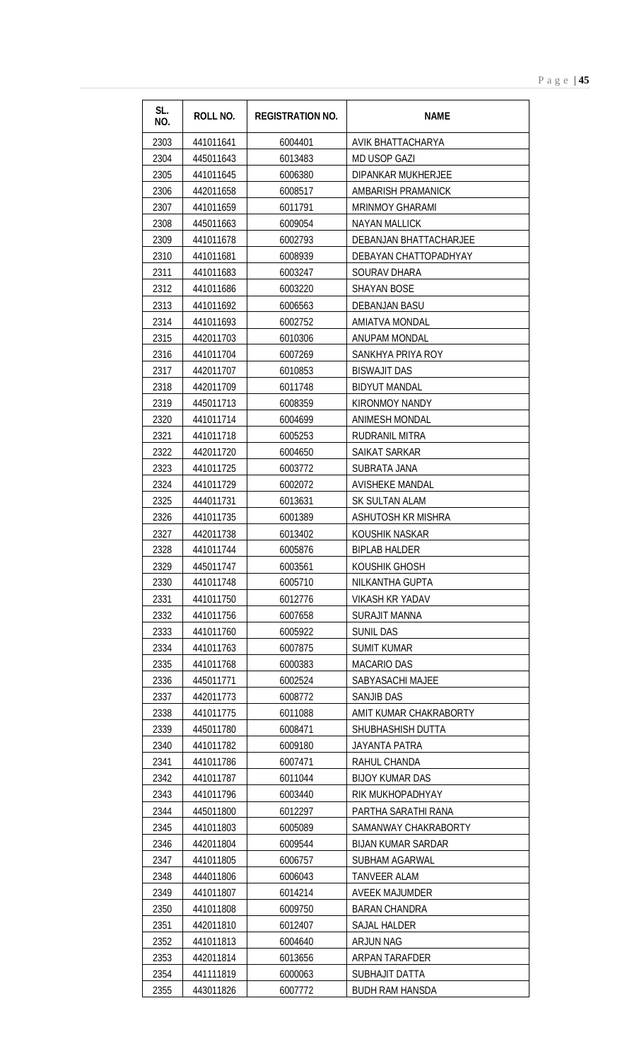| SL.<br>NO.   | ROLL NO.               | <b>REGISTRATION NO.</b> | <b>NAME</b>                                   |
|--------------|------------------------|-------------------------|-----------------------------------------------|
| 2303         | 441011641              | 6004401                 | AVIK BHATTACHARYA                             |
| 2304         | 445011643              | 6013483                 | <b>MD USOP GAZI</b>                           |
| 2305         | 441011645              | 6006380                 | DIPANKAR MUKHERJEE                            |
| 2306         | 442011658              | 6008517                 | AMBARISH PRAMANICK                            |
| 2307         | 441011659              | 6011791                 | <b>MRINMOY GHARAMI</b>                        |
| 2308         | 445011663              | 6009054                 | <b>NAYAN MALLICK</b>                          |
| 2309         | 441011678              | 6002793                 | DEBANJAN BHATTACHARJEE                        |
| 2310         | 441011681              | 6008939                 | DEBAYAN CHATTOPADHYAY                         |
| 2311         | 441011683              | 6003247                 | SOURAV DHARA                                  |
| 2312         | 441011686              | 6003220                 | <b>SHAYAN BOSE</b>                            |
| 2313         | 441011692              | 6006563                 | DEBANJAN BASU                                 |
| 2314         | 441011693              | 6002752                 | <b>AMIATVA MONDAL</b>                         |
| 2315         | 442011703              | 6010306                 | ANUPAM MONDAL                                 |
| 2316         | 441011704              | 6007269                 | SANKHYA PRIYA ROY                             |
| 2317         | 442011707              | 6010853                 | <b>BISWAJIT DAS</b>                           |
| 2318         | 442011709              | 6011748                 | <b>BIDYUT MANDAL</b>                          |
| 2319         | 445011713              | 6008359                 | <b>KIRONMOY NANDY</b>                         |
| 2320         | 441011714              | 6004699                 | <b>ANIMESH MONDAL</b>                         |
| 2321         | 441011718              | 6005253                 | RUDRANIL MITRA                                |
| 2322         | 442011720              | 6004650                 | SAIKAT SARKAR                                 |
| 2323         | 441011725              | 6003772                 | SUBRATA JANA                                  |
| 2324         | 441011729              | 6002072                 | <b>AVISHEKE MANDAL</b>                        |
| 2325         | 444011731              | 6013631                 | SK SULTAN ALAM                                |
| 2326         | 441011735              | 6001389                 | <b>ASHUTOSH KR MISHRA</b>                     |
| 2327         | 442011738              | 6013402                 | KOUSHIK NASKAR                                |
| 2328         | 441011744              | 6005876                 | <b>BIPLAB HALDER</b>                          |
| 2329         | 445011747              | 6003561                 | KOUSHIK GHOSH                                 |
| 2330         | 441011748              | 6005710                 | NILKANTHA GUPTA                               |
| 2331         | 441011750              | 6012776                 | <b>VIKASH KR YADAV</b>                        |
| 2332         | 441011756              | 6007658                 | <b>SURAJIT MANNA</b>                          |
| 2333         | 441011760              | 6005922                 | <b>SUNIL DAS</b>                              |
| 2334         | 441011763              | 6007875                 | <b>SUMIT KUMAR</b>                            |
| 2335         | 441011768              | 6000383                 | <b>MACARIO DAS</b>                            |
| 2336         | 445011771              | 6002524                 | SABYASACHI MAJEE                              |
| 2337         | 442011773              | 6008772                 | SANJIB DAS                                    |
| 2338         | 441011775              | 6011088                 | AMIT KUMAR CHAKRABORTY                        |
| 2339         | 445011780              | 6008471                 | SHUBHASHISH DUTTA                             |
| 2340         | 441011782              | 6009180                 | JAYANTA PATRA                                 |
| 2341         | 441011786              | 6007471                 | RAHUL CHANDA                                  |
| 2342         | 441011787              | 6011044                 | <b>BIJOY KUMAR DAS</b>                        |
| 2343         | 441011796              | 6003440                 | RIK MUKHOPADHYAY                              |
| 2344         | 445011800              | 6012297                 | PARTHA SARATHI RANA                           |
| 2345         | 441011803              | 6005089                 | SAMANWAY CHAKRABORTY                          |
| 2346         | 442011804              | 6009544                 | <b>BIJAN KUMAR SARDAR</b>                     |
| 2347         | 441011805              | 6006757                 | SUBHAM AGARWAL                                |
| 2348         | 444011806              | 6006043                 | <b>TANVEER ALAM</b>                           |
| 2349         | 441011807              | 6014214<br>6009750      | <b>AVEEK MAJUMDER</b><br><b>BARAN CHANDRA</b> |
| 2350<br>2351 | 441011808<br>442011810 | 6012407                 | <b>SAJAL HALDER</b>                           |
| 2352         | 441011813              |                         | <b>ARJUN NAG</b>                              |
| 2353         | 442011814              | 6004640<br>6013656      | ARPAN TARAFDER                                |
| 2354         | 441111819              | 6000063                 | SUBHAJIT DATTA                                |
| 2355         | 443011826              | 6007772                 | <b>BUDH RAM HANSDA</b>                        |
|              |                        |                         |                                               |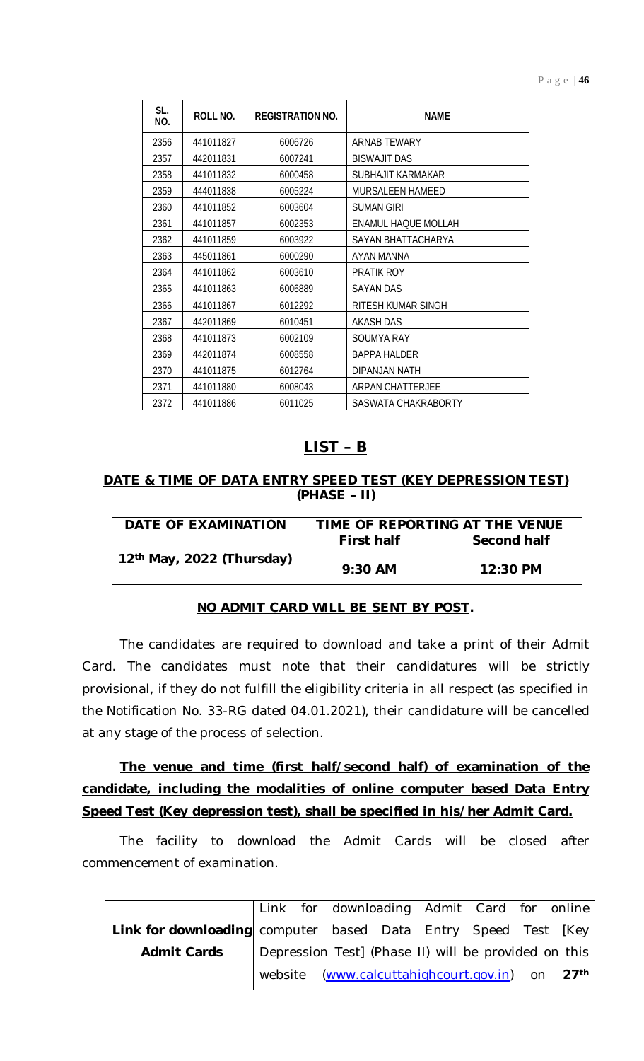| SL.<br>NO. | <b>ROLL NO.</b> | <b>REGISTRATION NO.</b> | <b>NAME</b>             |
|------------|-----------------|-------------------------|-------------------------|
| 2356       | 441011827       | 6006726                 | ARNAB TEWARY            |
| 2357       | 442011831       | 6007241                 | <b>BISWAJIT DAS</b>     |
| 2358       | 441011832       | 6000458                 | SUBHAJIT KARMAKAR       |
| 2359       | 444011838       | 6005224                 | <b>MURSALEEN HAMEED</b> |
| 2360       | 441011852       | 6003604                 | <b>SUMAN GIRI</b>       |
| 2361       | 441011857       | 6002353                 | ENAMUL HAQUE MOLLAH     |
| 2362       | 441011859       | 6003922                 | SAYAN BHATTACHARYA      |
| 2363       | 445011861       | 6000290                 | AYAN MANNA              |
| 2364       | 441011862       | 6003610                 | <b>PRATIK ROY</b>       |
| 2365       | 441011863       | 6006889                 | SAYAN DAS               |
| 2366       | 441011867       | 6012292                 | RITESH KUMAR SINGH      |
| 2367       | 442011869       | 6010451                 | <b>AKASH DAS</b>        |
| 2368       | 441011873       | 6002109                 | <b>SOUMYA RAY</b>       |
| 2369       | 442011874       | 6008558                 | <b>BAPPA HALDER</b>     |
| 2370       | 441011875       | 6012764                 | DIPANJAN NATH           |
| 2371       | 441011880       | 6008043                 | ARPAN CHATTERJEE        |
| 2372       | 441011886       | 6011025                 | SASWATA CHAKRABORTY     |

# **LIST – B**

## **DATE & TIME OF DATA ENTRY SPEED TEST (KEY DEPRESSION TEST) (PHASE – II)**

| DATE OF EXAMINATION                   | TIME OF REPORTING AT THE VENUE |             |  |  |
|---------------------------------------|--------------------------------|-------------|--|--|
| 12 <sup>th</sup> May, 2022 (Thursday) | <b>First half</b>              | Second half |  |  |
|                                       | $9:30$ AM                      | $12:30$ PM  |  |  |

# **NO ADMIT CARD WILL BE SENT BY POST.**

The candidates are required to download and take a print of their Admit Card. The candidates must note that their candidatures will be strictly provisional, if they do not fulfill the eligibility criteria in all respect (as specified in the Notification No. 33-RG dated 04.01.2021), their candidature will be cancelled at any stage of the process of selection.

# **The venue and time (first half/second half) of examination of the candidate, including the modalities of online computer based Data Entry Speed Test (Key depression test), shall be specified in his/her Admit Card.**

The facility to download the Admit Cards will be closed after commencement of examination.

|                                                                |  |  | Link for downloading Admit Card for online                 |  |  |
|----------------------------------------------------------------|--|--|------------------------------------------------------------|--|--|
| Link for downloading computer based Data Entry Speed Test [Key |  |  |                                                            |  |  |
| <b>Admit Cards</b>                                             |  |  | Depression Test] (Phase II) will be provided on this       |  |  |
|                                                                |  |  | website (www.calcuttahighcourt.gov.in) on 27 <sup>th</sup> |  |  |